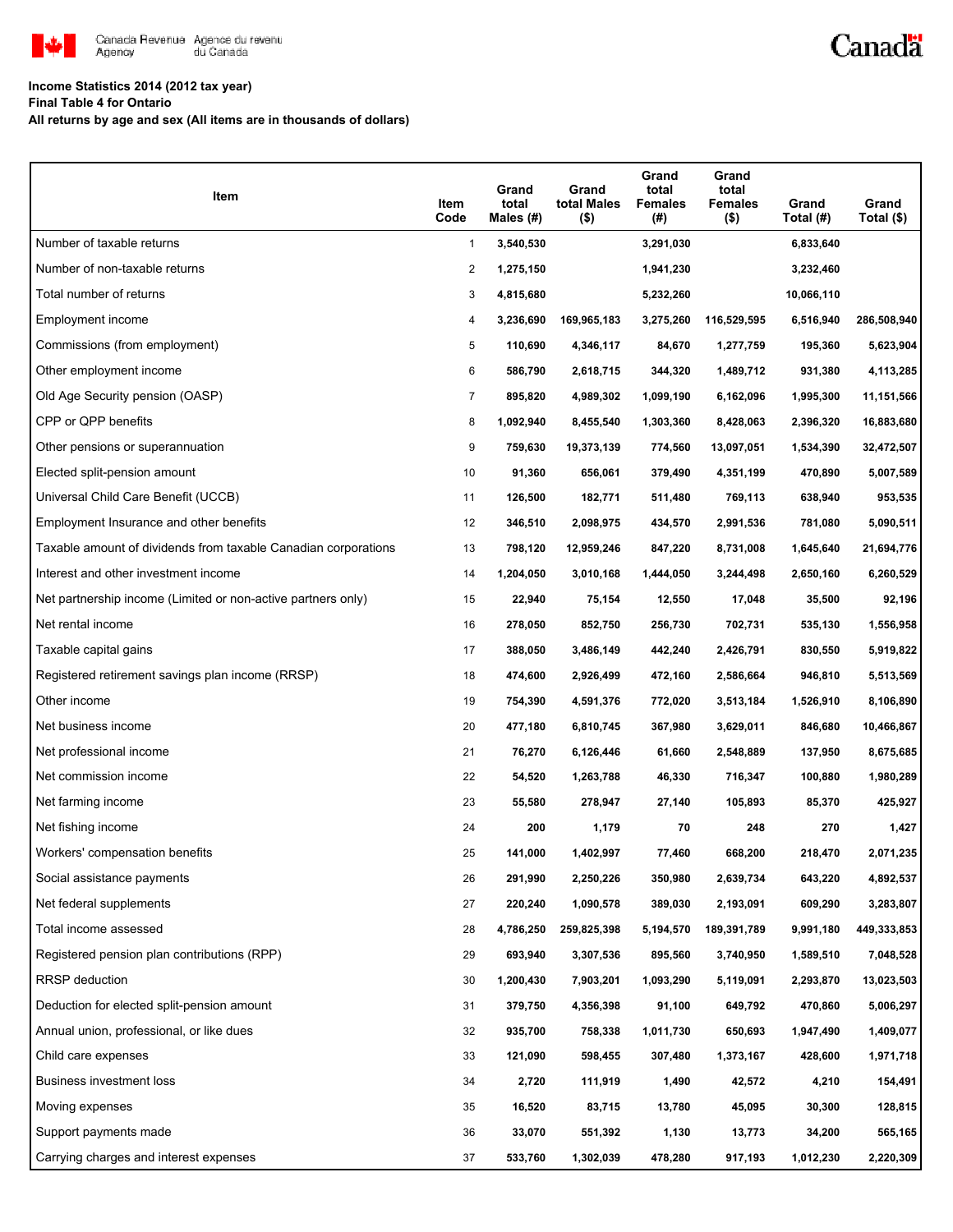

## **Income Statistics 2014 (2012 tax year)**

**Final Table 4 for Ontario**

**All returns by age and sex (All items are in thousands of dollars)**

| Item                                                           | Item<br>Code   | Grand<br>total<br>Males (#) | Grand<br>total Males<br>$($ \$) | Grand<br>total<br><b>Females</b><br>(#) | Grand<br>total<br><b>Females</b><br>$($ \$) | Grand<br>Total (#) | Grand<br>Total (\$) |
|----------------------------------------------------------------|----------------|-----------------------------|---------------------------------|-----------------------------------------|---------------------------------------------|--------------------|---------------------|
| Number of taxable returns                                      | 1              | 3,540,530                   |                                 | 3,291,030                               |                                             | 6,833,640          |                     |
| Number of non-taxable returns                                  | 2              | 1,275,150                   |                                 | 1,941,230                               |                                             | 3,232,460          |                     |
| Total number of returns                                        | 3              | 4,815,680                   |                                 | 5,232,260                               |                                             | 10,066,110         |                     |
| Employment income                                              | 4              | 3,236,690                   | 169,965,183                     | 3,275,260                               | 116,529,595                                 | 6,516,940          | 286,508,940         |
| Commissions (from employment)                                  | 5              | 110,690                     | 4,346,117                       | 84,670                                  | 1,277,759                                   | 195,360            | 5,623,904           |
| Other employment income                                        | 6              | 586,790                     | 2,618,715                       | 344,320                                 | 1,489,712                                   | 931,380            | 4,113,285           |
| Old Age Security pension (OASP)                                | $\overline{7}$ | 895,820                     | 4,989,302                       | 1,099,190                               | 6,162,096                                   | 1,995,300          | 11,151,566          |
| CPP or QPP benefits                                            | 8              | 1,092,940                   | 8,455,540                       | 1,303,360                               | 8,428,063                                   | 2,396,320          | 16,883,680          |
| Other pensions or superannuation                               | 9              | 759,630                     | 19,373,139                      | 774,560                                 | 13,097,051                                  | 1,534,390          | 32,472,507          |
| Elected split-pension amount                                   | 10             | 91,360                      | 656,061                         | 379,490                                 | 4,351,199                                   | 470,890            | 5,007,589           |
| Universal Child Care Benefit (UCCB)                            | 11             | 126,500                     | 182,771                         | 511,480                                 | 769,113                                     | 638,940            | 953,535             |
| Employment Insurance and other benefits                        | 12             | 346,510                     | 2,098,975                       | 434,570                                 | 2,991,536                                   | 781,080            | 5,090,511           |
| Taxable amount of dividends from taxable Canadian corporations | 13             | 798,120                     | 12,959,246                      | 847,220                                 | 8,731,008                                   | 1,645,640          | 21,694,776          |
| Interest and other investment income                           | 14             | 1,204,050                   | 3,010,168                       | 1,444,050                               | 3,244,498                                   | 2,650,160          | 6,260,529           |
| Net partnership income (Limited or non-active partners only)   | 15             | 22,940                      | 75,154                          | 12,550                                  | 17,048                                      | 35,500             | 92,196              |
| Net rental income                                              | 16             | 278,050                     | 852,750                         | 256,730                                 | 702,731                                     | 535,130            | 1,556,958           |
| Taxable capital gains                                          | 17             | 388,050                     | 3,486,149                       | 442,240                                 | 2,426,791                                   | 830,550            | 5,919,822           |
| Registered retirement savings plan income (RRSP)               | 18             | 474,600                     | 2,926,499                       | 472,160                                 | 2,586,664                                   | 946,810            | 5,513,569           |
| Other income                                                   | 19             | 754,390                     | 4,591,376                       | 772,020                                 | 3,513,184                                   | 1,526,910          | 8,106,890           |
| Net business income                                            | 20             | 477,180                     | 6,810,745                       | 367,980                                 | 3,629,011                                   | 846,680            | 10,466,867          |
| Net professional income                                        | 21             | 76,270                      | 6,126,446                       | 61,660                                  | 2,548,889                                   | 137,950            | 8,675,685           |
| Net commission income                                          | 22             | 54,520                      | 1,263,788                       | 46,330                                  | 716,347                                     | 100,880            | 1,980,289           |
| Net farming income                                             | 23             | 55,580                      | 278,947                         | 27,140                                  | 105,893                                     | 85,370             | 425,927             |
| Net fishing income                                             | 24             | 200                         | 1,179                           | 70                                      | 248                                         | 270                | 1,427               |
| Workers' compensation benefits                                 | 25             | 141,000                     | 1,402,997                       | 77,460                                  | 668,200                                     | 218,470            | 2,071,235           |
| Social assistance payments                                     | 26             | 291,990                     | 2,250,226                       | 350,980                                 | 2,639,734                                   | 643,220            | 4,892,537           |
| Net federal supplements                                        | 27             | 220,240                     | 1,090,578                       | 389,030                                 | 2,193,091                                   | 609,290            | 3,283,807           |
| Total income assessed                                          | 28             | 4,786,250                   | 259,825,398                     | 5,194,570                               | 189,391,789                                 | 9,991,180          | 449,333,853         |
| Registered pension plan contributions (RPP)                    | 29             | 693,940                     | 3,307,536                       | 895,560                                 | 3,740,950                                   | 1,589,510          | 7,048,528           |
| RRSP deduction                                                 | 30             | 1,200,430                   | 7,903,201                       | 1,093,290                               | 5,119,091                                   | 2,293,870          | 13,023,503          |
| Deduction for elected split-pension amount                     | 31             | 379,750                     | 4,356,398                       | 91,100                                  | 649,792                                     | 470,860            | 5,006,297           |
| Annual union, professional, or like dues                       | 32             | 935,700                     | 758,338                         | 1,011,730                               | 650,693                                     | 1,947,490          | 1,409,077           |
| Child care expenses                                            | 33             | 121,090                     | 598,455                         | 307,480                                 | 1,373,167                                   | 428,600            | 1,971,718           |
| Business investment loss                                       | 34             | 2,720                       | 111,919                         | 1,490                                   | 42,572                                      | 4,210              | 154,491             |
| Moving expenses                                                | 35             | 16,520                      | 83,715                          | 13,780                                  | 45,095                                      | 30,300             | 128,815             |
| Support payments made                                          | 36             | 33,070                      | 551,392                         | 1,130                                   | 13,773                                      | 34,200             | 565,165             |
| Carrying charges and interest expenses                         | 37             | 533,760                     | 1,302,039                       | 478,280                                 | 917,193                                     | 1,012,230          | 2,220,309           |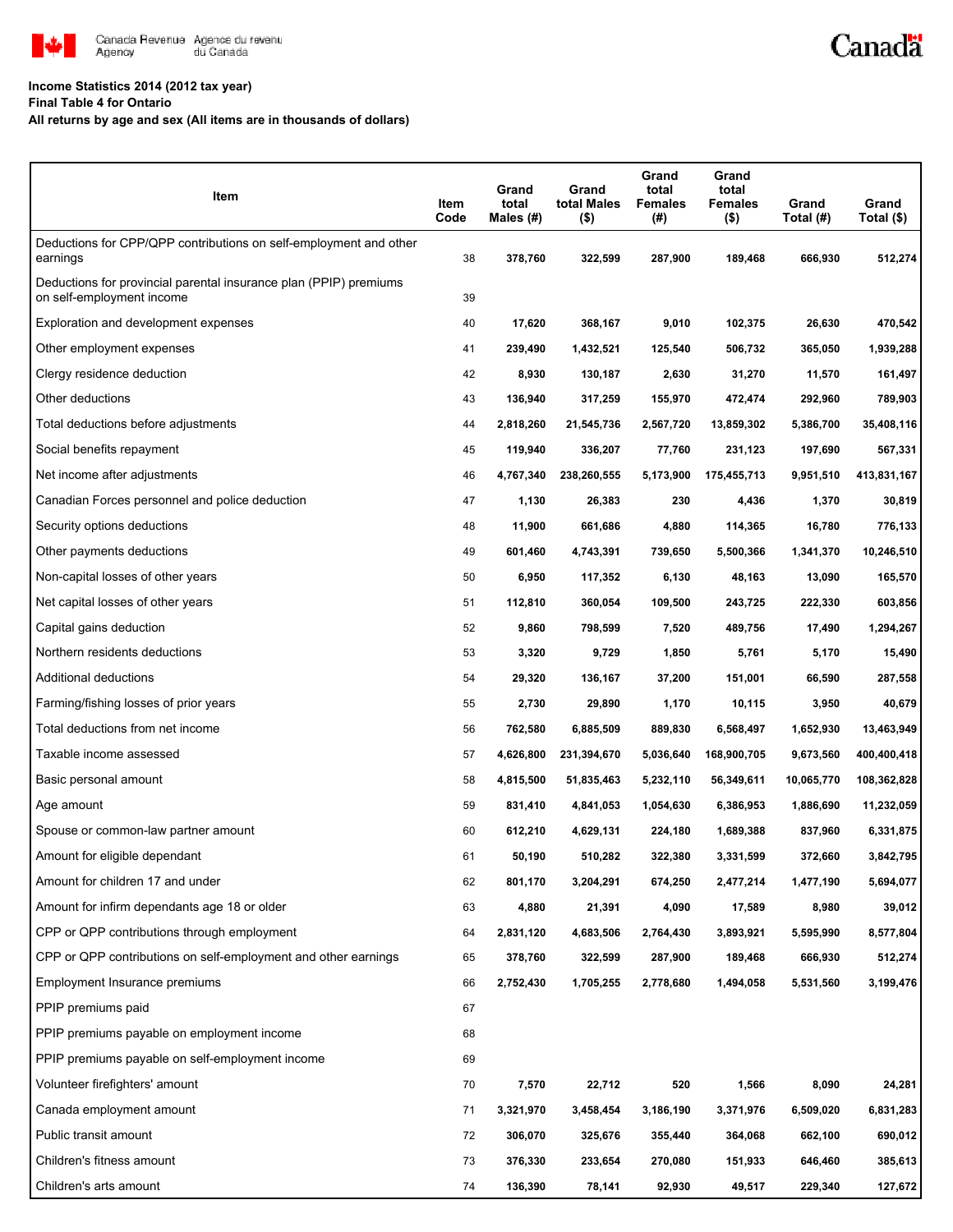

## **Income Statistics 2014 (2012 tax year)**

**Final Table 4 for Ontario**

**All returns by age and sex (All items are in thousands of dollars)**

| Item                                                                                           | Item<br>Code | Grand<br>total<br>Males $(H)$ | Grand<br>total Males<br>$($ \$) | Grand<br>total<br><b>Females</b><br>$(\#)$ | Grand<br>total<br><b>Females</b><br>$($ \$) | Grand<br>Total (#) | Grand<br>Total (\$) |
|------------------------------------------------------------------------------------------------|--------------|-------------------------------|---------------------------------|--------------------------------------------|---------------------------------------------|--------------------|---------------------|
| Deductions for CPP/QPP contributions on self-employment and other<br>earnings                  | 38           | 378,760                       | 322,599                         | 287,900                                    | 189,468                                     | 666,930            | 512,274             |
| Deductions for provincial parental insurance plan (PPIP) premiums<br>on self-employment income | 39           |                               |                                 |                                            |                                             |                    |                     |
| Exploration and development expenses                                                           | 40           | 17,620                        | 368,167                         | 9,010                                      | 102,375                                     | 26,630             | 470,542             |
| Other employment expenses                                                                      | 41           | 239,490                       | 1,432,521                       | 125,540                                    | 506,732                                     | 365,050            | 1,939,288           |
| Clergy residence deduction                                                                     | 42           | 8,930                         | 130,187                         | 2,630                                      | 31,270                                      | 11,570             | 161,497             |
| Other deductions                                                                               | 43           | 136,940                       | 317,259                         | 155,970                                    | 472,474                                     | 292,960            | 789,903             |
| Total deductions before adjustments                                                            | 44           | 2,818,260                     | 21,545,736                      | 2,567,720                                  | 13,859,302                                  | 5,386,700          | 35,408,116          |
| Social benefits repayment                                                                      | 45           | 119,940                       | 336,207                         | 77,760                                     | 231,123                                     | 197,690            | 567,331             |
| Net income after adjustments                                                                   | 46           | 4,767,340                     | 238,260,555                     | 5,173,900                                  | 175,455,713                                 | 9,951,510          | 413,831,167         |
| Canadian Forces personnel and police deduction                                                 | 47           | 1,130                         | 26,383                          | 230                                        | 4,436                                       | 1,370              | 30,819              |
| Security options deductions                                                                    | 48           | 11,900                        | 661,686                         | 4,880                                      | 114,365                                     | 16,780             | 776,133             |
| Other payments deductions                                                                      | 49           | 601,460                       | 4,743,391                       | 739,650                                    | 5,500,366                                   | 1,341,370          | 10,246,510          |
| Non-capital losses of other years                                                              | 50           | 6,950                         | 117,352                         | 6,130                                      | 48,163                                      | 13,090             | 165,570             |
| Net capital losses of other years                                                              | 51           | 112,810                       | 360,054                         | 109,500                                    | 243,725                                     | 222,330            | 603,856             |
| Capital gains deduction                                                                        | 52           | 9,860                         | 798,599                         | 7,520                                      | 489,756                                     | 17,490             | 1,294,267           |
| Northern residents deductions                                                                  | 53           | 3,320                         | 9,729                           | 1,850                                      | 5,761                                       | 5,170              | 15,490              |
| Additional deductions                                                                          | 54           | 29,320                        | 136,167                         | 37,200                                     | 151,001                                     | 66,590             | 287,558             |
| Farming/fishing losses of prior years                                                          | 55           | 2,730                         | 29,890                          | 1,170                                      | 10,115                                      | 3,950              | 40,679              |
| Total deductions from net income                                                               | 56           | 762,580                       | 6,885,509                       | 889,830                                    | 6,568,497                                   | 1,652,930          | 13,463,949          |
| Taxable income assessed                                                                        | 57           | 4,626,800                     | 231,394,670                     | 5,036,640                                  | 168,900,705                                 | 9,673,560          | 400,400,418         |
| Basic personal amount                                                                          | 58           | 4,815,500                     | 51,835,463                      | 5,232,110                                  | 56,349,611                                  | 10,065,770         | 108,362,828         |
| Age amount                                                                                     | 59           | 831,410                       | 4,841,053                       | 1,054,630                                  | 6,386,953                                   | 1,886,690          | 11,232,059          |
| Spouse or common-law partner amount                                                            | 60           | 612,210                       | 4,629,131                       | 224,180                                    | 1,689,388                                   | 837,960            | 6,331,875           |
| Amount for eligible dependant                                                                  | 61           | 50,190                        | 510,282                         | 322,380                                    | 3,331,599                                   | 372,660            | 3,842,795           |
| Amount for children 17 and under                                                               | 62           | 801,170                       | 3,204,291                       | 674,250                                    | 2,477,214                                   | 1,477,190          | 5,694,077           |
| Amount for infirm dependants age 18 or older                                                   | 63           | 4,880                         | 21,391                          | 4,090                                      | 17,589                                      | 8,980              | 39,012              |
| CPP or QPP contributions through employment                                                    | 64           | 2,831,120                     | 4,683,506                       | 2,764,430                                  | 3,893,921                                   | 5,595,990          | 8,577,804           |
| CPP or QPP contributions on self-employment and other earnings                                 | 65           | 378,760                       | 322,599                         | 287,900                                    | 189,468                                     | 666,930            | 512,274             |
| Employment Insurance premiums                                                                  | 66           | 2,752,430                     | 1,705,255                       | 2,778,680                                  | 1,494,058                                   | 5,531,560          | 3,199,476           |
| PPIP premiums paid                                                                             | 67           |                               |                                 |                                            |                                             |                    |                     |
| PPIP premiums payable on employment income                                                     | 68           |                               |                                 |                                            |                                             |                    |                     |
| PPIP premiums payable on self-employment income                                                | 69           |                               |                                 |                                            |                                             |                    |                     |
| Volunteer firefighters' amount                                                                 | 70           | 7,570                         | 22,712                          | 520                                        | 1,566                                       | 8,090              | 24,281              |
| Canada employment amount                                                                       | 71           | 3,321,970                     | 3,458,454                       | 3,186,190                                  | 3,371,976                                   | 6,509,020          | 6,831,283           |
| Public transit amount                                                                          | 72           | 306,070                       | 325,676                         | 355,440                                    | 364,068                                     | 662,100            | 690,012             |
| Children's fitness amount                                                                      | 73           | 376,330                       | 233,654                         | 270,080                                    | 151,933                                     | 646,460            | 385,613             |
| Children's arts amount                                                                         | 74           | 136,390                       | 78,141                          | 92,930                                     | 49,517                                      | 229,340            | 127,672             |

Canadä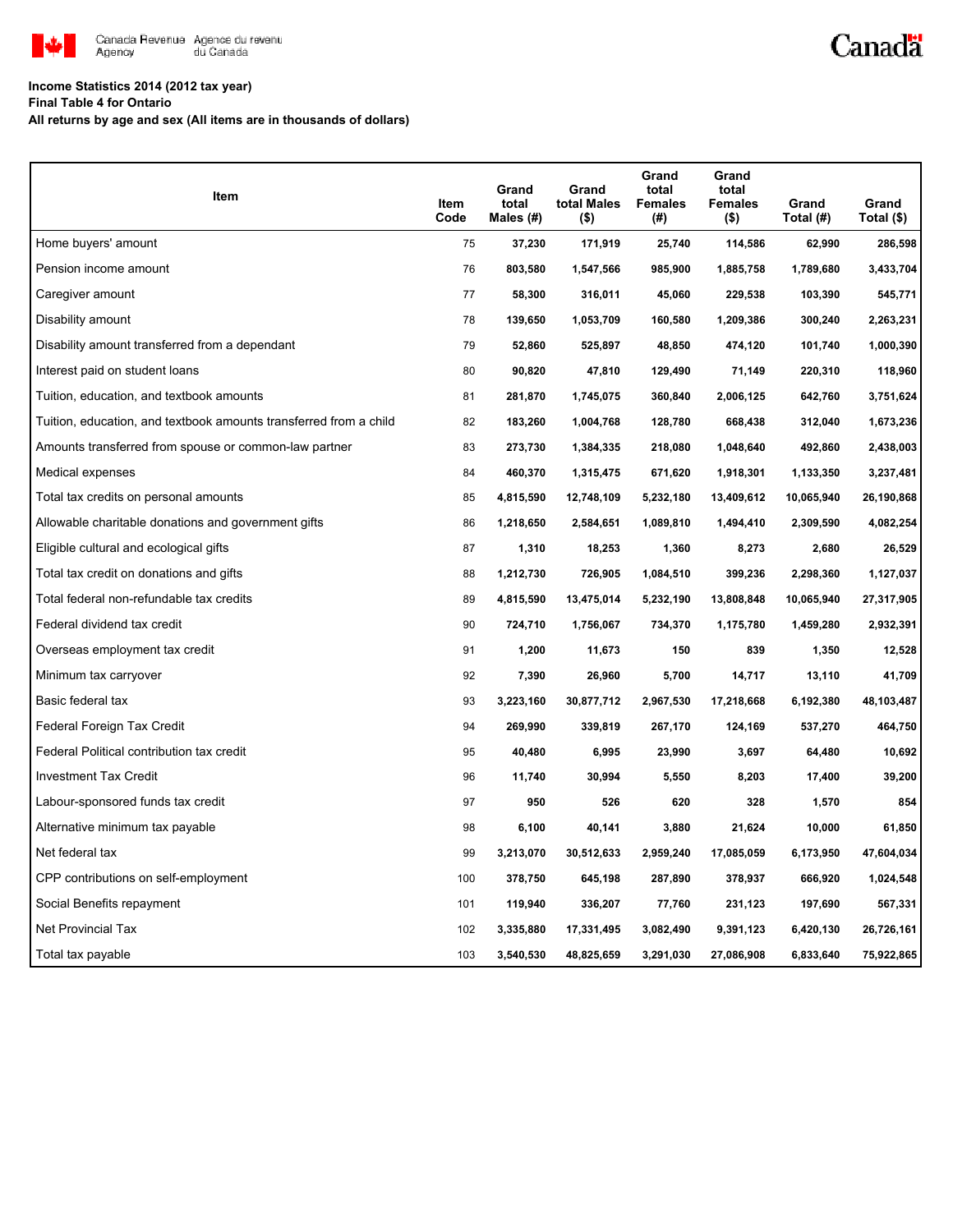

## Canadä

## **Income Statistics 2014 (2012 tax year)**

**Final Table 4 for Ontario**

**All returns by age and sex (All items are in thousands of dollars)**

| Item                                                              | Item<br>Code | Grand<br>total<br>Males (#) | Grand<br>total Males<br>$($ \$) | Grand<br>total<br><b>Females</b><br>(# ) | Grand<br>total<br><b>Females</b><br>$($ \$) | Grand<br>Total (#) | Grand<br>Total (\$) |
|-------------------------------------------------------------------|--------------|-----------------------------|---------------------------------|------------------------------------------|---------------------------------------------|--------------------|---------------------|
| Home buyers' amount                                               | 75           | 37,230                      | 171,919                         | 25,740                                   | 114,586                                     | 62,990             | 286,598             |
| Pension income amount                                             | 76           | 803,580                     | 1,547,566                       | 985,900                                  | 1,885,758                                   | 1,789,680          | 3,433,704           |
| Caregiver amount                                                  | 77           | 58,300                      | 316,011                         | 45,060                                   | 229,538                                     | 103,390            | 545,771             |
| Disability amount                                                 | 78           | 139,650                     | 1,053,709                       | 160,580                                  | 1,209,386                                   | 300,240            | 2,263,231           |
| Disability amount transferred from a dependant                    | 79           | 52,860                      | 525,897                         | 48,850                                   | 474,120                                     | 101,740            | 1,000,390           |
| Interest paid on student loans                                    | 80           | 90,820                      | 47,810                          | 129,490                                  | 71,149                                      | 220,310            | 118,960             |
| Tuition, education, and textbook amounts                          | 81           | 281,870                     | 1,745,075                       | 360,840                                  | 2,006,125                                   | 642,760            | 3,751,624           |
| Tuition, education, and textbook amounts transferred from a child | 82           | 183,260                     | 1,004,768                       | 128,780                                  | 668,438                                     | 312,040            | 1,673,236           |
| Amounts transferred from spouse or common-law partner             | 83           | 273,730                     | 1,384,335                       | 218,080                                  | 1,048,640                                   | 492,860            | 2,438,003           |
| Medical expenses                                                  | 84           | 460,370                     | 1,315,475                       | 671,620                                  | 1,918,301                                   | 1,133,350          | 3,237,481           |
| Total tax credits on personal amounts                             | 85           | 4,815,590                   | 12,748,109                      | 5,232,180                                | 13,409,612                                  | 10,065,940         | 26,190,868          |
| Allowable charitable donations and government gifts               | 86           | 1,218,650                   | 2,584,651                       | 1,089,810                                | 1,494,410                                   | 2,309,590          | 4,082,254           |
| Eligible cultural and ecological gifts                            | 87           | 1,310                       | 18,253                          | 1,360                                    | 8,273                                       | 2,680              | 26,529              |
| Total tax credit on donations and gifts                           | 88           | 1,212,730                   | 726,905                         | 1,084,510                                | 399,236                                     | 2,298,360          | 1,127,037           |
| Total federal non-refundable tax credits                          | 89           | 4,815,590                   | 13,475,014                      | 5,232,190                                | 13,808,848                                  | 10,065,940         | 27,317,905          |
| Federal dividend tax credit                                       | 90           | 724,710                     | 1,756,067                       | 734,370                                  | 1,175,780                                   | 1,459,280          | 2,932,391           |
| Overseas employment tax credit                                    | 91           | 1,200                       | 11,673                          | 150                                      | 839                                         | 1,350              | 12,528              |
| Minimum tax carryover                                             | 92           | 7,390                       | 26,960                          | 5,700                                    | 14,717                                      | 13,110             | 41,709              |
| Basic federal tax                                                 | 93           | 3,223,160                   | 30,877,712                      | 2,967,530                                | 17,218,668                                  | 6,192,380          | 48,103,487          |
| Federal Foreign Tax Credit                                        | 94           | 269,990                     | 339,819                         | 267,170                                  | 124,169                                     | 537,270            | 464,750             |
| Federal Political contribution tax credit                         | 95           | 40,480                      | 6,995                           | 23,990                                   | 3,697                                       | 64,480             | 10,692              |
| <b>Investment Tax Credit</b>                                      | 96           | 11,740                      | 30,994                          | 5,550                                    | 8,203                                       | 17,400             | 39,200              |
| Labour-sponsored funds tax credit                                 | 97           | 950                         | 526                             | 620                                      | 328                                         | 1,570              | 854                 |
| Alternative minimum tax payable                                   | 98           | 6,100                       | 40,141                          | 3,880                                    | 21,624                                      | 10,000             | 61,850              |
| Net federal tax                                                   | 99           | 3,213,070                   | 30,512,633                      | 2,959,240                                | 17,085,059                                  | 6,173,950          | 47,604,034          |
| CPP contributions on self-employment                              | 100          | 378,750                     | 645,198                         | 287,890                                  | 378,937                                     | 666,920            | 1,024,548           |
| Social Benefits repayment                                         | 101          | 119,940                     | 336,207                         | 77,760                                   | 231,123                                     | 197,690            | 567,331             |
| Net Provincial Tax                                                | 102          | 3,335,880                   | 17,331,495                      | 3,082,490                                | 9,391,123                                   | 6,420,130          | 26,726,161          |
| Total tax payable                                                 | 103          | 3,540,530                   | 48,825,659                      | 3,291,030                                | 27,086,908                                  | 6,833,640          | 75,922,865          |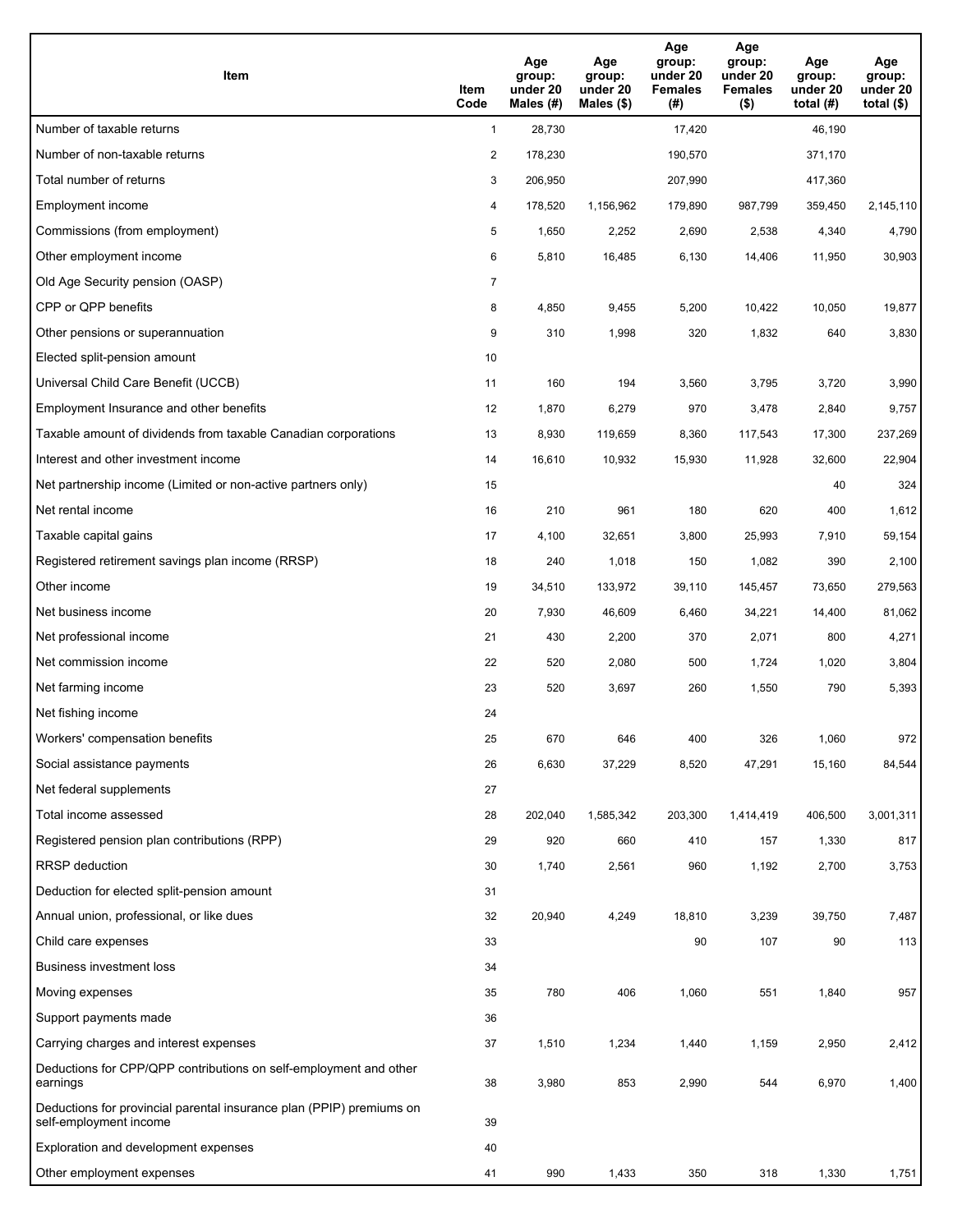| Item                                                                                           | Item<br>Code   | Age<br>group:<br>under 20<br>Males (#) | Age<br>group:<br>under 20<br>Males (\$) | Age<br>group:<br>under 20<br><b>Females</b><br>(#) | Age<br>group:<br>under 20<br><b>Females</b><br>$($ \$) | Age<br>group:<br>under 20<br>total $(H)$ | Age<br>group:<br>under 20<br>total $($)$ |
|------------------------------------------------------------------------------------------------|----------------|----------------------------------------|-----------------------------------------|----------------------------------------------------|--------------------------------------------------------|------------------------------------------|------------------------------------------|
| Number of taxable returns                                                                      | $\mathbf{1}$   | 28,730                                 |                                         | 17,420                                             |                                                        | 46,190                                   |                                          |
| Number of non-taxable returns                                                                  | $\overline{2}$ | 178,230                                |                                         | 190,570                                            |                                                        | 371,170                                  |                                          |
| Total number of returns                                                                        | 3              | 206,950                                |                                         | 207,990                                            |                                                        | 417,360                                  |                                          |
| Employment income                                                                              | 4              | 178,520                                | 1,156,962                               | 179,890                                            | 987,799                                                | 359,450                                  | 2,145,110                                |
| Commissions (from employment)                                                                  | 5              | 1,650                                  | 2,252                                   | 2,690                                              | 2,538                                                  | 4,340                                    | 4,790                                    |
| Other employment income                                                                        | 6              | 5,810                                  | 16,485                                  | 6,130                                              | 14,406                                                 | 11,950                                   | 30,903                                   |
| Old Age Security pension (OASP)                                                                | $\overline{7}$ |                                        |                                         |                                                    |                                                        |                                          |                                          |
| CPP or QPP benefits                                                                            | 8              | 4,850                                  | 9,455                                   | 5,200                                              | 10,422                                                 | 10,050                                   | 19,877                                   |
| Other pensions or superannuation                                                               | 9              | 310                                    | 1,998                                   | 320                                                | 1,832                                                  | 640                                      | 3,830                                    |
| Elected split-pension amount                                                                   | 10             |                                        |                                         |                                                    |                                                        |                                          |                                          |
| Universal Child Care Benefit (UCCB)                                                            | 11             | 160                                    | 194                                     | 3,560                                              | 3,795                                                  | 3,720                                    | 3,990                                    |
| Employment Insurance and other benefits                                                        | 12             | 1,870                                  | 6,279                                   | 970                                                | 3,478                                                  | 2,840                                    | 9,757                                    |
| Taxable amount of dividends from taxable Canadian corporations                                 | 13             | 8,930                                  | 119,659                                 | 8,360                                              | 117,543                                                | 17,300                                   | 237,269                                  |
| Interest and other investment income                                                           | 14             | 16,610                                 | 10,932                                  | 15,930                                             | 11,928                                                 | 32,600                                   | 22,904                                   |
| Net partnership income (Limited or non-active partners only)                                   | 15             |                                        |                                         |                                                    |                                                        | 40                                       | 324                                      |
| Net rental income                                                                              | 16             | 210                                    | 961                                     | 180                                                | 620                                                    | 400                                      | 1,612                                    |
| Taxable capital gains                                                                          | 17             | 4,100                                  | 32,651                                  | 3,800                                              | 25,993                                                 | 7,910                                    | 59,154                                   |
| Registered retirement savings plan income (RRSP)                                               | 18             | 240                                    | 1,018                                   | 150                                                | 1,082                                                  | 390                                      | 2,100                                    |
| Other income                                                                                   | 19             | 34,510                                 | 133,972                                 | 39,110                                             | 145,457                                                | 73,650                                   | 279,563                                  |
| Net business income                                                                            | 20             | 7,930                                  | 46,609                                  | 6,460                                              | 34,221                                                 | 14,400                                   | 81,062                                   |
| Net professional income                                                                        | 21             | 430                                    | 2,200                                   | 370                                                | 2,071                                                  | 800                                      | 4,271                                    |
| Net commission income                                                                          | 22             | 520                                    | 2,080                                   | 500                                                | 1,724                                                  | 1,020                                    | 3,804                                    |
| Net farming income                                                                             | 23             | 520                                    | 3,697                                   | 260                                                | 1,550                                                  | 790                                      | 5,393                                    |
| Net fishing income                                                                             | 24             |                                        |                                         |                                                    |                                                        |                                          |                                          |
| Workers' compensation benefits                                                                 | 25             | 670                                    | 646                                     | 400                                                | 326                                                    | 1,060                                    | 972                                      |
| Social assistance payments                                                                     | 26             | 6,630                                  | 37,229                                  | 8,520                                              | 47,291                                                 | 15,160                                   | 84,544                                   |
| Net federal supplements                                                                        | 27             |                                        |                                         |                                                    |                                                        |                                          |                                          |
| Total income assessed                                                                          | 28             | 202,040                                | 1,585,342                               | 203,300                                            | 1,414,419                                              | 406,500                                  | 3,001,311                                |
| Registered pension plan contributions (RPP)                                                    | 29             | 920                                    | 660                                     | 410                                                | 157                                                    | 1,330                                    | 817                                      |
| RRSP deduction                                                                                 | 30             | 1,740                                  | 2,561                                   | 960                                                | 1,192                                                  | 2,700                                    | 3,753                                    |
| Deduction for elected split-pension amount                                                     | 31             |                                        |                                         |                                                    |                                                        |                                          |                                          |
| Annual union, professional, or like dues                                                       | 32             | 20,940                                 | 4,249                                   | 18,810                                             | 3,239                                                  | 39,750                                   | 7,487                                    |
| Child care expenses                                                                            | 33             |                                        |                                         | 90                                                 | 107                                                    | 90                                       | 113                                      |
| Business investment loss                                                                       | 34             |                                        |                                         |                                                    |                                                        |                                          |                                          |
| Moving expenses                                                                                | 35             | 780                                    | 406                                     | 1,060                                              | 551                                                    | 1,840                                    | 957                                      |
| Support payments made                                                                          | 36             |                                        |                                         |                                                    |                                                        |                                          |                                          |
| Carrying charges and interest expenses                                                         | 37             | 1,510                                  | 1,234                                   | 1,440                                              | 1,159                                                  | 2,950                                    | 2,412                                    |
| Deductions for CPP/QPP contributions on self-employment and other<br>earnings                  | 38             | 3,980                                  | 853                                     | 2,990                                              | 544                                                    | 6,970                                    | 1,400                                    |
| Deductions for provincial parental insurance plan (PPIP) premiums on<br>self-employment income | 39             |                                        |                                         |                                                    |                                                        |                                          |                                          |
| Exploration and development expenses                                                           | 40             |                                        |                                         |                                                    |                                                        |                                          |                                          |
| Other employment expenses                                                                      | 41             | 990                                    | 1,433                                   | 350                                                | 318                                                    | 1,330                                    | 1,751                                    |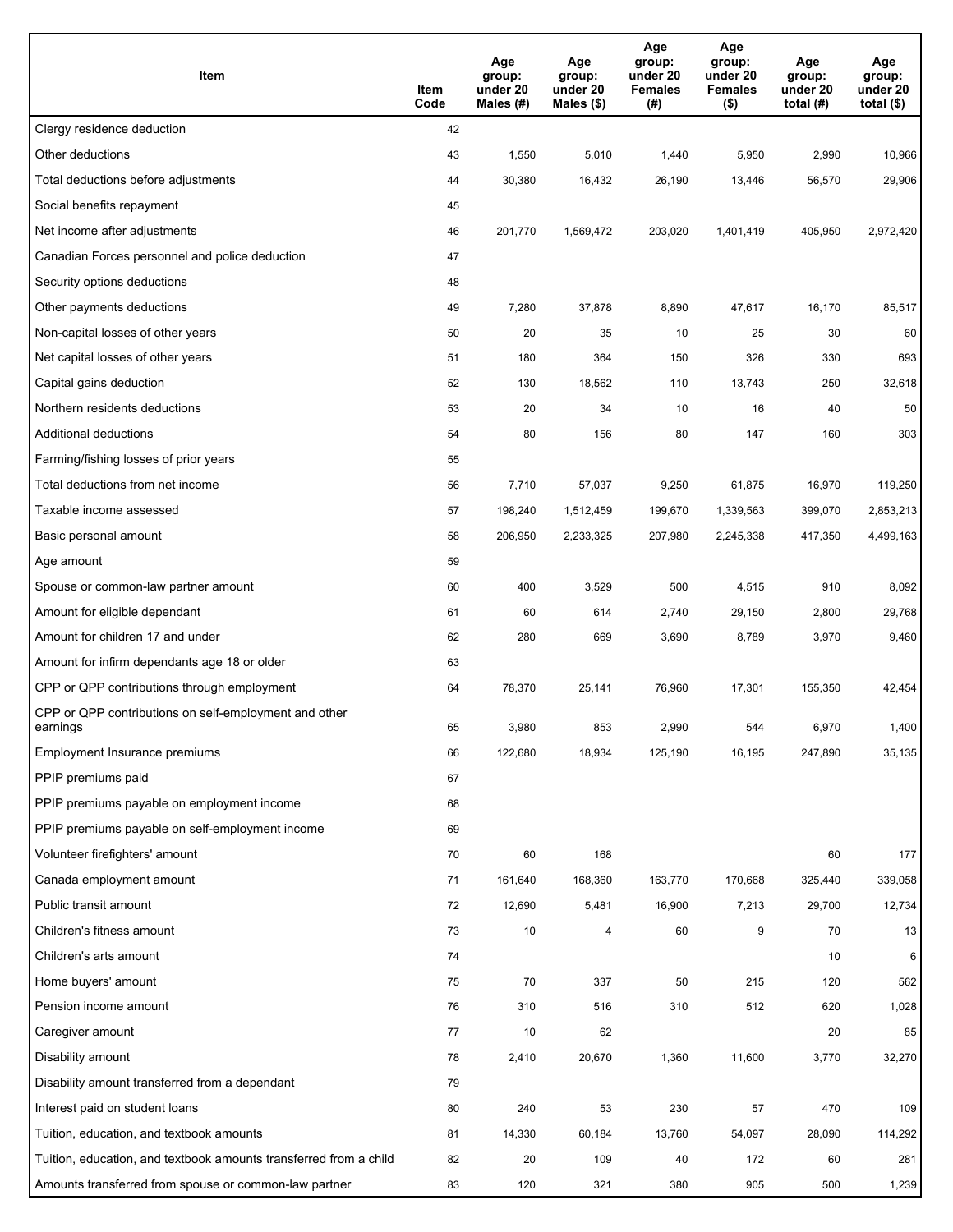| Item                                                              | Item<br>Code | Age<br>group:<br>under 20<br>Males $(H)$ | Age<br>group:<br>under 20<br>Males (\$) | Age<br>group:<br>under 20<br><b>Females</b><br>(#) | Age<br>group:<br>under 20<br><b>Females</b><br>$($ \$) | Age<br>group:<br>under 20<br>total $(H)$ | Age<br>group:<br>under 20<br>total $($)$ |
|-------------------------------------------------------------------|--------------|------------------------------------------|-----------------------------------------|----------------------------------------------------|--------------------------------------------------------|------------------------------------------|------------------------------------------|
| Clergy residence deduction                                        | 42           |                                          |                                         |                                                    |                                                        |                                          |                                          |
| Other deductions                                                  | 43           | 1,550                                    | 5,010                                   | 1,440                                              | 5,950                                                  | 2,990                                    | 10,966                                   |
| Total deductions before adjustments                               | 44           | 30,380                                   | 16,432                                  | 26,190                                             | 13,446                                                 | 56,570                                   | 29,906                                   |
| Social benefits repayment                                         | 45           |                                          |                                         |                                                    |                                                        |                                          |                                          |
| Net income after adjustments                                      | 46           | 201,770                                  | 1,569,472                               | 203,020                                            | 1,401,419                                              | 405,950                                  | 2,972,420                                |
| Canadian Forces personnel and police deduction                    | 47           |                                          |                                         |                                                    |                                                        |                                          |                                          |
| Security options deductions                                       | 48           |                                          |                                         |                                                    |                                                        |                                          |                                          |
| Other payments deductions                                         | 49           | 7,280                                    | 37,878                                  | 8,890                                              | 47,617                                                 | 16,170                                   | 85,517                                   |
| Non-capital losses of other years                                 | 50           | 20                                       | 35                                      | 10                                                 | 25                                                     | 30                                       | 60                                       |
| Net capital losses of other years                                 | 51           | 180                                      | 364                                     | 150                                                | 326                                                    | 330                                      | 693                                      |
| Capital gains deduction                                           | 52           | 130                                      | 18,562                                  | 110                                                | 13,743                                                 | 250                                      | 32,618                                   |
| Northern residents deductions                                     | 53           | 20                                       | 34                                      | 10                                                 | 16                                                     | 40                                       | 50                                       |
| Additional deductions                                             | 54           | 80                                       | 156                                     | 80                                                 | 147                                                    | 160                                      | 303                                      |
| Farming/fishing losses of prior years                             | 55           |                                          |                                         |                                                    |                                                        |                                          |                                          |
| Total deductions from net income                                  | 56           | 7,710                                    | 57,037                                  | 9,250                                              | 61,875                                                 | 16,970                                   | 119,250                                  |
| Taxable income assessed                                           | 57           | 198,240                                  | 1,512,459                               | 199,670                                            | 1,339,563                                              | 399,070                                  | 2,853,213                                |
| Basic personal amount                                             | 58           | 206,950                                  | 2,233,325                               | 207,980                                            | 2,245,338                                              | 417,350                                  | 4,499,163                                |
| Age amount                                                        | 59           |                                          |                                         |                                                    |                                                        |                                          |                                          |
| Spouse or common-law partner amount                               | 60           | 400                                      | 3,529                                   | 500                                                | 4,515                                                  | 910                                      | 8,092                                    |
| Amount for eligible dependant                                     | 61           | 60                                       | 614                                     | 2,740                                              | 29,150                                                 | 2,800                                    | 29,768                                   |
| Amount for children 17 and under                                  | 62           | 280                                      | 669                                     | 3,690                                              | 8,789                                                  | 3,970                                    | 9,460                                    |
| Amount for infirm dependants age 18 or older                      | 63           |                                          |                                         |                                                    |                                                        |                                          |                                          |
| CPP or QPP contributions through employment                       | 64           | 78,370                                   | 25,141                                  | 76,960                                             | 17,301                                                 | 155,350                                  | 42,454                                   |
| CPP or QPP contributions on self-employment and other<br>earnings | 65           | 3,980                                    | 853                                     | 2,990                                              | 544                                                    | 6,970                                    | 1,400                                    |
| Employment Insurance premiums                                     | 66           | 122,680                                  | 18,934                                  | 125,190                                            | 16,195                                                 | 247,890                                  | 35,135                                   |
| PPIP premiums paid                                                | 67           |                                          |                                         |                                                    |                                                        |                                          |                                          |
| PPIP premiums payable on employment income                        | 68           |                                          |                                         |                                                    |                                                        |                                          |                                          |
| PPIP premiums payable on self-employment income                   | 69           |                                          |                                         |                                                    |                                                        |                                          |                                          |
| Volunteer firefighters' amount                                    | 70           | 60                                       | 168                                     |                                                    |                                                        | 60                                       | 177                                      |
| Canada employment amount                                          | 71           | 161,640                                  | 168,360                                 | 163,770                                            | 170,668                                                | 325,440                                  | 339,058                                  |
| Public transit amount                                             | 72           | 12,690                                   | 5,481                                   | 16,900                                             | 7,213                                                  | 29,700                                   | 12,734                                   |
| Children's fitness amount                                         | 73           | 10                                       | 4                                       | 60                                                 | 9                                                      | 70                                       | 13                                       |
| Children's arts amount                                            | 74           |                                          |                                         |                                                    |                                                        | 10                                       | 6                                        |
| Home buyers' amount                                               | 75           | 70                                       | 337                                     | 50                                                 | 215                                                    | 120                                      | 562                                      |
| Pension income amount                                             | 76           | 310                                      | 516                                     | 310                                                | 512                                                    | 620                                      | 1,028                                    |
| Caregiver amount                                                  | 77           | 10                                       | 62                                      |                                                    |                                                        | 20                                       | 85                                       |
| Disability amount                                                 | 78           | 2,410                                    | 20,670                                  | 1,360                                              | 11,600                                                 | 3,770                                    | 32,270                                   |
| Disability amount transferred from a dependant                    | 79           |                                          |                                         |                                                    |                                                        |                                          |                                          |
| Interest paid on student loans                                    | 80           | 240                                      | 53                                      | 230                                                | 57                                                     | 470                                      | 109                                      |
| Tuition, education, and textbook amounts                          | 81           | 14,330                                   | 60,184                                  | 13,760                                             | 54,097                                                 | 28,090                                   | 114,292                                  |
| Tuition, education, and textbook amounts transferred from a child | 82           | 20                                       | 109                                     | 40                                                 | 172                                                    | 60                                       | 281                                      |
| Amounts transferred from spouse or common-law partner             | 83           | 120                                      | 321                                     | 380                                                | 905                                                    | 500                                      | 1,239                                    |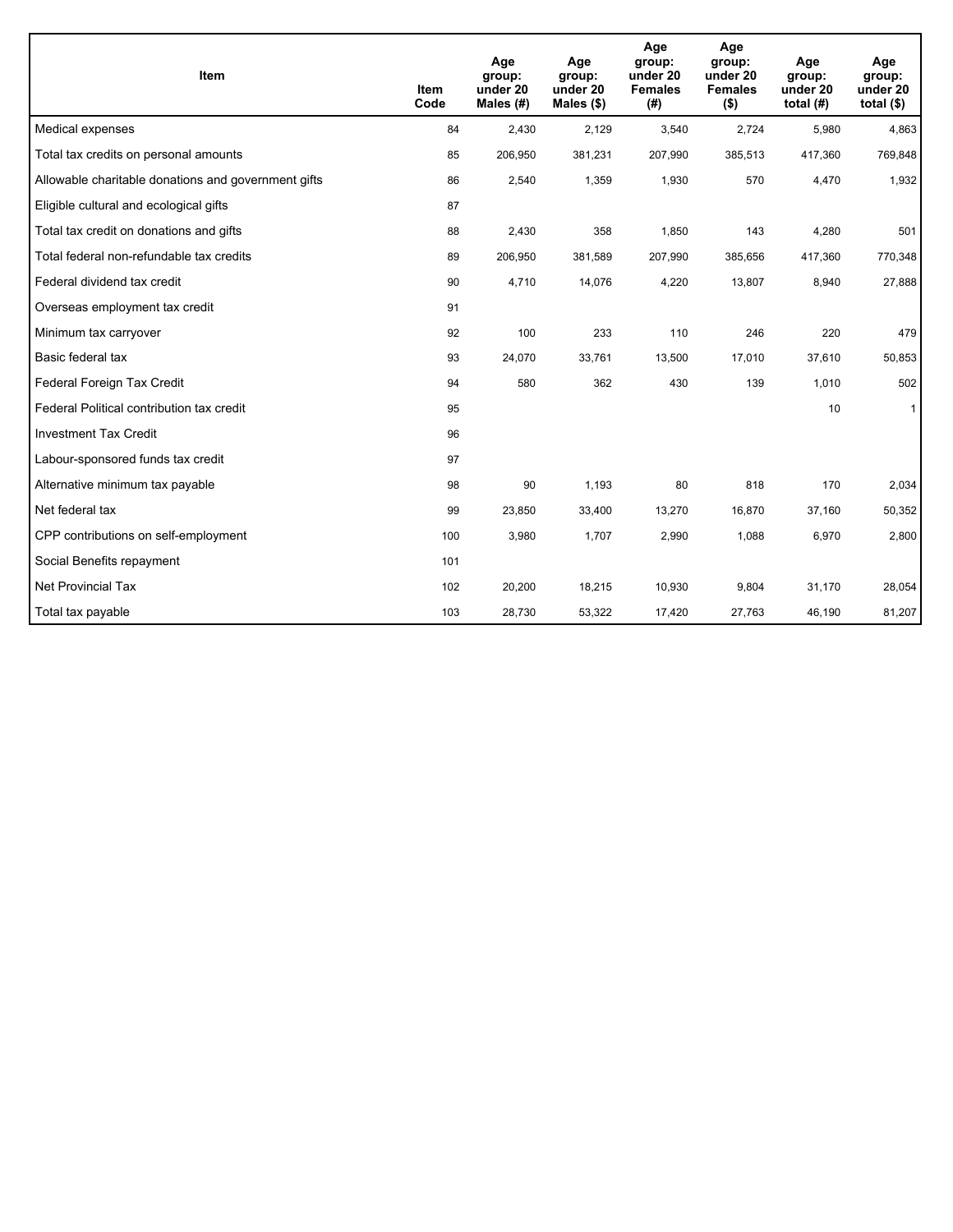| Item                                                | <b>Item</b><br>Code | Age<br>group:<br>under 20<br>Males (#) | Age<br>group:<br>under 20<br>Males $(\$)$ | Age<br>group:<br>under 20<br><b>Females</b><br>(#) | Age<br>group:<br>under 20<br><b>Females</b><br>$($ \$) | Age<br>group:<br>under 20<br>total $(H)$ | Age<br>group:<br>under 20<br>total $($)$ |
|-----------------------------------------------------|---------------------|----------------------------------------|-------------------------------------------|----------------------------------------------------|--------------------------------------------------------|------------------------------------------|------------------------------------------|
| Medical expenses                                    | 84                  | 2,430                                  | 2,129                                     | 3,540                                              | 2,724                                                  | 5,980                                    | 4,863                                    |
| Total tax credits on personal amounts               | 85                  | 206,950                                | 381,231                                   | 207,990                                            | 385,513                                                | 417,360                                  | 769,848                                  |
| Allowable charitable donations and government gifts | 86                  | 2,540                                  | 1,359                                     | 1,930                                              | 570                                                    | 4,470                                    | 1,932                                    |
| Eligible cultural and ecological gifts              | 87                  |                                        |                                           |                                                    |                                                        |                                          |                                          |
| Total tax credit on donations and gifts             | 88                  | 2,430                                  | 358                                       | 1,850                                              | 143                                                    | 4,280                                    | 501                                      |
| Total federal non-refundable tax credits            | 89                  | 206,950                                | 381,589                                   | 207,990                                            | 385,656                                                | 417,360                                  | 770,348                                  |
| Federal dividend tax credit                         | 90                  | 4,710                                  | 14,076                                    | 4,220                                              | 13,807                                                 | 8,940                                    | 27,888                                   |
| Overseas employment tax credit                      | 91                  |                                        |                                           |                                                    |                                                        |                                          |                                          |
| Minimum tax carryover                               | 92                  | 100                                    | 233                                       | 110                                                | 246                                                    | 220                                      | 479                                      |
| Basic federal tax                                   | 93                  | 24,070                                 | 33,761                                    | 13,500                                             | 17,010                                                 | 37,610                                   | 50,853                                   |
| Federal Foreign Tax Credit                          | 94                  | 580                                    | 362                                       | 430                                                | 139                                                    | 1,010                                    | 502                                      |
| Federal Political contribution tax credit           | 95                  |                                        |                                           |                                                    |                                                        | 10                                       | $\mathbf{1}$                             |
| <b>Investment Tax Credit</b>                        | 96                  |                                        |                                           |                                                    |                                                        |                                          |                                          |
| Labour-sponsored funds tax credit                   | 97                  |                                        |                                           |                                                    |                                                        |                                          |                                          |
| Alternative minimum tax payable                     | 98                  | 90                                     | 1,193                                     | 80                                                 | 818                                                    | 170                                      | 2,034                                    |
| Net federal tax                                     | 99                  | 23,850                                 | 33,400                                    | 13,270                                             | 16,870                                                 | 37,160                                   | 50,352                                   |
| CPP contributions on self-employment                | 100                 | 3,980                                  | 1,707                                     | 2,990                                              | 1,088                                                  | 6,970                                    | 2,800                                    |
| Social Benefits repayment                           | 101                 |                                        |                                           |                                                    |                                                        |                                          |                                          |
| <b>Net Provincial Tax</b>                           | 102                 | 20,200                                 | 18,215                                    | 10,930                                             | 9,804                                                  | 31,170                                   | 28,054                                   |
| Total tax payable                                   | 103                 | 28,730                                 | 53,322                                    | 17,420                                             | 27,763                                                 | 46,190                                   | 81,207                                   |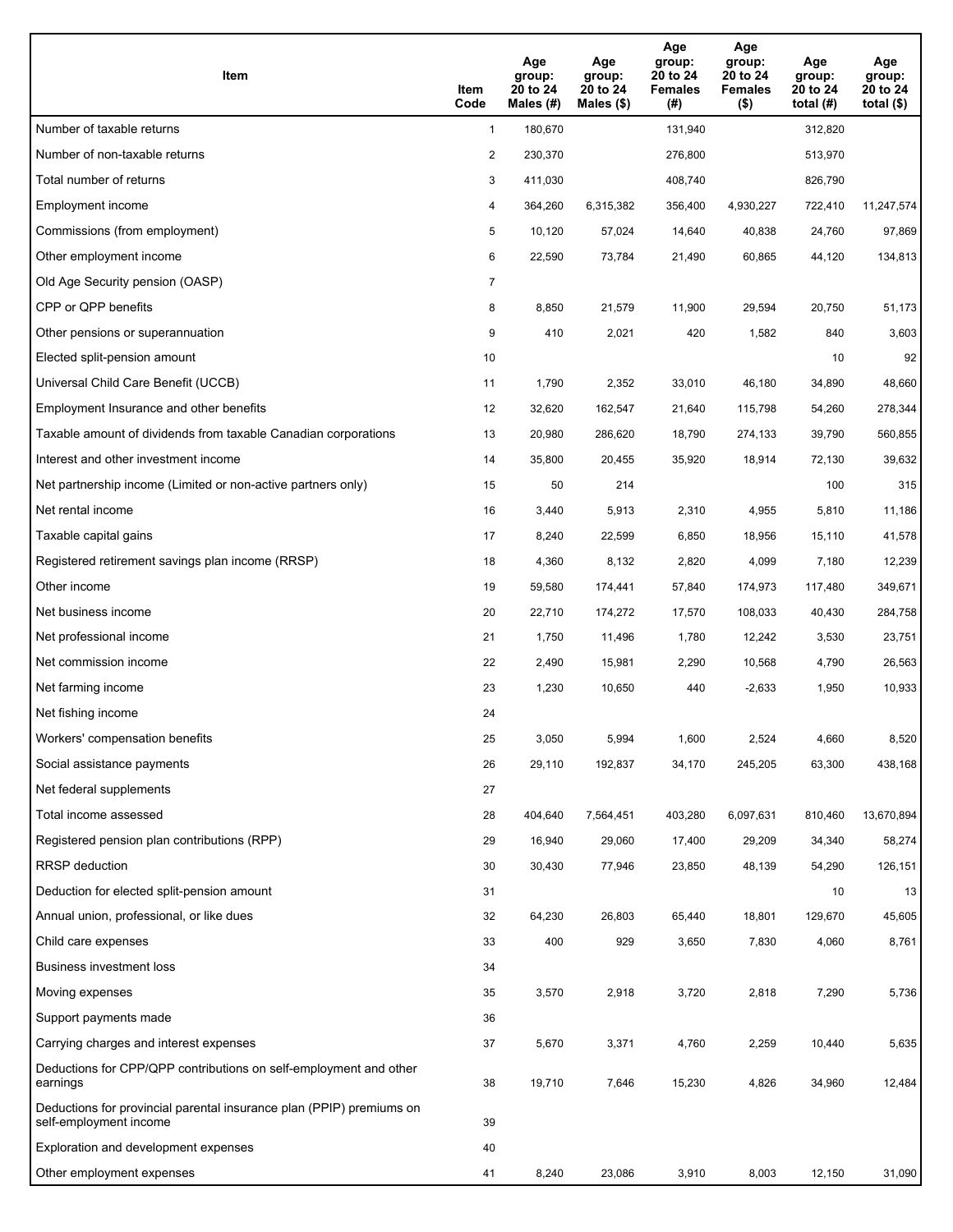| <b>Item</b>                                                                                    | Item<br>Code   | Age<br>group:<br>20 to 24<br>Males $(H)$ | Age<br>group:<br>20 to 24<br>Males (\$) | Age<br>group:<br>20 to 24<br><b>Females</b><br>(#) | Age<br>group:<br>20 to 24<br><b>Females</b><br>$($ \$) | Age<br>group:<br>20 to 24<br>total $(H)$ | Age<br>group:<br>20 to 24<br>total $(\$)$ |
|------------------------------------------------------------------------------------------------|----------------|------------------------------------------|-----------------------------------------|----------------------------------------------------|--------------------------------------------------------|------------------------------------------|-------------------------------------------|
| Number of taxable returns                                                                      | $\mathbf{1}$   | 180,670                                  |                                         | 131,940                                            |                                                        | 312,820                                  |                                           |
| Number of non-taxable returns                                                                  | $\overline{2}$ | 230,370                                  |                                         | 276,800                                            |                                                        | 513,970                                  |                                           |
| Total number of returns                                                                        | 3              | 411,030                                  |                                         | 408,740                                            |                                                        | 826,790                                  |                                           |
| Employment income                                                                              | 4              | 364,260                                  | 6,315,382                               | 356,400                                            | 4,930,227                                              | 722,410                                  | 11,247,574                                |
| Commissions (from employment)                                                                  | 5              | 10,120                                   | 57,024                                  | 14,640                                             | 40,838                                                 | 24,760                                   | 97,869                                    |
| Other employment income                                                                        | 6              | 22,590                                   | 73,784                                  | 21,490                                             | 60,865                                                 | 44,120                                   | 134,813                                   |
| Old Age Security pension (OASP)                                                                | $\overline{7}$ |                                          |                                         |                                                    |                                                        |                                          |                                           |
| CPP or QPP benefits                                                                            | 8              | 8,850                                    | 21,579                                  | 11,900                                             | 29,594                                                 | 20,750                                   | 51,173                                    |
| Other pensions or superannuation                                                               | 9              | 410                                      | 2,021                                   | 420                                                | 1,582                                                  | 840                                      | 3,603                                     |
| Elected split-pension amount                                                                   | 10             |                                          |                                         |                                                    |                                                        | 10                                       | 92                                        |
| Universal Child Care Benefit (UCCB)                                                            | 11             | 1,790                                    | 2,352                                   | 33,010                                             | 46,180                                                 | 34,890                                   | 48,660                                    |
| Employment Insurance and other benefits                                                        | 12             | 32,620                                   | 162,547                                 | 21,640                                             | 115,798                                                | 54,260                                   | 278,344                                   |
| Taxable amount of dividends from taxable Canadian corporations                                 | 13             | 20,980                                   | 286,620                                 | 18,790                                             | 274,133                                                | 39,790                                   | 560,855                                   |
| Interest and other investment income                                                           | 14             | 35,800                                   | 20,455                                  | 35,920                                             | 18,914                                                 | 72,130                                   | 39,632                                    |
| Net partnership income (Limited or non-active partners only)                                   | 15             | 50                                       | 214                                     |                                                    |                                                        | 100                                      | 315                                       |
| Net rental income                                                                              | 16             | 3,440                                    | 5,913                                   | 2,310                                              | 4,955                                                  | 5,810                                    | 11,186                                    |
| Taxable capital gains                                                                          | 17             | 8,240                                    | 22,599                                  | 6,850                                              | 18,956                                                 | 15,110                                   | 41,578                                    |
| Registered retirement savings plan income (RRSP)                                               | 18             | 4,360                                    | 8,132                                   | 2,820                                              | 4,099                                                  | 7,180                                    | 12,239                                    |
| Other income                                                                                   | 19             | 59,580                                   | 174,441                                 | 57,840                                             | 174,973                                                | 117,480                                  | 349,671                                   |
| Net business income                                                                            | 20             | 22,710                                   | 174,272                                 | 17,570                                             | 108,033                                                | 40,430                                   | 284,758                                   |
| Net professional income                                                                        | 21             | 1,750                                    | 11,496                                  | 1,780                                              | 12,242                                                 | 3,530                                    | 23,751                                    |
| Net commission income                                                                          | 22             | 2,490                                    | 15,981                                  | 2,290                                              | 10,568                                                 | 4,790                                    | 26,563                                    |
| Net farming income                                                                             | 23             | 1,230                                    | 10,650                                  | 440                                                | $-2,633$                                               | 1,950                                    | 10,933                                    |
| Net fishing income                                                                             | 24             |                                          |                                         |                                                    |                                                        |                                          |                                           |
| Workers' compensation benefits                                                                 | 25             | 3,050                                    | 5,994                                   | 1,600                                              | 2,524                                                  | 4,660                                    | 8,520                                     |
| Social assistance payments                                                                     | 26             | 29,110                                   | 192,837                                 | 34,170                                             | 245,205                                                | 63,300                                   | 438,168                                   |
| Net federal supplements                                                                        | 27             |                                          |                                         |                                                    |                                                        |                                          |                                           |
| Total income assessed                                                                          | 28             | 404,640                                  | 7,564,451                               | 403,280                                            | 6,097,631                                              | 810,460                                  | 13,670,894                                |
| Registered pension plan contributions (RPP)                                                    | 29             | 16,940                                   | 29,060                                  | 17,400                                             | 29,209                                                 | 34,340                                   | 58,274                                    |
| RRSP deduction                                                                                 | 30             | 30,430                                   | 77,946                                  | 23,850                                             | 48,139                                                 | 54,290                                   | 126,151                                   |
| Deduction for elected split-pension amount                                                     | 31             |                                          |                                         |                                                    |                                                        | 10                                       | 13                                        |
| Annual union, professional, or like dues                                                       | 32             | 64,230                                   | 26,803                                  | 65,440                                             | 18,801                                                 | 129,670                                  | 45,605                                    |
| Child care expenses                                                                            | 33             | 400                                      | 929                                     | 3,650                                              | 7,830                                                  | 4,060                                    | 8,761                                     |
| Business investment loss                                                                       | 34             |                                          |                                         |                                                    |                                                        |                                          |                                           |
| Moving expenses                                                                                | 35             | 3,570                                    | 2,918                                   | 3,720                                              | 2,818                                                  | 7,290                                    | 5,736                                     |
| Support payments made                                                                          | 36             |                                          |                                         |                                                    |                                                        |                                          |                                           |
| Carrying charges and interest expenses                                                         | 37             | 5,670                                    | 3,371                                   | 4,760                                              | 2,259                                                  | 10,440                                   | 5,635                                     |
| Deductions for CPP/QPP contributions on self-employment and other<br>earnings                  | 38             | 19,710                                   | 7,646                                   | 15,230                                             | 4,826                                                  | 34,960                                   | 12,484                                    |
| Deductions for provincial parental insurance plan (PPIP) premiums on<br>self-employment income | 39             |                                          |                                         |                                                    |                                                        |                                          |                                           |
| Exploration and development expenses                                                           | 40             |                                          |                                         |                                                    |                                                        |                                          |                                           |
| Other employment expenses                                                                      | 41             | 8,240                                    | 23,086                                  | 3,910                                              | 8,003                                                  | 12,150                                   | 31,090                                    |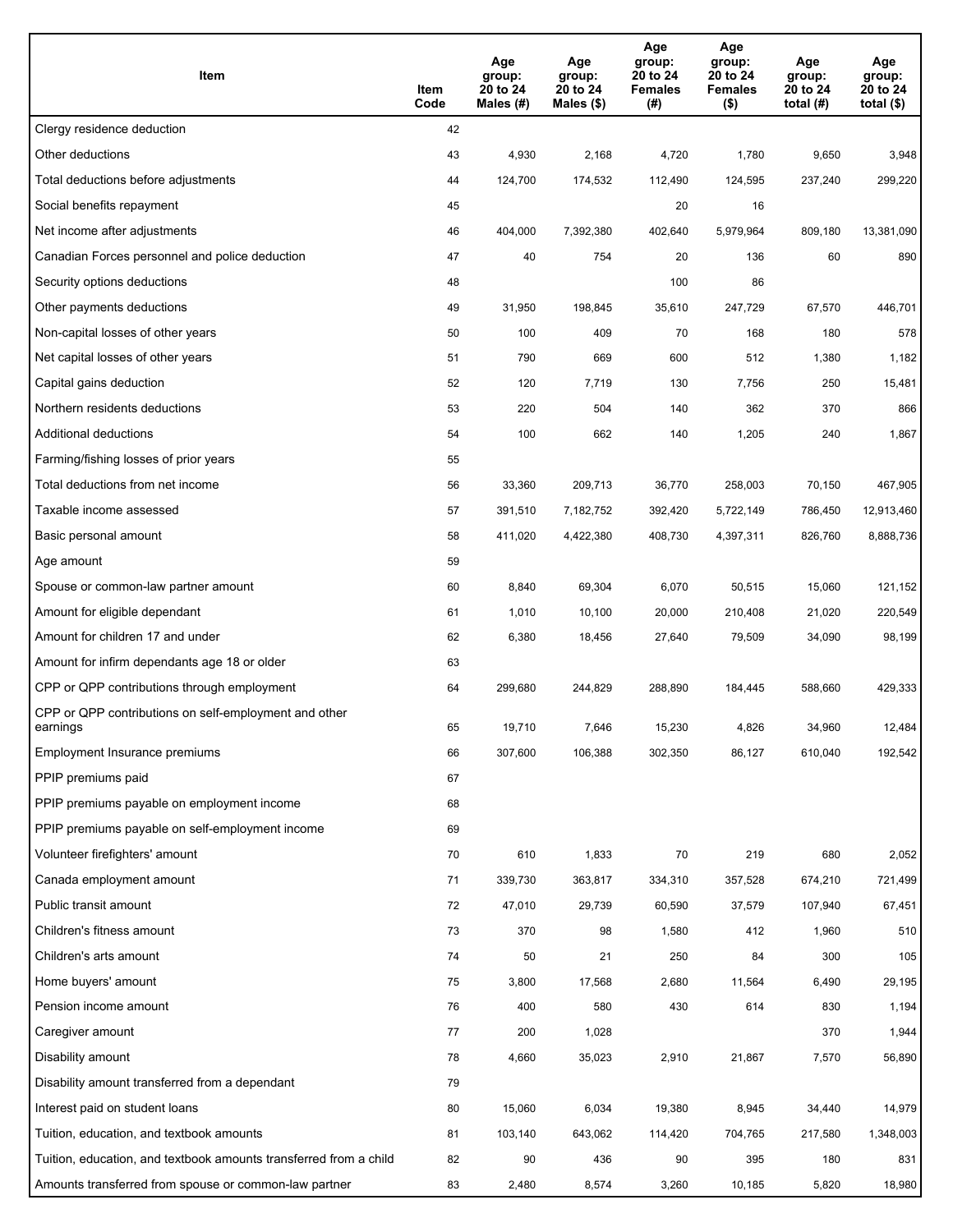| Item                                                              | Item<br>Code | Age<br>group:<br>20 to 24<br>Males (#) | Age<br>group:<br>20 to 24<br>Males (\$) | Age<br>group:<br>20 to 24<br><b>Females</b><br>(#) | Age<br>group:<br>20 to 24<br><b>Females</b><br>$($ \$) | Age<br>group:<br>20 to 24<br>total $(#)$ | Age<br>group:<br>20 to 24<br>total $($)$ |
|-------------------------------------------------------------------|--------------|----------------------------------------|-----------------------------------------|----------------------------------------------------|--------------------------------------------------------|------------------------------------------|------------------------------------------|
| Clergy residence deduction                                        | 42           |                                        |                                         |                                                    |                                                        |                                          |                                          |
| Other deductions                                                  | 43           | 4,930                                  | 2,168                                   | 4,720                                              | 1,780                                                  | 9,650                                    | 3,948                                    |
| Total deductions before adjustments                               | 44           | 124,700                                | 174,532                                 | 112,490                                            | 124,595                                                | 237,240                                  | 299,220                                  |
| Social benefits repayment                                         | 45           |                                        |                                         | 20                                                 | 16                                                     |                                          |                                          |
| Net income after adjustments                                      | 46           | 404,000                                | 7,392,380                               | 402,640                                            | 5,979,964                                              | 809,180                                  | 13,381,090                               |
| Canadian Forces personnel and police deduction                    | 47           | 40                                     | 754                                     | 20                                                 | 136                                                    | 60                                       | 890                                      |
| Security options deductions                                       | 48           |                                        |                                         | 100                                                | 86                                                     |                                          |                                          |
| Other payments deductions                                         | 49           | 31,950                                 | 198,845                                 | 35,610                                             | 247,729                                                | 67,570                                   | 446,701                                  |
| Non-capital losses of other years                                 | 50           | 100                                    | 409                                     | 70                                                 | 168                                                    | 180                                      | 578                                      |
| Net capital losses of other years                                 | 51           | 790                                    | 669                                     | 600                                                | 512                                                    | 1,380                                    | 1,182                                    |
| Capital gains deduction                                           | 52           | 120                                    | 7,719                                   | 130                                                | 7,756                                                  | 250                                      | 15,481                                   |
| Northern residents deductions                                     | 53           | 220                                    | 504                                     | 140                                                | 362                                                    | 370                                      | 866                                      |
| Additional deductions                                             | 54           | 100                                    | 662                                     | 140                                                | 1,205                                                  | 240                                      | 1,867                                    |
| Farming/fishing losses of prior years                             | 55           |                                        |                                         |                                                    |                                                        |                                          |                                          |
| Total deductions from net income                                  | 56           | 33,360                                 | 209,713                                 | 36,770                                             | 258,003                                                | 70,150                                   | 467,905                                  |
| Taxable income assessed                                           | 57           | 391,510                                | 7,182,752                               | 392,420                                            | 5,722,149                                              | 786,450                                  | 12,913,460                               |
| Basic personal amount                                             | 58           | 411,020                                | 4,422,380                               | 408,730                                            | 4,397,311                                              | 826,760                                  | 8,888,736                                |
| Age amount                                                        | 59           |                                        |                                         |                                                    |                                                        |                                          |                                          |
| Spouse or common-law partner amount                               | 60           | 8,840                                  | 69,304                                  | 6,070                                              | 50,515                                                 | 15,060                                   | 121,152                                  |
| Amount for eligible dependant                                     | 61           | 1,010                                  | 10,100                                  | 20,000                                             | 210,408                                                | 21,020                                   | 220,549                                  |
| Amount for children 17 and under                                  | 62           | 6,380                                  | 18,456                                  | 27,640                                             | 79,509                                                 | 34,090                                   | 98,199                                   |
| Amount for infirm dependants age 18 or older                      | 63           |                                        |                                         |                                                    |                                                        |                                          |                                          |
| CPP or QPP contributions through employment                       | 64           | 299,680                                | 244,829                                 | 288,890                                            | 184,445                                                | 588,660                                  | 429,333                                  |
| CPP or QPP contributions on self-employment and other<br>earnings | 65           | 19,710                                 | 7,646                                   | 15,230                                             | 4,826                                                  | 34,960                                   | 12,484                                   |
| Employment Insurance premiums                                     | 66           | 307,600                                | 106,388                                 | 302,350                                            | 86,127                                                 | 610,040                                  | 192,542                                  |
| PPIP premiums paid                                                | 67           |                                        |                                         |                                                    |                                                        |                                          |                                          |
| PPIP premiums payable on employment income                        | 68           |                                        |                                         |                                                    |                                                        |                                          |                                          |
| PPIP premiums payable on self-employment income                   | 69           |                                        |                                         |                                                    |                                                        |                                          |                                          |
| Volunteer firefighters' amount                                    | 70           | 610                                    | 1,833                                   | 70                                                 | 219                                                    | 680                                      | 2,052                                    |
| Canada employment amount                                          | 71           | 339,730                                | 363,817                                 | 334,310                                            | 357,528                                                | 674,210                                  | 721,499                                  |
| Public transit amount                                             | 72           | 47,010                                 | 29,739                                  | 60,590                                             | 37,579                                                 | 107,940                                  | 67,451                                   |
| Children's fitness amount                                         | 73           | 370                                    | 98                                      | 1,580                                              | 412                                                    | 1,960                                    | 510                                      |
| Children's arts amount                                            | 74           | 50                                     | 21                                      | 250                                                | 84                                                     | 300                                      | 105                                      |
| Home buyers' amount                                               | 75           | 3,800                                  | 17,568                                  | 2,680                                              | 11,564                                                 | 6,490                                    | 29,195                                   |
| Pension income amount                                             | 76           | 400                                    | 580                                     | 430                                                | 614                                                    | 830                                      | 1,194                                    |
| Caregiver amount                                                  | 77           | 200                                    | 1,028                                   |                                                    |                                                        | 370                                      | 1,944                                    |
| Disability amount                                                 | 78           | 4,660                                  | 35,023                                  | 2,910                                              | 21,867                                                 | 7,570                                    | 56,890                                   |
| Disability amount transferred from a dependant                    | 79           |                                        |                                         |                                                    |                                                        |                                          |                                          |
| Interest paid on student loans                                    | 80           | 15,060                                 | 6,034                                   | 19,380                                             | 8,945                                                  | 34,440                                   | 14,979                                   |
| Tuition, education, and textbook amounts                          | 81           | 103,140                                | 643,062                                 | 114,420                                            | 704,765                                                | 217,580                                  | 1,348,003                                |
| Tuition, education, and textbook amounts transferred from a child | 82           | 90                                     | 436                                     | 90                                                 | 395                                                    | 180                                      | 831                                      |
| Amounts transferred from spouse or common-law partner             | 83           | 2,480                                  | 8,574                                   | 3,260                                              | 10,185                                                 | 5,820                                    | 18,980                                   |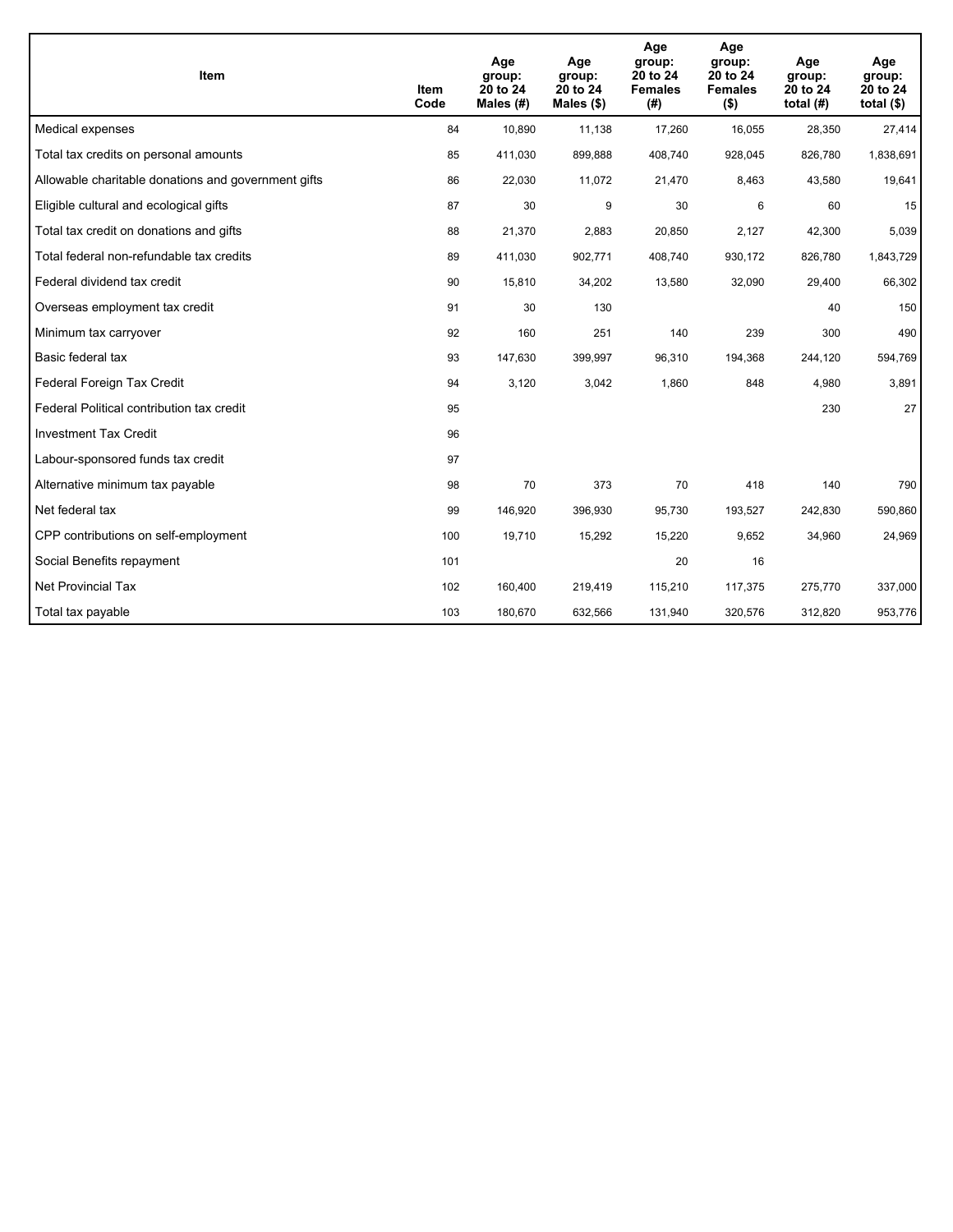| Item                                                | <b>Item</b><br>Code | Age<br>group:<br>20 to 24<br>Males (#) | Age<br>group:<br>20 to 24<br>Males $(\$)$ | Age<br>group:<br>20 to 24<br><b>Females</b><br>(#) | Age<br>group:<br>20 to 24<br><b>Females</b><br>$($ \$) | Age<br>group:<br>20 to 24<br>total $(H)$ | Age<br>group:<br>20 to 24<br>total $($)$ |
|-----------------------------------------------------|---------------------|----------------------------------------|-------------------------------------------|----------------------------------------------------|--------------------------------------------------------|------------------------------------------|------------------------------------------|
| Medical expenses                                    | 84                  | 10,890                                 | 11,138                                    | 17,260                                             | 16,055                                                 | 28,350                                   | 27,414                                   |
| Total tax credits on personal amounts               | 85                  | 411,030                                | 899,888                                   | 408,740                                            | 928,045                                                | 826,780                                  | 1,838,691                                |
| Allowable charitable donations and government gifts | 86                  | 22,030                                 | 11,072                                    | 21,470                                             | 8,463                                                  | 43,580                                   | 19,641                                   |
| Eligible cultural and ecological gifts              | 87                  | 30                                     | 9                                         | 30                                                 | 6                                                      | 60                                       | 15                                       |
| Total tax credit on donations and gifts             | 88                  | 21,370                                 | 2,883                                     | 20,850                                             | 2,127                                                  | 42,300                                   | 5,039                                    |
| Total federal non-refundable tax credits            | 89                  | 411,030                                | 902,771                                   | 408,740                                            | 930,172                                                | 826,780                                  | 1,843,729                                |
| Federal dividend tax credit                         | 90                  | 15,810                                 | 34,202                                    | 13,580                                             | 32,090                                                 | 29,400                                   | 66,302                                   |
| Overseas employment tax credit                      | 91                  | 30                                     | 130                                       |                                                    |                                                        | 40                                       | 150                                      |
| Minimum tax carryover                               | 92                  | 160                                    | 251                                       | 140                                                | 239                                                    | 300                                      | 490                                      |
| Basic federal tax                                   | 93                  | 147,630                                | 399,997                                   | 96,310                                             | 194,368                                                | 244,120                                  | 594,769                                  |
| Federal Foreign Tax Credit                          | 94                  | 3,120                                  | 3,042                                     | 1,860                                              | 848                                                    | 4,980                                    | 3,891                                    |
| Federal Political contribution tax credit           | 95                  |                                        |                                           |                                                    |                                                        | 230                                      | 27                                       |
| <b>Investment Tax Credit</b>                        | 96                  |                                        |                                           |                                                    |                                                        |                                          |                                          |
| Labour-sponsored funds tax credit                   | 97                  |                                        |                                           |                                                    |                                                        |                                          |                                          |
| Alternative minimum tax payable                     | 98                  | 70                                     | 373                                       | 70                                                 | 418                                                    | 140                                      | 790                                      |
| Net federal tax                                     | 99                  | 146,920                                | 396,930                                   | 95,730                                             | 193,527                                                | 242,830                                  | 590,860                                  |
| CPP contributions on self-employment                | 100                 | 19,710                                 | 15,292                                    | 15,220                                             | 9,652                                                  | 34,960                                   | 24,969                                   |
| Social Benefits repayment                           | 101                 |                                        |                                           | 20                                                 | 16                                                     |                                          |                                          |
| <b>Net Provincial Tax</b>                           | 102                 | 160,400                                | 219,419                                   | 115,210                                            | 117,375                                                | 275,770                                  | 337,000                                  |
| Total tax payable                                   | 103                 | 180,670                                | 632,566                                   | 131,940                                            | 320,576                                                | 312,820                                  | 953,776                                  |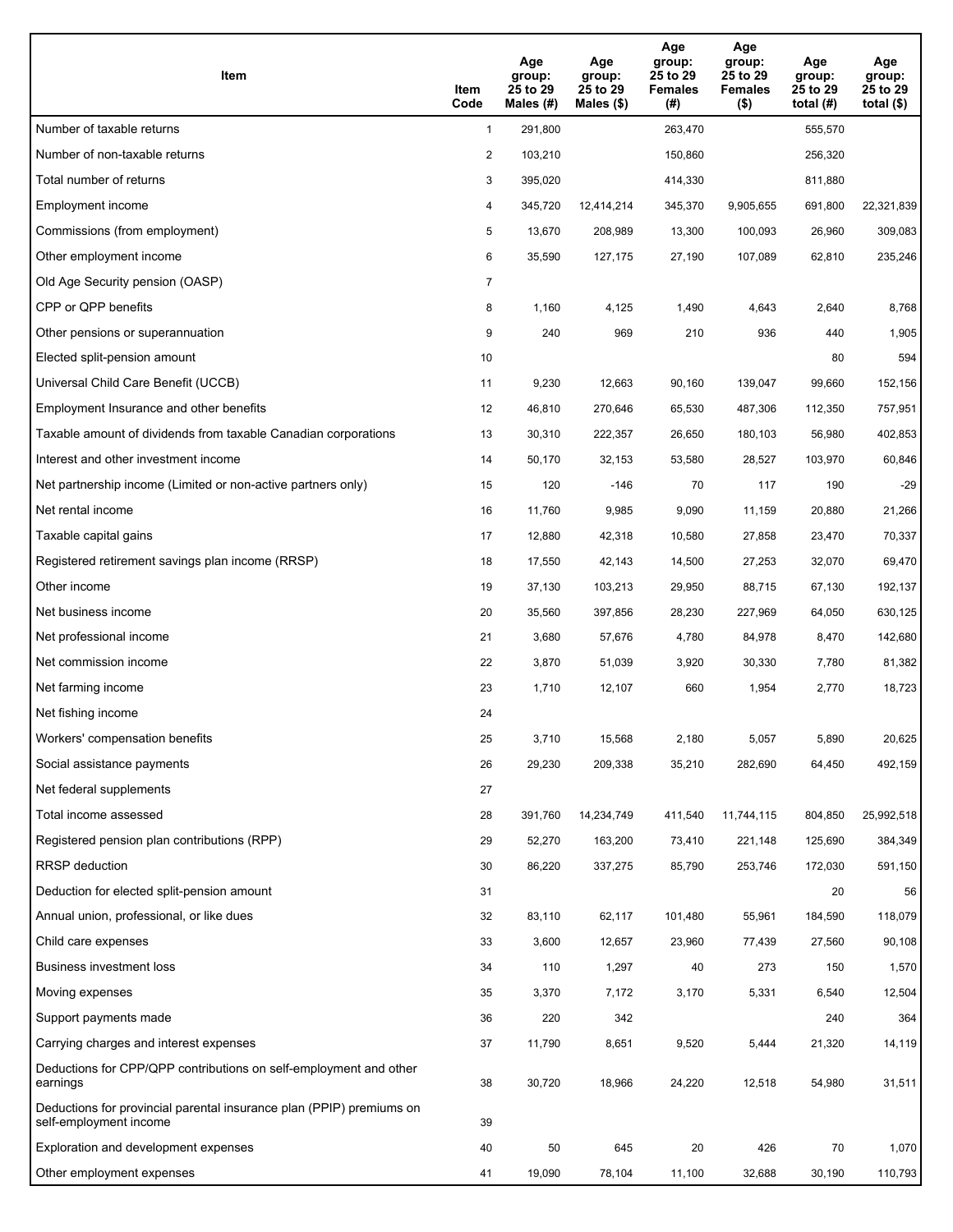| <b>Item</b>                                                                                    | Item<br>Code   | Age<br>group:<br>25 to 29<br>Males $(H)$ | Age<br>group:<br>25 to 29<br>Males $(\$)$ | Age<br>group:<br>25 to 29<br><b>Females</b><br>(#) | Age<br>group:<br>25 to 29<br><b>Females</b><br>$($ \$) | Age<br>group:<br>25 to 29<br>total $(H)$ | Age<br>group:<br>25 to 29<br>total $($)$ |
|------------------------------------------------------------------------------------------------|----------------|------------------------------------------|-------------------------------------------|----------------------------------------------------|--------------------------------------------------------|------------------------------------------|------------------------------------------|
| Number of taxable returns                                                                      | $\mathbf{1}$   | 291,800                                  |                                           | 263,470                                            |                                                        | 555,570                                  |                                          |
| Number of non-taxable returns                                                                  | $\overline{2}$ | 103,210                                  |                                           | 150,860                                            |                                                        | 256,320                                  |                                          |
| Total number of returns                                                                        | 3              | 395,020                                  |                                           | 414,330                                            |                                                        | 811,880                                  |                                          |
| Employment income                                                                              | 4              | 345,720                                  | 12,414,214                                | 345,370                                            | 9,905,655                                              | 691,800                                  | 22,321,839                               |
| Commissions (from employment)                                                                  | 5              | 13,670                                   | 208,989                                   | 13,300                                             | 100,093                                                | 26,960                                   | 309,083                                  |
| Other employment income                                                                        | 6              | 35,590                                   | 127,175                                   | 27,190                                             | 107,089                                                | 62,810                                   | 235,246                                  |
| Old Age Security pension (OASP)                                                                | $\overline{7}$ |                                          |                                           |                                                    |                                                        |                                          |                                          |
| CPP or QPP benefits                                                                            | 8              | 1,160                                    | 4,125                                     | 1,490                                              | 4,643                                                  | 2,640                                    | 8,768                                    |
| Other pensions or superannuation                                                               | 9              | 240                                      | 969                                       | 210                                                | 936                                                    | 440                                      | 1,905                                    |
| Elected split-pension amount                                                                   | 10             |                                          |                                           |                                                    |                                                        | 80                                       | 594                                      |
| Universal Child Care Benefit (UCCB)                                                            | 11             | 9,230                                    | 12.663                                    | 90,160                                             | 139,047                                                | 99,660                                   | 152,156                                  |
| Employment Insurance and other benefits                                                        | 12             | 46,810                                   | 270,646                                   | 65,530                                             | 487,306                                                | 112,350                                  | 757,951                                  |
| Taxable amount of dividends from taxable Canadian corporations                                 | 13             | 30,310                                   | 222,357                                   | 26,650                                             | 180,103                                                | 56,980                                   | 402,853                                  |
| Interest and other investment income                                                           | 14             | 50,170                                   | 32,153                                    | 53,580                                             | 28,527                                                 | 103,970                                  | 60,846                                   |
| Net partnership income (Limited or non-active partners only)                                   | 15             | 120                                      | $-146$                                    | 70                                                 | 117                                                    | 190                                      | $-29$                                    |
| Net rental income                                                                              | 16             | 11,760                                   | 9,985                                     | 9,090                                              | 11,159                                                 | 20,880                                   | 21,266                                   |
| Taxable capital gains                                                                          | 17             | 12,880                                   | 42,318                                    | 10,580                                             | 27,858                                                 | 23,470                                   | 70,337                                   |
| Registered retirement savings plan income (RRSP)                                               | 18             | 17,550                                   | 42,143                                    | 14,500                                             | 27,253                                                 | 32,070                                   | 69,470                                   |
| Other income                                                                                   | 19             | 37,130                                   | 103,213                                   | 29,950                                             | 88,715                                                 | 67,130                                   | 192,137                                  |
| Net business income                                                                            | 20             | 35,560                                   | 397,856                                   | 28,230                                             | 227,969                                                | 64,050                                   | 630,125                                  |
| Net professional income                                                                        | 21             | 3,680                                    | 57,676                                    | 4,780                                              | 84,978                                                 | 8,470                                    | 142,680                                  |
| Net commission income                                                                          | 22             | 3,870                                    | 51,039                                    | 3,920                                              | 30,330                                                 | 7,780                                    | 81,382                                   |
| Net farming income                                                                             | 23             | 1,710                                    | 12,107                                    | 660                                                | 1,954                                                  | 2,770                                    | 18,723                                   |
| Net fishing income                                                                             | 24             |                                          |                                           |                                                    |                                                        |                                          |                                          |
| Workers' compensation benefits                                                                 | 25             | 3,710                                    | 15,568                                    | 2,180                                              | 5,057                                                  | 5,890                                    | 20,625                                   |
| Social assistance payments                                                                     | 26             | 29,230                                   | 209,338                                   | 35,210                                             | 282,690                                                | 64,450                                   | 492,159                                  |
| Net federal supplements                                                                        | 27             |                                          |                                           |                                                    |                                                        |                                          |                                          |
| Total income assessed                                                                          | 28             | 391,760                                  | 14,234,749                                | 411,540                                            | 11,744,115                                             | 804,850                                  | 25,992,518                               |
| Registered pension plan contributions (RPP)                                                    | 29             | 52,270                                   | 163,200                                   | 73,410                                             | 221,148                                                | 125,690                                  | 384,349                                  |
| RRSP deduction                                                                                 | 30             | 86,220                                   | 337,275                                   | 85,790                                             | 253,746                                                | 172,030                                  | 591,150                                  |
| Deduction for elected split-pension amount                                                     | 31             |                                          |                                           |                                                    |                                                        | 20                                       | 56                                       |
| Annual union, professional, or like dues                                                       | 32             | 83,110                                   | 62,117                                    | 101,480                                            | 55,961                                                 | 184,590                                  | 118,079                                  |
| Child care expenses                                                                            | 33             | 3,600                                    | 12,657                                    | 23,960                                             | 77,439                                                 | 27,560                                   | 90,108                                   |
| <b>Business investment loss</b>                                                                | 34             | 110                                      | 1,297                                     | 40                                                 | 273                                                    | 150                                      | 1,570                                    |
| Moving expenses                                                                                | 35             | 3,370                                    | 7,172                                     | 3,170                                              | 5,331                                                  | 6,540                                    | 12,504                                   |
| Support payments made                                                                          | 36             | 220                                      | 342                                       |                                                    |                                                        | 240                                      | 364                                      |
| Carrying charges and interest expenses                                                         | 37             | 11,790                                   | 8,651                                     | 9,520                                              | 5,444                                                  | 21,320                                   | 14,119                                   |
| Deductions for CPP/QPP contributions on self-employment and other<br>earnings                  | 38             | 30,720                                   | 18,966                                    | 24,220                                             | 12,518                                                 | 54,980                                   | 31,511                                   |
| Deductions for provincial parental insurance plan (PPIP) premiums on<br>self-employment income | 39             |                                          |                                           |                                                    |                                                        |                                          |                                          |
| Exploration and development expenses                                                           | 40             | 50                                       | 645                                       | 20                                                 | 426                                                    | 70                                       | 1,070                                    |
| Other employment expenses                                                                      | 41             | 19,090                                   | 78,104                                    | 11,100                                             | 32,688                                                 | 30,190                                   | 110,793                                  |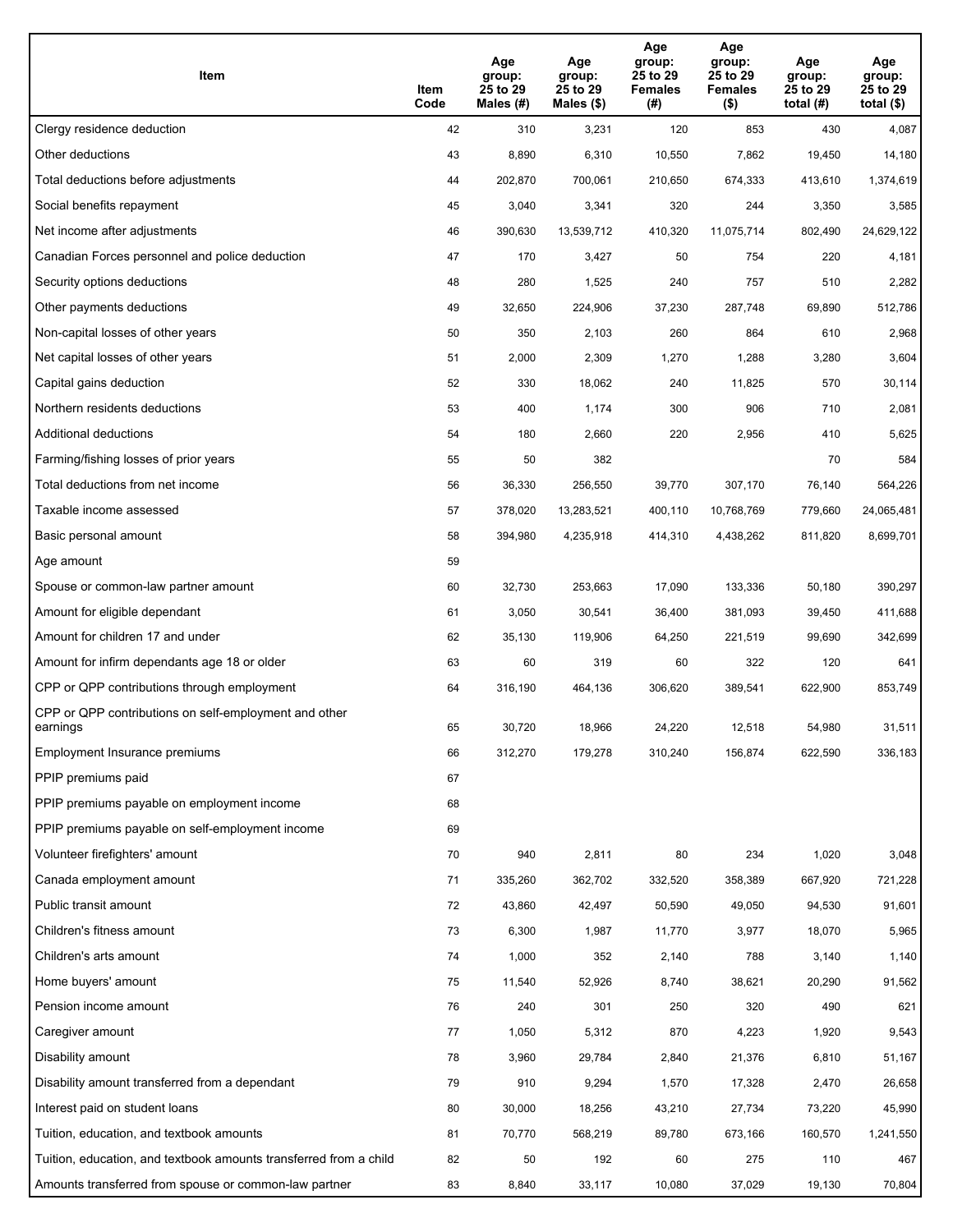| Item                                                              | Item<br>Code | Age<br>group:<br>25 to 29<br>Males (#) | Age<br>group:<br>25 to 29<br>Males (\$) | Age<br>group:<br>25 to 29<br><b>Females</b><br>(#) | Age<br>group:<br>25 to 29<br><b>Females</b><br>$($ \$) | Age<br>group:<br>25 to 29<br>total $(#)$ | Age<br>group:<br>25 to 29<br>total $($)$ |
|-------------------------------------------------------------------|--------------|----------------------------------------|-----------------------------------------|----------------------------------------------------|--------------------------------------------------------|------------------------------------------|------------------------------------------|
| Clergy residence deduction                                        | 42           | 310                                    | 3,231                                   | 120                                                | 853                                                    | 430                                      | 4,087                                    |
| Other deductions                                                  | 43           | 8,890                                  | 6,310                                   | 10,550                                             | 7,862                                                  | 19,450                                   | 14,180                                   |
| Total deductions before adjustments                               | 44           | 202,870                                | 700,061                                 | 210,650                                            | 674,333                                                | 413,610                                  | 1,374,619                                |
| Social benefits repayment                                         | 45           | 3,040                                  | 3,341                                   | 320                                                | 244                                                    | 3,350                                    | 3,585                                    |
| Net income after adjustments                                      | 46           | 390,630                                | 13,539,712                              | 410,320                                            | 11,075,714                                             | 802,490                                  | 24,629,122                               |
| Canadian Forces personnel and police deduction                    | 47           | 170                                    | 3,427                                   | 50                                                 | 754                                                    | 220                                      | 4,181                                    |
| Security options deductions                                       | 48           | 280                                    | 1,525                                   | 240                                                | 757                                                    | 510                                      | 2,282                                    |
| Other payments deductions                                         | 49           | 32,650                                 | 224,906                                 | 37,230                                             | 287,748                                                | 69,890                                   | 512,786                                  |
| Non-capital losses of other years                                 | 50           | 350                                    | 2,103                                   | 260                                                | 864                                                    | 610                                      | 2,968                                    |
| Net capital losses of other years                                 | 51           | 2,000                                  | 2,309                                   | 1,270                                              | 1,288                                                  | 3,280                                    | 3,604                                    |
| Capital gains deduction                                           | 52           | 330                                    | 18,062                                  | 240                                                | 11,825                                                 | 570                                      | 30,114                                   |
| Northern residents deductions                                     | 53           | 400                                    | 1,174                                   | 300                                                | 906                                                    | 710                                      | 2,081                                    |
| Additional deductions                                             | 54           | 180                                    | 2,660                                   | 220                                                | 2,956                                                  | 410                                      | 5,625                                    |
| Farming/fishing losses of prior years                             | 55           | 50                                     | 382                                     |                                                    |                                                        | 70                                       | 584                                      |
| Total deductions from net income                                  | 56           | 36,330                                 | 256,550                                 | 39,770                                             | 307,170                                                | 76,140                                   | 564,226                                  |
| Taxable income assessed                                           | 57           | 378,020                                | 13,283,521                              | 400,110                                            | 10,768,769                                             | 779,660                                  | 24,065,481                               |
| Basic personal amount                                             | 58           | 394,980                                | 4,235,918                               | 414,310                                            | 4,438,262                                              | 811,820                                  | 8,699,701                                |
| Age amount                                                        | 59           |                                        |                                         |                                                    |                                                        |                                          |                                          |
| Spouse or common-law partner amount                               | 60           | 32,730                                 | 253,663                                 | 17,090                                             | 133,336                                                | 50,180                                   | 390,297                                  |
| Amount for eligible dependant                                     | 61           | 3,050                                  | 30,541                                  | 36,400                                             | 381,093                                                | 39,450                                   | 411,688                                  |
| Amount for children 17 and under                                  | 62           | 35,130                                 | 119,906                                 | 64,250                                             | 221,519                                                | 99,690                                   | 342,699                                  |
| Amount for infirm dependants age 18 or older                      | 63           | 60                                     | 319                                     | 60                                                 | 322                                                    | 120                                      | 641                                      |
| CPP or QPP contributions through employment                       | 64           | 316,190                                | 464,136                                 | 306,620                                            | 389,541                                                | 622,900                                  | 853,749                                  |
| CPP or QPP contributions on self-employment and other<br>earnings | 65           | 30,720                                 | 18,966                                  | 24,220                                             | 12,518                                                 | 54,980                                   | 31,511                                   |
| Employment Insurance premiums                                     | 66           | 312,270                                | 179,278                                 | 310,240                                            | 156,874                                                | 622,590                                  | 336,183                                  |
| PPIP premiums paid                                                | 67           |                                        |                                         |                                                    |                                                        |                                          |                                          |
| PPIP premiums payable on employment income                        | 68           |                                        |                                         |                                                    |                                                        |                                          |                                          |
| PPIP premiums payable on self-employment income                   | 69           |                                        |                                         |                                                    |                                                        |                                          |                                          |
| Volunteer firefighters' amount                                    | 70           | 940                                    | 2,811                                   | 80                                                 | 234                                                    | 1,020                                    | 3,048                                    |
| Canada employment amount                                          | 71           | 335,260                                | 362,702                                 | 332,520                                            | 358,389                                                | 667,920                                  | 721,228                                  |
| Public transit amount                                             | 72           | 43,860                                 | 42,497                                  | 50,590                                             | 49,050                                                 | 94,530                                   | 91,601                                   |
| Children's fitness amount                                         | 73           | 6,300                                  | 1,987                                   | 11,770                                             | 3,977                                                  | 18,070                                   | 5,965                                    |
| Children's arts amount                                            | 74           | 1,000                                  | 352                                     | 2,140                                              | 788                                                    | 3,140                                    | 1,140                                    |
| Home buyers' amount                                               | 75           | 11,540                                 | 52,926                                  | 8,740                                              | 38,621                                                 | 20,290                                   | 91,562                                   |
| Pension income amount                                             | 76           | 240                                    | 301                                     | 250                                                | 320                                                    | 490                                      | 621                                      |
| Caregiver amount                                                  | 77           | 1,050                                  | 5,312                                   | 870                                                | 4,223                                                  | 1,920                                    | 9,543                                    |
| Disability amount                                                 | 78           | 3,960                                  | 29,784                                  | 2,840                                              | 21,376                                                 | 6,810                                    | 51,167                                   |
| Disability amount transferred from a dependant                    | 79           | 910                                    | 9,294                                   | 1,570                                              | 17,328                                                 | 2,470                                    | 26,658                                   |
| Interest paid on student loans                                    | 80           | 30,000                                 | 18,256                                  | 43,210                                             | 27,734                                                 | 73,220                                   | 45,990                                   |
| Tuition, education, and textbook amounts                          | 81           | 70,770                                 | 568,219                                 | 89,780                                             | 673,166                                                | 160,570                                  | 1,241,550                                |
| Tuition, education, and textbook amounts transferred from a child | 82           | 50                                     | 192                                     | 60                                                 | 275                                                    | 110                                      | 467                                      |
| Amounts transferred from spouse or common-law partner             | 83           | 8,840                                  | 33,117                                  | 10,080                                             | 37,029                                                 | 19,130                                   | 70,804                                   |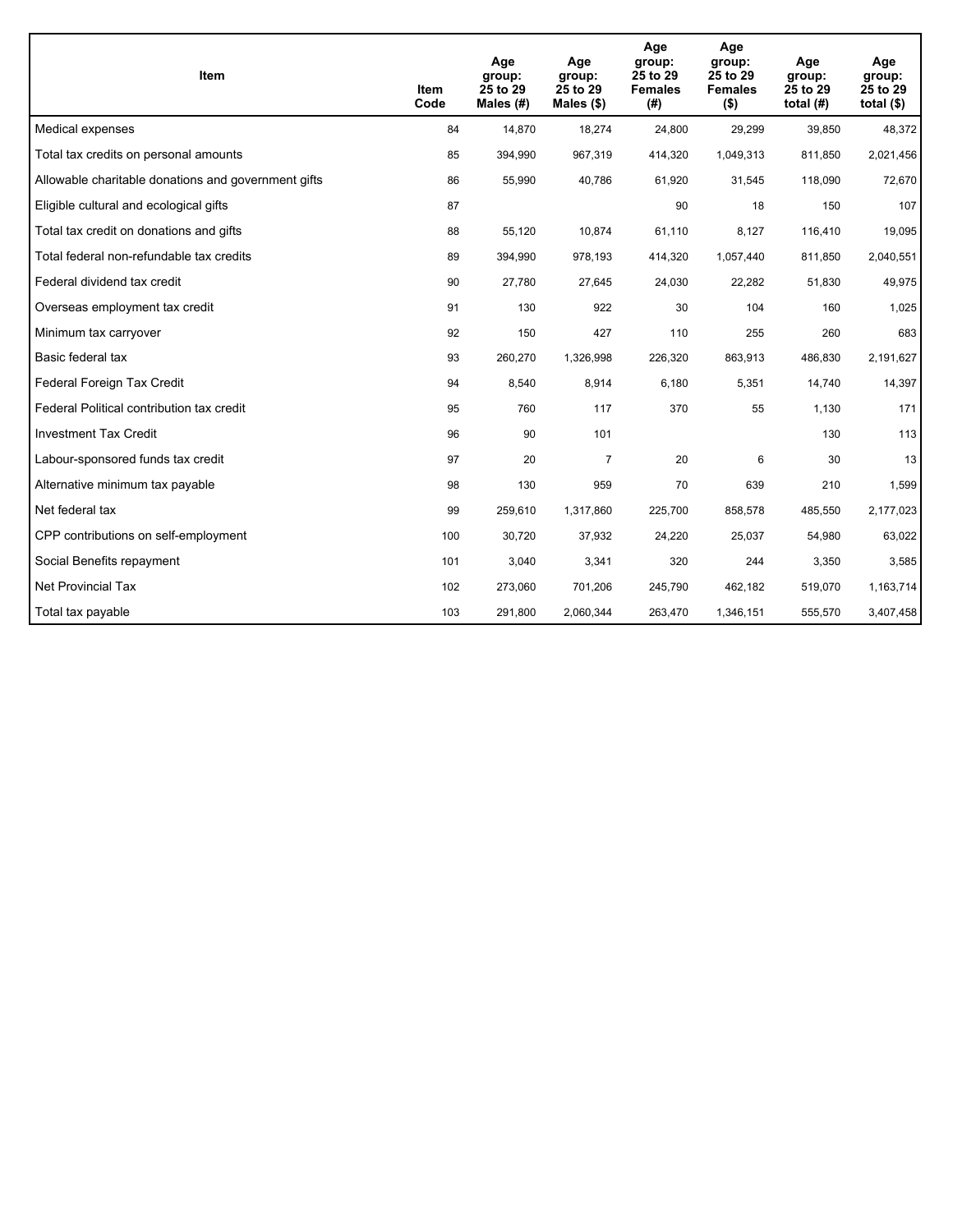| <b>Item</b>                                         | Item<br>Code | Age<br>group:<br>25 to 29<br>Males (#) | Age<br>group:<br>25 to 29<br>Males $(\$)$ | Age<br>group:<br>25 to 29<br><b>Females</b><br>(#) | Age<br>group:<br>25 to 29<br><b>Females</b><br>$($ \$) | Age<br>group:<br>25 to 29<br>total $(H)$ | Age<br>group:<br>25 to 29<br>total $($)$ |
|-----------------------------------------------------|--------------|----------------------------------------|-------------------------------------------|----------------------------------------------------|--------------------------------------------------------|------------------------------------------|------------------------------------------|
| Medical expenses                                    | 84           | 14,870                                 | 18,274                                    | 24,800                                             | 29,299                                                 | 39,850                                   | 48,372                                   |
| Total tax credits on personal amounts               | 85           | 394,990                                | 967,319                                   | 414,320                                            | 1,049,313                                              | 811,850                                  | 2,021,456                                |
| Allowable charitable donations and government gifts | 86           | 55,990                                 | 40,786                                    | 61,920                                             | 31,545                                                 | 118,090                                  | 72,670                                   |
| Eligible cultural and ecological gifts              | 87           |                                        |                                           | 90                                                 | 18                                                     | 150                                      | 107                                      |
| Total tax credit on donations and gifts             | 88           | 55,120                                 | 10,874                                    | 61,110                                             | 8,127                                                  | 116,410                                  | 19,095                                   |
| Total federal non-refundable tax credits            | 89           | 394,990                                | 978,193                                   | 414,320                                            | 1,057,440                                              | 811,850                                  | 2,040,551                                |
| Federal dividend tax credit                         | 90           | 27,780                                 | 27,645                                    | 24,030                                             | 22,282                                                 | 51,830                                   | 49,975                                   |
| Overseas employment tax credit                      | 91           | 130                                    | 922                                       | 30                                                 | 104                                                    | 160                                      | 1,025                                    |
| Minimum tax carryover                               | 92           | 150                                    | 427                                       | 110                                                | 255                                                    | 260                                      | 683                                      |
| Basic federal tax                                   | 93           | 260,270                                | 1,326,998                                 | 226,320                                            | 863,913                                                | 486,830                                  | 2,191,627                                |
| Federal Foreign Tax Credit                          | 94           | 8,540                                  | 8,914                                     | 6,180                                              | 5,351                                                  | 14,740                                   | 14,397                                   |
| Federal Political contribution tax credit           | 95           | 760                                    | 117                                       | 370                                                | 55                                                     | 1,130                                    | 171                                      |
| <b>Investment Tax Credit</b>                        | 96           | 90                                     | 101                                       |                                                    |                                                        | 130                                      | 113                                      |
| Labour-sponsored funds tax credit                   | 97           | 20                                     | $\overline{7}$                            | 20                                                 | 6                                                      | 30                                       | 13                                       |
| Alternative minimum tax payable                     | 98           | 130                                    | 959                                       | 70                                                 | 639                                                    | 210                                      | 1,599                                    |
| Net federal tax                                     | 99           | 259,610                                | 1,317,860                                 | 225,700                                            | 858,578                                                | 485,550                                  | 2,177,023                                |
| CPP contributions on self-employment                | 100          | 30,720                                 | 37,932                                    | 24,220                                             | 25,037                                                 | 54,980                                   | 63,022                                   |
| Social Benefits repayment                           | 101          | 3,040                                  | 3,341                                     | 320                                                | 244                                                    | 3,350                                    | 3,585                                    |
| Net Provincial Tax                                  | 102          | 273,060                                | 701,206                                   | 245,790                                            | 462,182                                                | 519,070                                  | 1,163,714                                |
| Total tax payable                                   | 103          | 291,800                                | 2,060,344                                 | 263,470                                            | 1,346,151                                              | 555,570                                  | 3,407,458                                |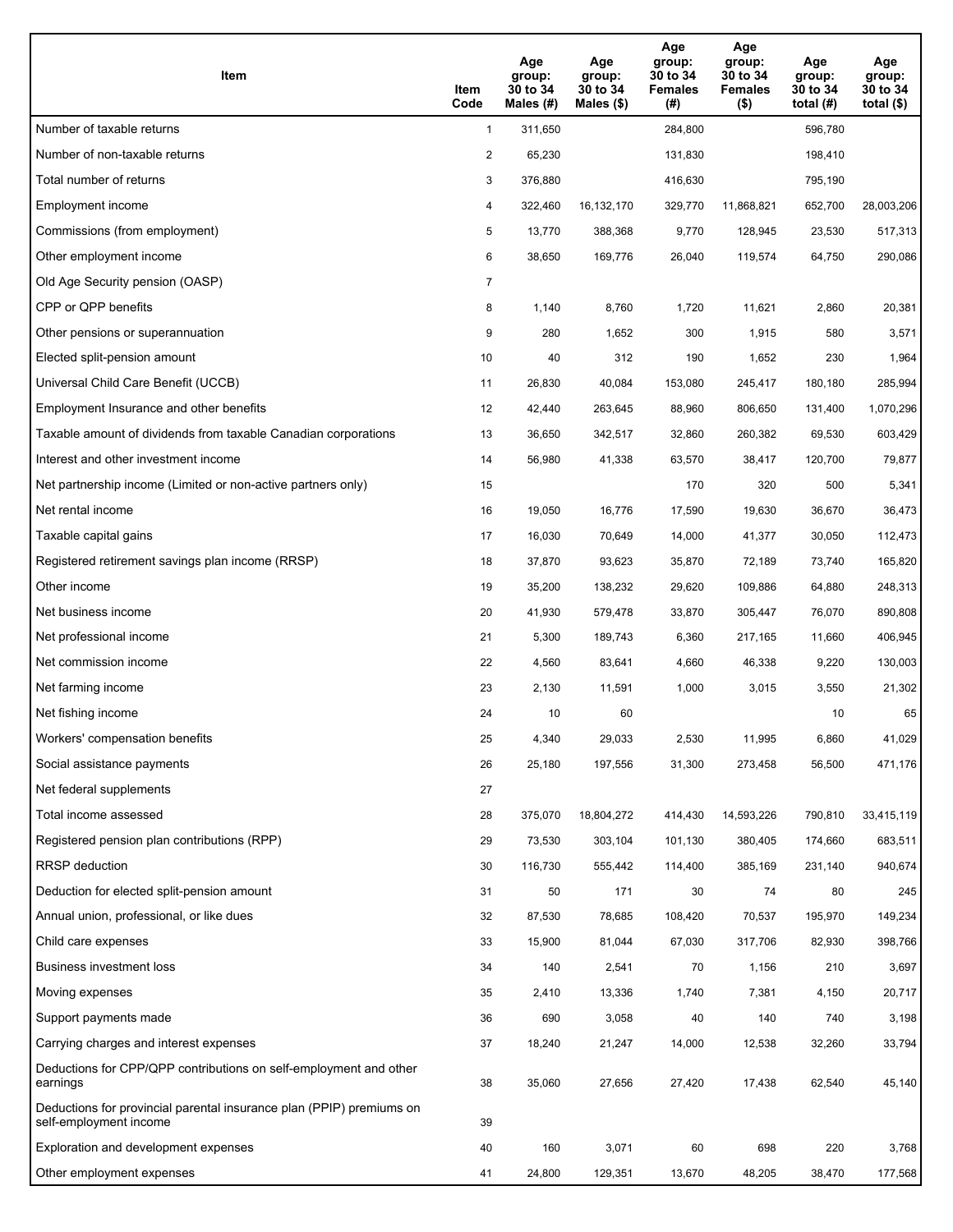| Item                                                                                           | Item<br>Code   | Age<br>group:<br>30 to 34<br>Males $(H)$ | Age<br>group:<br>30 to 34<br>Males $(\$)$ | Age<br>group:<br>30 to 34<br><b>Females</b><br>(#) | Age<br>group:<br>30 to 34<br><b>Females</b><br>$($ \$) | Age<br>group:<br>30 to 34<br>total $(H)$ | Age<br>group:<br>30 to 34<br>total $($)$ |
|------------------------------------------------------------------------------------------------|----------------|------------------------------------------|-------------------------------------------|----------------------------------------------------|--------------------------------------------------------|------------------------------------------|------------------------------------------|
| Number of taxable returns                                                                      | $\mathbf{1}$   | 311,650                                  |                                           | 284,800                                            |                                                        | 596.780                                  |                                          |
| Number of non-taxable returns                                                                  | $\overline{2}$ | 65,230                                   |                                           | 131,830                                            |                                                        | 198,410                                  |                                          |
| Total number of returns                                                                        | 3              | 376,880                                  |                                           | 416,630                                            |                                                        | 795,190                                  |                                          |
| Employment income                                                                              | 4              | 322,460                                  | 16,132,170                                | 329,770                                            | 11.868.821                                             | 652,700                                  | 28,003,206                               |
| Commissions (from employment)                                                                  | 5              | 13,770                                   | 388,368                                   | 9,770                                              | 128,945                                                | 23,530                                   | 517,313                                  |
| Other employment income                                                                        | 6              | 38,650                                   | 169,776                                   | 26,040                                             | 119,574                                                | 64,750                                   | 290,086                                  |
| Old Age Security pension (OASP)                                                                | $\overline{7}$ |                                          |                                           |                                                    |                                                        |                                          |                                          |
| CPP or QPP benefits                                                                            | 8              | 1,140                                    | 8,760                                     | 1,720                                              | 11,621                                                 | 2,860                                    | 20,381                                   |
| Other pensions or superannuation                                                               | 9              | 280                                      | 1,652                                     | 300                                                | 1,915                                                  | 580                                      | 3,571                                    |
| Elected split-pension amount                                                                   | 10             | 40                                       | 312                                       | 190                                                | 1,652                                                  | 230                                      | 1,964                                    |
| Universal Child Care Benefit (UCCB)                                                            | 11             | 26,830                                   | 40,084                                    | 153,080                                            | 245,417                                                | 180,180                                  | 285,994                                  |
| Employment Insurance and other benefits                                                        | 12             | 42,440                                   | 263,645                                   | 88,960                                             | 806,650                                                | 131,400                                  | 1,070,296                                |
| Taxable amount of dividends from taxable Canadian corporations                                 | 13             | 36,650                                   | 342,517                                   | 32,860                                             | 260,382                                                | 69,530                                   | 603,429                                  |
| Interest and other investment income                                                           | 14             | 56,980                                   | 41,338                                    | 63,570                                             | 38,417                                                 | 120,700                                  | 79,877                                   |
| Net partnership income (Limited or non-active partners only)                                   | 15             |                                          |                                           | 170                                                | 320                                                    | 500                                      | 5,341                                    |
| Net rental income                                                                              | 16             | 19,050                                   | 16,776                                    | 17,590                                             | 19,630                                                 | 36,670                                   | 36,473                                   |
| Taxable capital gains                                                                          | 17             | 16,030                                   | 70,649                                    | 14,000                                             | 41,377                                                 | 30,050                                   | 112,473                                  |
| Registered retirement savings plan income (RRSP)                                               | 18             | 37,870                                   | 93,623                                    | 35,870                                             | 72,189                                                 | 73,740                                   | 165,820                                  |
| Other income                                                                                   | 19             | 35,200                                   | 138,232                                   | 29,620                                             | 109,886                                                | 64,880                                   | 248,313                                  |
| Net business income                                                                            | 20             | 41,930                                   | 579,478                                   | 33,870                                             | 305,447                                                | 76,070                                   | 890,808                                  |
| Net professional income                                                                        | 21             | 5,300                                    | 189,743                                   | 6,360                                              | 217,165                                                | 11,660                                   | 406,945                                  |
| Net commission income                                                                          | 22             | 4,560                                    | 83,641                                    | 4,660                                              | 46,338                                                 | 9,220                                    | 130,003                                  |
| Net farming income                                                                             | 23             | 2,130                                    | 11,591                                    | 1,000                                              | 3,015                                                  | 3,550                                    | 21,302                                   |
| Net fishing income                                                                             | 24             | 10                                       | 60                                        |                                                    |                                                        | 10                                       | 65                                       |
| Workers' compensation benefits                                                                 | 25             | 4,340                                    | 29,033                                    | 2,530                                              | 11,995                                                 | 6,860                                    | 41,029                                   |
| Social assistance payments                                                                     | 26             | 25,180                                   | 197,556                                   | 31,300                                             | 273,458                                                | 56,500                                   | 471,176                                  |
| Net federal supplements                                                                        | 27             |                                          |                                           |                                                    |                                                        |                                          |                                          |
| Total income assessed                                                                          | 28             | 375,070                                  | 18,804,272                                | 414,430                                            | 14,593,226                                             | 790,810                                  | 33,415,119                               |
| Registered pension plan contributions (RPP)                                                    | 29             | 73,530                                   | 303,104                                   | 101,130                                            | 380,405                                                | 174,660                                  | 683,511                                  |
| RRSP deduction                                                                                 | 30             | 116,730                                  | 555,442                                   | 114,400                                            | 385,169                                                | 231,140                                  | 940,674                                  |
| Deduction for elected split-pension amount                                                     | 31             | 50                                       | 171                                       | 30                                                 | 74                                                     | 80                                       | 245                                      |
| Annual union, professional, or like dues                                                       | 32             | 87,530                                   | 78,685                                    | 108,420                                            | 70,537                                                 | 195,970                                  | 149,234                                  |
| Child care expenses                                                                            | 33             | 15,900                                   | 81,044                                    | 67,030                                             | 317,706                                                | 82,930                                   | 398,766                                  |
| <b>Business investment loss</b>                                                                | 34             | 140                                      | 2,541                                     | 70                                                 | 1,156                                                  | 210                                      | 3,697                                    |
| Moving expenses                                                                                | 35             | 2,410                                    | 13,336                                    | 1,740                                              | 7,381                                                  | 4,150                                    | 20,717                                   |
| Support payments made                                                                          | 36             | 690                                      | 3,058                                     | 40                                                 | 140                                                    | 740                                      | 3,198                                    |
| Carrying charges and interest expenses                                                         | 37             | 18,240                                   | 21,247                                    | 14,000                                             | 12,538                                                 | 32,260                                   | 33,794                                   |
| Deductions for CPP/QPP contributions on self-employment and other<br>earnings                  | 38             | 35,060                                   | 27,656                                    | 27,420                                             | 17,438                                                 | 62,540                                   | 45,140                                   |
| Deductions for provincial parental insurance plan (PPIP) premiums on<br>self-employment income | 39             |                                          |                                           |                                                    |                                                        |                                          |                                          |
| Exploration and development expenses                                                           | 40             | 160                                      | 3,071                                     | 60                                                 | 698                                                    | 220                                      | 3,768                                    |
| Other employment expenses                                                                      | 41             | 24,800                                   | 129,351                                   | 13,670                                             | 48,205                                                 | 38,470                                   | 177,568                                  |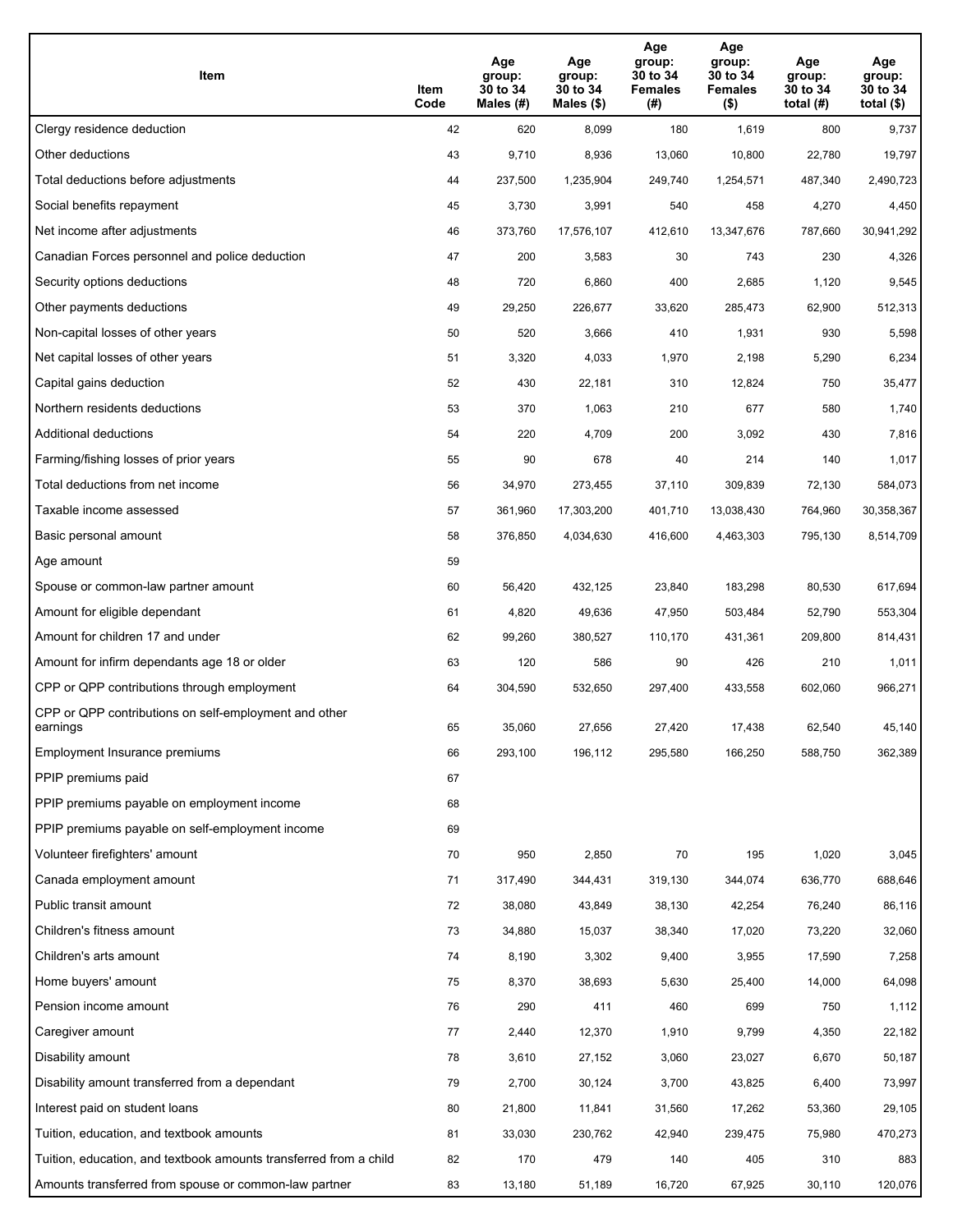| Item                                                              | Item<br>Code | Age<br>group:<br>30 to 34<br>Males (#) | Age<br>group:<br>30 to 34<br>Males (\$) | Age<br>group:<br>30 to 34<br><b>Females</b><br>(#) | Age<br>group:<br>30 to 34<br><b>Females</b><br>$($ \$) | Age<br>group:<br>30 to 34<br>total $(H)$ | Age<br>group:<br>30 to 34<br>total $($)$ |
|-------------------------------------------------------------------|--------------|----------------------------------------|-----------------------------------------|----------------------------------------------------|--------------------------------------------------------|------------------------------------------|------------------------------------------|
| Clergy residence deduction                                        | 42           | 620                                    | 8,099                                   | 180                                                | 1,619                                                  | 800                                      | 9,737                                    |
| Other deductions                                                  | 43           | 9,710                                  | 8,936                                   | 13,060                                             | 10,800                                                 | 22,780                                   | 19,797                                   |
| Total deductions before adjustments                               | 44           | 237,500                                | 1,235,904                               | 249,740                                            | 1,254,571                                              | 487,340                                  | 2,490,723                                |
| Social benefits repayment                                         | 45           | 3,730                                  | 3,991                                   | 540                                                | 458                                                    | 4,270                                    | 4,450                                    |
| Net income after adjustments                                      | 46           | 373,760                                | 17,576,107                              | 412,610                                            | 13,347,676                                             | 787,660                                  | 30,941,292                               |
| Canadian Forces personnel and police deduction                    | 47           | 200                                    | 3,583                                   | 30                                                 | 743                                                    | 230                                      | 4,326                                    |
| Security options deductions                                       | 48           | 720                                    | 6,860                                   | 400                                                | 2,685                                                  | 1,120                                    | 9,545                                    |
| Other payments deductions                                         | 49           | 29,250                                 | 226,677                                 | 33,620                                             | 285,473                                                | 62,900                                   | 512,313                                  |
| Non-capital losses of other years                                 | 50           | 520                                    | 3,666                                   | 410                                                | 1,931                                                  | 930                                      | 5,598                                    |
| Net capital losses of other years                                 | 51           | 3,320                                  | 4,033                                   | 1,970                                              | 2,198                                                  | 5,290                                    | 6,234                                    |
| Capital gains deduction                                           | 52           | 430                                    | 22,181                                  | 310                                                | 12,824                                                 | 750                                      | 35,477                                   |
| Northern residents deductions                                     | 53           | 370                                    | 1,063                                   | 210                                                | 677                                                    | 580                                      | 1,740                                    |
| Additional deductions                                             | 54           | 220                                    | 4,709                                   | 200                                                | 3,092                                                  | 430                                      | 7,816                                    |
| Farming/fishing losses of prior years                             | 55           | 90                                     | 678                                     | 40                                                 | 214                                                    | 140                                      | 1,017                                    |
| Total deductions from net income                                  | 56           | 34,970                                 | 273,455                                 | 37,110                                             | 309,839                                                | 72,130                                   | 584,073                                  |
| Taxable income assessed                                           | 57           | 361,960                                | 17,303,200                              | 401,710                                            | 13,038,430                                             | 764,960                                  | 30,358,367                               |
| Basic personal amount                                             | 58           | 376,850                                | 4,034,630                               | 416,600                                            | 4,463,303                                              | 795,130                                  | 8,514,709                                |
| Age amount                                                        | 59           |                                        |                                         |                                                    |                                                        |                                          |                                          |
| Spouse or common-law partner amount                               | 60           | 56,420                                 | 432,125                                 | 23,840                                             | 183,298                                                | 80,530                                   | 617,694                                  |
| Amount for eligible dependant                                     | 61           | 4,820                                  | 49,636                                  | 47,950                                             | 503,484                                                | 52,790                                   | 553,304                                  |
| Amount for children 17 and under                                  | 62           | 99,260                                 | 380,527                                 | 110,170                                            | 431,361                                                | 209,800                                  | 814,431                                  |
| Amount for infirm dependants age 18 or older                      | 63           | 120                                    | 586                                     | 90                                                 | 426                                                    | 210                                      | 1,011                                    |
| CPP or QPP contributions through employment                       | 64           | 304,590                                | 532,650                                 | 297,400                                            | 433,558                                                | 602,060                                  | 966,271                                  |
| CPP or QPP contributions on self-employment and other<br>earnings | 65           | 35,060                                 | 27,656                                  | 27,420                                             | 17,438                                                 | 62,540                                   | 45,140                                   |
| Employment Insurance premiums                                     | 66           | 293,100                                | 196,112                                 | 295,580                                            | 166,250                                                | 588,750                                  | 362,389                                  |
| PPIP premiums paid                                                | 67           |                                        |                                         |                                                    |                                                        |                                          |                                          |
| PPIP premiums payable on employment income                        | 68           |                                        |                                         |                                                    |                                                        |                                          |                                          |
| PPIP premiums payable on self-employment income                   | 69           |                                        |                                         |                                                    |                                                        |                                          |                                          |
| Volunteer firefighters' amount                                    | 70           | 950                                    | 2,850                                   | 70                                                 | 195                                                    | 1,020                                    | 3,045                                    |
| Canada employment amount                                          | 71           | 317,490                                | 344,431                                 | 319,130                                            | 344,074                                                | 636,770                                  | 688,646                                  |
| Public transit amount                                             | 72           | 38,080                                 | 43,849                                  | 38,130                                             | 42,254                                                 | 76,240                                   | 86,116                                   |
| Children's fitness amount                                         | 73           | 34,880                                 | 15,037                                  | 38,340                                             | 17,020                                                 | 73,220                                   | 32,060                                   |
| Children's arts amount                                            | 74           | 8,190                                  | 3,302                                   | 9,400                                              | 3,955                                                  | 17,590                                   | 7,258                                    |
| Home buyers' amount                                               | 75           | 8,370                                  | 38,693                                  | 5,630                                              | 25,400                                                 | 14,000                                   | 64,098                                   |
| Pension income amount                                             | 76           | 290                                    | 411                                     | 460                                                | 699                                                    | 750                                      | 1,112                                    |
| Caregiver amount                                                  | 77           | 2,440                                  | 12,370                                  | 1,910                                              | 9,799                                                  | 4,350                                    | 22,182                                   |
| Disability amount                                                 | 78           | 3,610                                  | 27,152                                  | 3,060                                              | 23,027                                                 | 6,670                                    | 50,187                                   |
| Disability amount transferred from a dependant                    | 79           | 2,700                                  | 30,124                                  | 3,700                                              | 43,825                                                 | 6,400                                    | 73,997                                   |
| Interest paid on student loans                                    | 80           | 21,800                                 | 11,841                                  | 31,560                                             | 17,262                                                 | 53,360                                   | 29,105                                   |
| Tuition, education, and textbook amounts                          | 81           | 33,030                                 | 230,762                                 | 42,940                                             | 239,475                                                | 75,980                                   | 470,273                                  |
| Tuition, education, and textbook amounts transferred from a child | 82           | 170                                    | 479                                     | 140                                                | 405                                                    | 310                                      | 883                                      |
| Amounts transferred from spouse or common-law partner             | 83           | 13,180                                 | 51,189                                  | 16,720                                             | 67,925                                                 | 30,110                                   | 120,076                                  |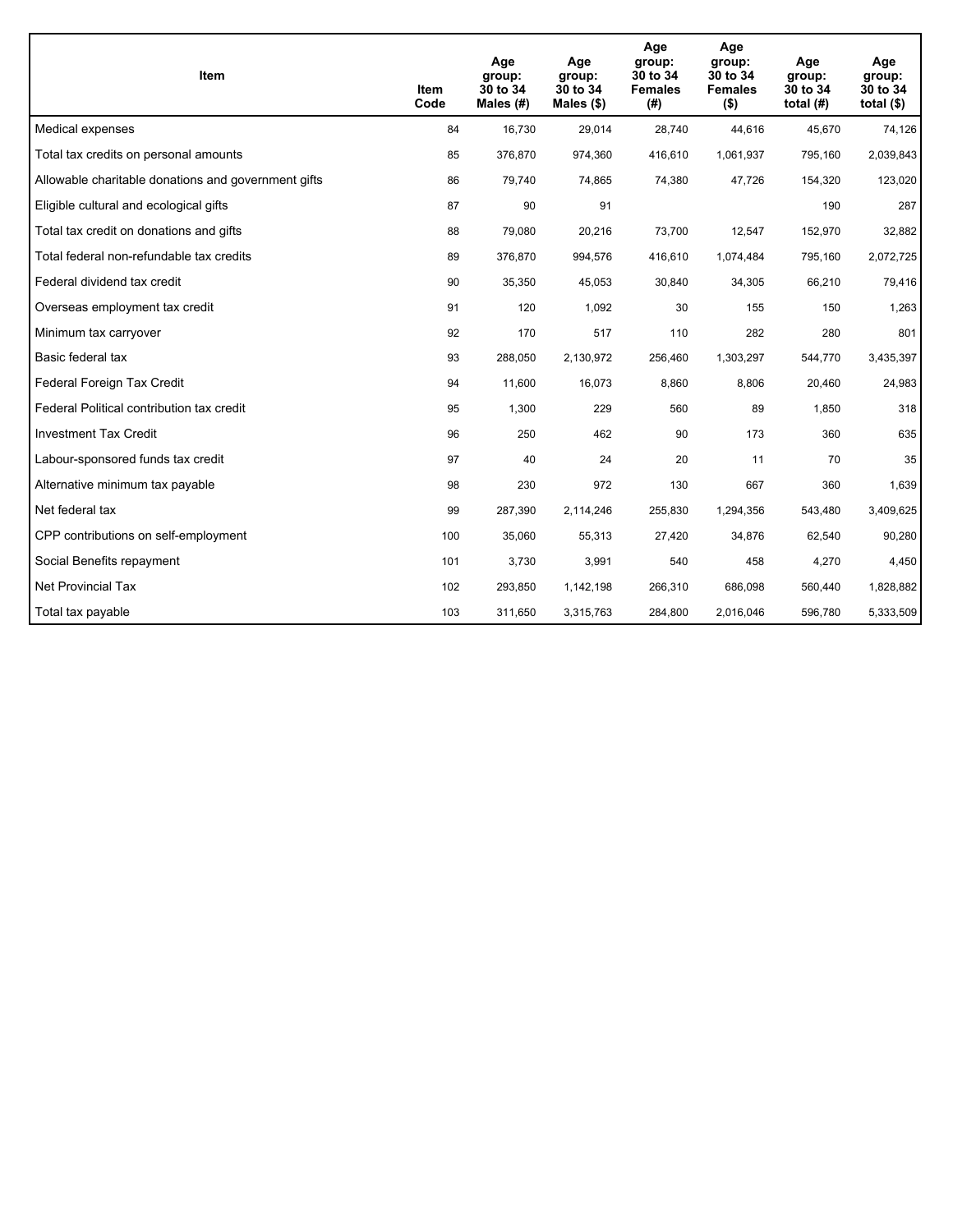| <b>Item</b>                                         | <b>Item</b><br>Code | Age<br>group:<br>30 to 34<br>Males (#) | Age<br>group:<br>30 to 34<br>Males $(\$)$ | Age<br>group:<br>30 to 34<br><b>Females</b><br>(#) | Age<br>group:<br>30 to 34<br><b>Females</b><br>$($ \$) | Age<br>group:<br>30 to 34<br>total $(H)$ | Age<br>group:<br>30 to 34<br>total $($)$ |
|-----------------------------------------------------|---------------------|----------------------------------------|-------------------------------------------|----------------------------------------------------|--------------------------------------------------------|------------------------------------------|------------------------------------------|
| Medical expenses                                    | 84                  | 16,730                                 | 29,014                                    | 28,740                                             | 44,616                                                 | 45,670                                   | 74,126                                   |
| Total tax credits on personal amounts               | 85                  | 376,870                                | 974,360                                   | 416,610                                            | 1,061,937                                              | 795,160                                  | 2,039,843                                |
| Allowable charitable donations and government gifts | 86                  | 79,740                                 | 74,865                                    | 74,380                                             | 47,726                                                 | 154,320                                  | 123,020                                  |
| Eligible cultural and ecological gifts              | 87                  | 90                                     | 91                                        |                                                    |                                                        | 190                                      | 287                                      |
| Total tax credit on donations and gifts             | 88                  | 79,080                                 | 20,216                                    | 73,700                                             | 12,547                                                 | 152,970                                  | 32,882                                   |
| Total federal non-refundable tax credits            | 89                  | 376,870                                | 994,576                                   | 416,610                                            | 1,074,484                                              | 795,160                                  | 2,072,725                                |
| Federal dividend tax credit                         | 90                  | 35,350                                 | 45,053                                    | 30,840                                             | 34,305                                                 | 66,210                                   | 79,416                                   |
| Overseas employment tax credit                      | 91                  | 120                                    | 1.092                                     | 30                                                 | 155                                                    | 150                                      | 1,263                                    |
| Minimum tax carryover                               | 92                  | 170                                    | 517                                       | 110                                                | 282                                                    | 280                                      | 801                                      |
| Basic federal tax                                   | 93                  | 288,050                                | 2,130,972                                 | 256,460                                            | 1,303,297                                              | 544,770                                  | 3,435,397                                |
| Federal Foreign Tax Credit                          | 94                  | 11,600                                 | 16,073                                    | 8,860                                              | 8,806                                                  | 20,460                                   | 24,983                                   |
| Federal Political contribution tax credit           | 95                  | 1,300                                  | 229                                       | 560                                                | 89                                                     | 1,850                                    | 318                                      |
| <b>Investment Tax Credit</b>                        | 96                  | 250                                    | 462                                       | 90                                                 | 173                                                    | 360                                      | 635                                      |
| Labour-sponsored funds tax credit                   | 97                  | 40                                     | 24                                        | 20                                                 | 11                                                     | 70                                       | 35                                       |
| Alternative minimum tax payable                     | 98                  | 230                                    | 972                                       | 130                                                | 667                                                    | 360                                      | 1,639                                    |
| Net federal tax                                     | 99                  | 287,390                                | 2,114,246                                 | 255,830                                            | 1,294,356                                              | 543,480                                  | 3,409,625                                |
| CPP contributions on self-employment                | 100                 | 35,060                                 | 55,313                                    | 27,420                                             | 34,876                                                 | 62,540                                   | 90,280                                   |
| Social Benefits repayment                           | 101                 | 3,730                                  | 3,991                                     | 540                                                | 458                                                    | 4,270                                    | 4,450                                    |
| <b>Net Provincial Tax</b>                           | 102                 | 293,850                                | 1,142,198                                 | 266,310                                            | 686,098                                                | 560,440                                  | 1,828,882                                |
| Total tax payable                                   | 103                 | 311,650                                | 3,315,763                                 | 284,800                                            | 2,016,046                                              | 596,780                                  | 5,333,509                                |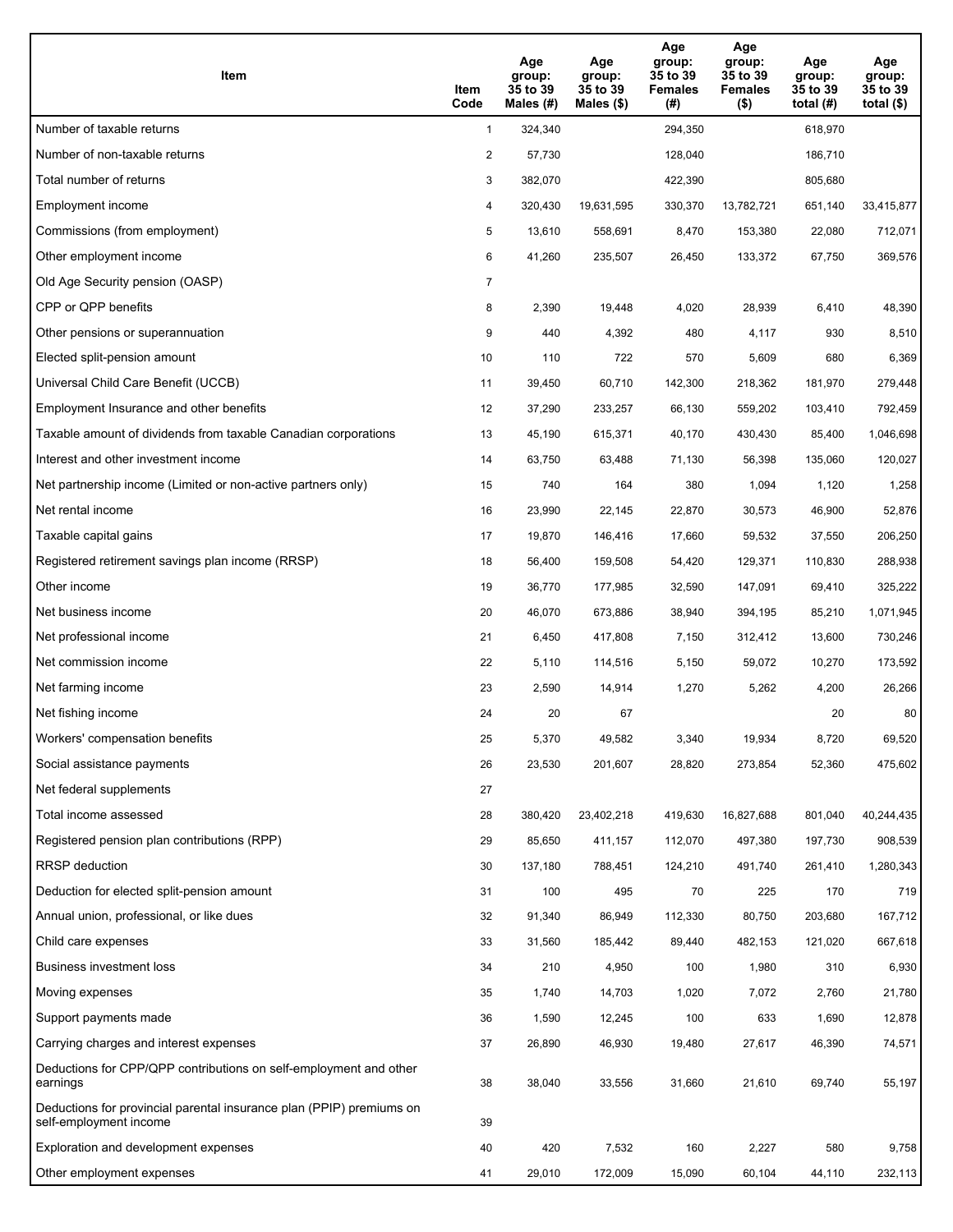| Item                                                                                           | Item<br>Code   | Age<br>group:<br>35 to 39<br>Males (#) | Age<br>group:<br>35 to 39<br>Males $(\$)$ | Age<br>group:<br>35 to 39<br><b>Females</b><br>(#) | Age<br>group:<br>35 to 39<br><b>Females</b><br>$($ \$) | Age<br>group:<br>35 to 39<br>total $(H)$ | Age<br>group:<br>35 to 39<br>total $(\$)$ |
|------------------------------------------------------------------------------------------------|----------------|----------------------------------------|-------------------------------------------|----------------------------------------------------|--------------------------------------------------------|------------------------------------------|-------------------------------------------|
| Number of taxable returns                                                                      | $\mathbf{1}$   | 324,340                                |                                           | 294,350                                            |                                                        | 618,970                                  |                                           |
| Number of non-taxable returns                                                                  | 2              | 57,730                                 |                                           | 128,040                                            |                                                        | 186,710                                  |                                           |
| Total number of returns                                                                        | 3              | 382,070                                |                                           | 422,390                                            |                                                        | 805,680                                  |                                           |
| Employment income                                                                              | 4              | 320,430                                | 19.631.595                                | 330,370                                            | 13,782,721                                             | 651,140                                  | 33,415,877                                |
| Commissions (from employment)                                                                  | 5              | 13,610                                 | 558,691                                   | 8,470                                              | 153,380                                                | 22,080                                   | 712,071                                   |
| Other employment income                                                                        | 6              | 41,260                                 | 235,507                                   | 26,450                                             | 133,372                                                | 67,750                                   | 369,576                                   |
| Old Age Security pension (OASP)                                                                | $\overline{7}$ |                                        |                                           |                                                    |                                                        |                                          |                                           |
| CPP or QPP benefits                                                                            | 8              | 2,390                                  | 19,448                                    | 4,020                                              | 28,939                                                 | 6,410                                    | 48,390                                    |
| Other pensions or superannuation                                                               | 9              | 440                                    | 4,392                                     | 480                                                | 4,117                                                  | 930                                      | 8,510                                     |
| Elected split-pension amount                                                                   | 10             | 110                                    | 722                                       | 570                                                | 5,609                                                  | 680                                      | 6,369                                     |
| Universal Child Care Benefit (UCCB)                                                            | 11             | 39,450                                 | 60,710                                    | 142,300                                            | 218,362                                                | 181,970                                  | 279,448                                   |
| Employment Insurance and other benefits                                                        | 12             | 37,290                                 | 233,257                                   | 66,130                                             | 559,202                                                | 103,410                                  | 792,459                                   |
| Taxable amount of dividends from taxable Canadian corporations                                 | 13             | 45,190                                 | 615,371                                   | 40,170                                             | 430,430                                                | 85,400                                   | 1,046,698                                 |
| Interest and other investment income                                                           | 14             | 63,750                                 | 63,488                                    | 71,130                                             | 56,398                                                 | 135,060                                  | 120,027                                   |
| Net partnership income (Limited or non-active partners only)                                   | 15             | 740                                    | 164                                       | 380                                                | 1,094                                                  | 1,120                                    | 1,258                                     |
| Net rental income                                                                              | 16             | 23,990                                 | 22,145                                    | 22,870                                             | 30,573                                                 | 46,900                                   | 52,876                                    |
| Taxable capital gains                                                                          | 17             | 19,870                                 | 146,416                                   | 17,660                                             | 59,532                                                 | 37,550                                   | 206,250                                   |
| Registered retirement savings plan income (RRSP)                                               | 18             | 56,400                                 | 159,508                                   | 54,420                                             | 129,371                                                | 110,830                                  | 288,938                                   |
| Other income                                                                                   | 19             | 36,770                                 | 177,985                                   | 32,590                                             | 147,091                                                | 69,410                                   | 325,222                                   |
| Net business income                                                                            | 20             | 46,070                                 | 673,886                                   | 38,940                                             | 394,195                                                | 85,210                                   | 1,071,945                                 |
| Net professional income                                                                        | 21             | 6,450                                  | 417,808                                   | 7,150                                              | 312,412                                                | 13,600                                   | 730,246                                   |
| Net commission income                                                                          | 22             | 5,110                                  | 114,516                                   | 5,150                                              | 59,072                                                 | 10,270                                   | 173,592                                   |
| Net farming income                                                                             | 23             | 2,590                                  | 14,914                                    | 1,270                                              | 5,262                                                  | 4,200                                    | 26,266                                    |
| Net fishing income                                                                             | 24             | 20                                     | 67                                        |                                                    |                                                        | 20                                       | 80                                        |
| Workers' compensation benefits                                                                 | 25             | 5,370                                  | 49,582                                    | 3,340                                              | 19,934                                                 | 8,720                                    | 69,520                                    |
| Social assistance payments                                                                     | 26             | 23,530                                 | 201,607                                   | 28,820                                             | 273,854                                                | 52,360                                   | 475,602                                   |
| Net federal supplements                                                                        | 27             |                                        |                                           |                                                    |                                                        |                                          |                                           |
| Total income assessed                                                                          | 28             | 380,420                                | 23,402,218                                | 419,630                                            | 16,827,688                                             | 801,040                                  | 40,244,435                                |
| Registered pension plan contributions (RPP)                                                    | 29             | 85,650                                 | 411,157                                   | 112,070                                            | 497,380                                                | 197,730                                  | 908,539                                   |
| RRSP deduction                                                                                 | 30             | 137,180                                | 788,451                                   | 124,210                                            | 491,740                                                | 261,410                                  | 1,280,343                                 |
| Deduction for elected split-pension amount                                                     | 31             | 100                                    | 495                                       | 70                                                 | 225                                                    | 170                                      | 719                                       |
| Annual union, professional, or like dues                                                       | 32             | 91,340                                 | 86,949                                    | 112,330                                            | 80,750                                                 | 203,680                                  | 167,712                                   |
| Child care expenses                                                                            | 33             | 31,560                                 | 185,442                                   | 89,440                                             | 482,153                                                | 121,020                                  | 667,618                                   |
| Business investment loss                                                                       | 34             | 210                                    | 4,950                                     | 100                                                | 1,980                                                  | 310                                      | 6,930                                     |
| Moving expenses                                                                                | 35             | 1,740                                  | 14,703                                    | 1,020                                              | 7,072                                                  | 2,760                                    | 21,780                                    |
| Support payments made                                                                          | 36             | 1,590                                  | 12,245                                    | 100                                                | 633                                                    | 1,690                                    | 12,878                                    |
| Carrying charges and interest expenses                                                         | 37             | 26,890                                 | 46,930                                    | 19,480                                             | 27,617                                                 | 46,390                                   | 74,571                                    |
| Deductions for CPP/QPP contributions on self-employment and other<br>earnings                  | 38             | 38,040                                 | 33,556                                    | 31,660                                             | 21,610                                                 | 69,740                                   | 55,197                                    |
| Deductions for provincial parental insurance plan (PPIP) premiums on<br>self-employment income | 39             |                                        |                                           |                                                    |                                                        |                                          |                                           |
| Exploration and development expenses                                                           | 40             | 420                                    | 7,532                                     | 160                                                | 2,227                                                  | 580                                      | 9,758                                     |
| Other employment expenses                                                                      | 41             | 29,010                                 | 172,009                                   | 15,090                                             | 60,104                                                 | 44,110                                   | 232,113                                   |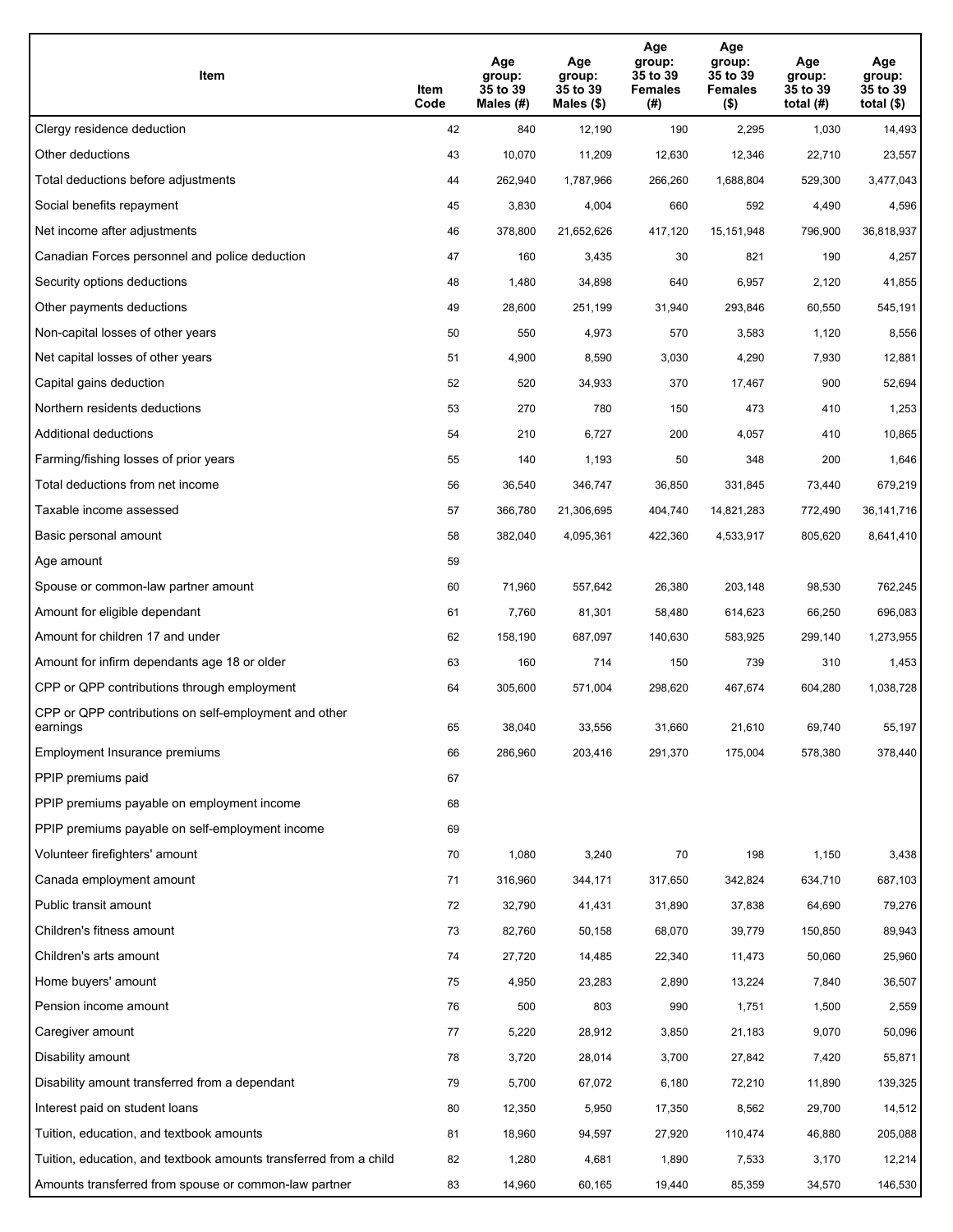| Item                                                              | Item<br>Code | Age<br>group:<br>35 to 39<br>Males (#) | Age<br>group:<br>35 to 39<br>Males (\$) | Age<br>group:<br>35 to 39<br><b>Females</b><br>(# ) | Age<br>group:<br>35 to 39<br><b>Females</b><br>$($ \$) | Age<br>group:<br>35 to 39<br>total $(H)$ | Age<br>group:<br>35 to 39<br>total $($)$ |
|-------------------------------------------------------------------|--------------|----------------------------------------|-----------------------------------------|-----------------------------------------------------|--------------------------------------------------------|------------------------------------------|------------------------------------------|
| Clergy residence deduction                                        | 42           | 840                                    | 12,190                                  | 190                                                 | 2,295                                                  | 1,030                                    | 14,493                                   |
| Other deductions                                                  | 43           | 10,070                                 | 11,209                                  | 12,630                                              | 12,346                                                 | 22,710                                   | 23,557                                   |
| Total deductions before adjustments                               | 44           | 262,940                                | 1,787,966                               | 266,260                                             | 1,688,804                                              | 529,300                                  | 3,477,043                                |
| Social benefits repayment                                         | 45           | 3,830                                  | 4,004                                   | 660                                                 | 592                                                    | 4,490                                    | 4,596                                    |
| Net income after adjustments                                      | 46           | 378,800                                | 21,652,626                              | 417,120                                             | 15,151,948                                             | 796,900                                  | 36,818,937                               |
| Canadian Forces personnel and police deduction                    | 47           | 160                                    | 3,435                                   | 30                                                  | 821                                                    | 190                                      | 4,257                                    |
| Security options deductions                                       | 48           | 1,480                                  | 34,898                                  | 640                                                 | 6,957                                                  | 2,120                                    | 41,855                                   |
| Other payments deductions                                         | 49           | 28,600                                 | 251,199                                 | 31,940                                              | 293,846                                                | 60,550                                   | 545,191                                  |
| Non-capital losses of other years                                 | 50           | 550                                    | 4,973                                   | 570                                                 | 3,583                                                  | 1,120                                    | 8,556                                    |
| Net capital losses of other years                                 | 51           | 4,900                                  | 8,590                                   | 3,030                                               | 4,290                                                  | 7,930                                    | 12,881                                   |
| Capital gains deduction                                           | 52           | 520                                    | 34,933                                  | 370                                                 | 17,467                                                 | 900                                      | 52,694                                   |
| Northern residents deductions                                     | 53           | 270                                    | 780                                     | 150                                                 | 473                                                    | 410                                      | 1,253                                    |
| Additional deductions                                             | 54           | 210                                    | 6,727                                   | 200                                                 | 4,057                                                  | 410                                      | 10,865                                   |
| Farming/fishing losses of prior years                             | 55           | 140                                    | 1,193                                   | 50                                                  | 348                                                    | 200                                      | 1,646                                    |
| Total deductions from net income                                  | 56           | 36,540                                 | 346,747                                 | 36,850                                              | 331,845                                                | 73,440                                   | 679,219                                  |
| Taxable income assessed                                           | 57           | 366,780                                | 21,306,695                              | 404,740                                             | 14,821,283                                             | 772,490                                  | 36, 141, 716                             |
| Basic personal amount                                             | 58           | 382,040                                | 4,095,361                               | 422,360                                             | 4,533,917                                              | 805,620                                  | 8,641,410                                |
| Age amount                                                        | 59           |                                        |                                         |                                                     |                                                        |                                          |                                          |
| Spouse or common-law partner amount                               | 60           | 71,960                                 | 557,642                                 | 26,380                                              | 203,148                                                | 98,530                                   | 762,245                                  |
| Amount for eligible dependant                                     | 61           | 7,760                                  | 81,301                                  | 58,480                                              | 614,623                                                | 66,250                                   | 696,083                                  |
| Amount for children 17 and under                                  | 62           | 158,190                                | 687,097                                 | 140,630                                             | 583,925                                                | 299,140                                  | 1,273,955                                |
| Amount for infirm dependants age 18 or older                      | 63           | 160                                    | 714                                     | 150                                                 | 739                                                    | 310                                      | 1,453                                    |
| CPP or QPP contributions through employment                       | 64           | 305,600                                | 571,004                                 | 298,620                                             | 467,674                                                | 604,280                                  | 1,038,728                                |
| CPP or QPP contributions on self-employment and other<br>earnings | 65           | 38,040                                 | 33,556                                  | 31,660                                              | 21,610                                                 | 69,740                                   | 55,197                                   |
| Employment Insurance premiums                                     | 66           | 286,960                                | 203,416                                 | 291,370                                             | 175,004                                                | 578,380                                  | 378,440                                  |
| PPIP premiums paid                                                | 67           |                                        |                                         |                                                     |                                                        |                                          |                                          |
| PPIP premiums payable on employment income                        | 68           |                                        |                                         |                                                     |                                                        |                                          |                                          |
| PPIP premiums payable on self-employment income                   | 69           |                                        |                                         |                                                     |                                                        |                                          |                                          |
| Volunteer firefighters' amount                                    | 70           | 1,080                                  | 3,240                                   | 70                                                  | 198                                                    | 1,150                                    | 3,438                                    |
| Canada employment amount                                          | 71           | 316,960                                | 344,171                                 | 317,650                                             | 342,824                                                | 634,710                                  | 687,103                                  |
| Public transit amount                                             | 72           | 32,790                                 | 41,431                                  | 31,890                                              | 37,838                                                 | 64,690                                   | 79,276                                   |
| Children's fitness amount                                         | 73           | 82,760                                 | 50,158                                  | 68,070                                              | 39,779                                                 | 150,850                                  | 89,943                                   |
| Children's arts amount                                            | 74           | 27,720                                 | 14,485                                  | 22,340                                              | 11,473                                                 | 50,060                                   | 25,960                                   |
| Home buyers' amount                                               | 75           | 4,950                                  | 23,283                                  | 2,890                                               | 13,224                                                 | 7,840                                    | 36,507                                   |
| Pension income amount                                             | 76           | 500                                    | 803                                     | 990                                                 | 1,751                                                  | 1,500                                    | 2,559                                    |
| Caregiver amount                                                  | 77           | 5,220                                  | 28,912                                  | 3,850                                               | 21,183                                                 | 9,070                                    | 50,096                                   |
| Disability amount                                                 | 78           | 3,720                                  | 28,014                                  | 3,700                                               | 27,842                                                 | 7,420                                    | 55,871                                   |
| Disability amount transferred from a dependant                    | 79           | 5,700                                  | 67,072                                  | 6,180                                               | 72,210                                                 | 11,890                                   | 139,325                                  |
| Interest paid on student loans                                    | 80           | 12,350                                 | 5,950                                   | 17,350                                              | 8,562                                                  | 29,700                                   | 14,512                                   |
| Tuition, education, and textbook amounts                          | 81           | 18,960                                 | 94,597                                  | 27,920                                              | 110,474                                                | 46,880                                   | 205,088                                  |
| Tuition, education, and textbook amounts transferred from a child | 82           | 1,280                                  | 4,681                                   | 1,890                                               | 7,533                                                  | 3,170                                    | 12,214                                   |
| Amounts transferred from spouse or common-law partner             | 83           | 14,960                                 | 60,165                                  | 19,440                                              | 85,359                                                 | 34,570                                   | 146,530                                  |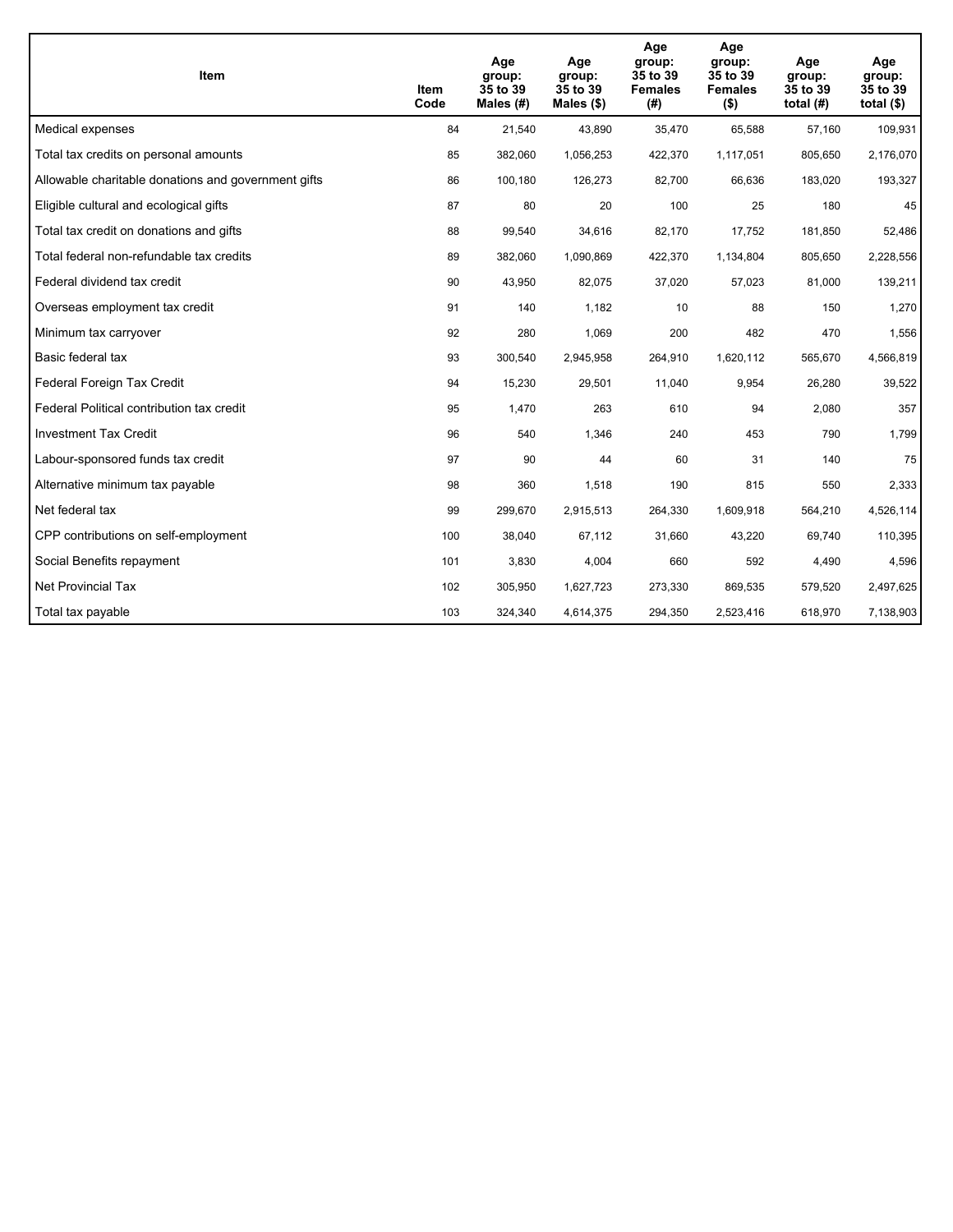| <b>Item</b>                                         | Item<br>Code | Age<br>group:<br>35 to 39<br>Males $(H)$ | Age<br>group:<br>35 to 39<br>Males $(\$)$ | Age<br>group:<br>35 to 39<br><b>Females</b><br>(#) | Age<br>group:<br>35 to 39<br><b>Females</b><br>$($ \$) | Age<br>group:<br>35 to 39<br>total $(H)$ | Age<br>group:<br>35 to 39<br>total $($)$ |
|-----------------------------------------------------|--------------|------------------------------------------|-------------------------------------------|----------------------------------------------------|--------------------------------------------------------|------------------------------------------|------------------------------------------|
| Medical expenses                                    | 84           | 21,540                                   | 43,890                                    | 35,470                                             | 65,588                                                 | 57,160                                   | 109,931                                  |
| Total tax credits on personal amounts               | 85           | 382,060                                  | 1,056,253                                 | 422,370                                            | 1,117,051                                              | 805,650                                  | 2,176,070                                |
| Allowable charitable donations and government gifts | 86           | 100,180                                  | 126,273                                   | 82,700                                             | 66,636                                                 | 183,020                                  | 193,327                                  |
| Eligible cultural and ecological gifts              | 87           | 80                                       | 20                                        | 100                                                | 25                                                     | 180                                      | 45                                       |
| Total tax credit on donations and gifts             | 88           | 99,540                                   | 34,616                                    | 82,170                                             | 17,752                                                 | 181,850                                  | 52,486                                   |
| Total federal non-refundable tax credits            | 89           | 382,060                                  | 1,090,869                                 | 422,370                                            | 1,134,804                                              | 805,650                                  | 2,228,556                                |
| Federal dividend tax credit                         | 90           | 43,950                                   | 82,075                                    | 37,020                                             | 57,023                                                 | 81,000                                   | 139,211                                  |
| Overseas employment tax credit                      | 91           | 140                                      | 1,182                                     | 10                                                 | 88                                                     | 150                                      | 1,270                                    |
| Minimum tax carryover                               | 92           | 280                                      | 1,069                                     | 200                                                | 482                                                    | 470                                      | 1,556                                    |
| Basic federal tax                                   | 93           | 300,540                                  | 2,945,958                                 | 264,910                                            | 1,620,112                                              | 565,670                                  | 4,566,819                                |
| Federal Foreign Tax Credit                          | 94           | 15,230                                   | 29,501                                    | 11,040                                             | 9,954                                                  | 26,280                                   | 39,522                                   |
| Federal Political contribution tax credit           | 95           | 1,470                                    | 263                                       | 610                                                | 94                                                     | 2,080                                    | 357                                      |
| <b>Investment Tax Credit</b>                        | 96           | 540                                      | 1,346                                     | 240                                                | 453                                                    | 790                                      | 1,799                                    |
| Labour-sponsored funds tax credit                   | 97           | 90                                       | 44                                        | 60                                                 | 31                                                     | 140                                      | 75                                       |
| Alternative minimum tax payable                     | 98           | 360                                      | 1,518                                     | 190                                                | 815                                                    | 550                                      | 2,333                                    |
| Net federal tax                                     | 99           | 299,670                                  | 2,915,513                                 | 264,330                                            | 1,609,918                                              | 564,210                                  | 4,526,114                                |
| CPP contributions on self-employment                | 100          | 38,040                                   | 67,112                                    | 31,660                                             | 43,220                                                 | 69,740                                   | 110,395                                  |
| Social Benefits repayment                           | 101          | 3,830                                    | 4,004                                     | 660                                                | 592                                                    | 4,490                                    | 4,596                                    |
| Net Provincial Tax                                  | 102          | 305,950                                  | 1,627,723                                 | 273,330                                            | 869,535                                                | 579,520                                  | 2,497,625                                |
| Total tax payable                                   | 103          | 324,340                                  | 4,614,375                                 | 294,350                                            | 2,523,416                                              | 618,970                                  | 7,138,903                                |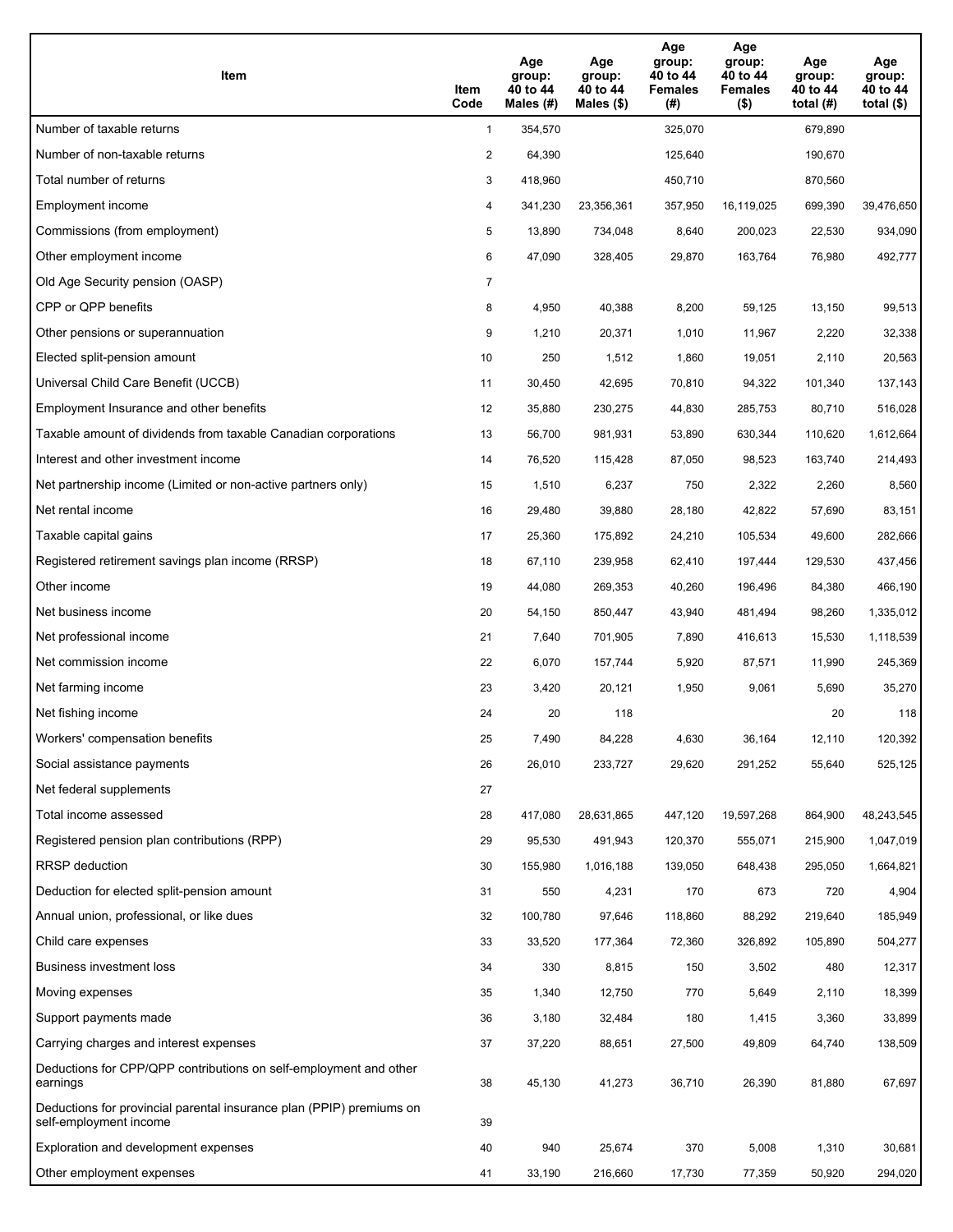| Item                                                                                           | Item<br>Code   | Age<br>group:<br>40 to 44<br>Males $(H)$ | Age<br>group:<br>40 to 44<br>Males $(\$)$ | Age<br>group:<br>40 to 44<br><b>Females</b><br>(#) | Age<br>group:<br>40 to 44<br><b>Females</b><br>$($ \$) | Age<br>group:<br>40 to 44<br>total $(H)$ | Age<br>group:<br>40 to 44<br>total $($ |
|------------------------------------------------------------------------------------------------|----------------|------------------------------------------|-------------------------------------------|----------------------------------------------------|--------------------------------------------------------|------------------------------------------|----------------------------------------|
| Number of taxable returns                                                                      | $\mathbf{1}$   | 354,570                                  |                                           | 325,070                                            |                                                        | 679.890                                  |                                        |
| Number of non-taxable returns                                                                  | 2              | 64,390                                   |                                           | 125,640                                            |                                                        | 190,670                                  |                                        |
| Total number of returns                                                                        | 3              | 418,960                                  |                                           | 450,710                                            |                                                        | 870,560                                  |                                        |
| Employment income                                                                              | 4              | 341,230                                  | 23,356,361                                | 357,950                                            | 16,119,025                                             | 699,390                                  | 39,476,650                             |
| Commissions (from employment)                                                                  | 5              | 13,890                                   | 734,048                                   | 8,640                                              | 200,023                                                | 22,530                                   | 934,090                                |
| Other employment income                                                                        | 6              | 47,090                                   | 328,405                                   | 29,870                                             | 163,764                                                | 76,980                                   | 492,777                                |
| Old Age Security pension (OASP)                                                                | $\overline{7}$ |                                          |                                           |                                                    |                                                        |                                          |                                        |
| CPP or QPP benefits                                                                            | 8              | 4,950                                    | 40,388                                    | 8,200                                              | 59,125                                                 | 13,150                                   | 99,513                                 |
| Other pensions or superannuation                                                               | 9              | 1,210                                    | 20,371                                    | 1,010                                              | 11,967                                                 | 2,220                                    | 32,338                                 |
| Elected split-pension amount                                                                   | 10             | 250                                      | 1,512                                     | 1,860                                              | 19,051                                                 | 2,110                                    | 20,563                                 |
| Universal Child Care Benefit (UCCB)                                                            | 11             | 30,450                                   | 42,695                                    | 70,810                                             | 94,322                                                 | 101,340                                  | 137,143                                |
| Employment Insurance and other benefits                                                        | 12             | 35,880                                   | 230,275                                   | 44,830                                             | 285,753                                                | 80,710                                   | 516,028                                |
| Taxable amount of dividends from taxable Canadian corporations                                 | 13             | 56,700                                   | 981,931                                   | 53,890                                             | 630,344                                                | 110,620                                  | 1,612,664                              |
| Interest and other investment income                                                           | 14             | 76,520                                   | 115,428                                   | 87,050                                             | 98,523                                                 | 163,740                                  | 214,493                                |
| Net partnership income (Limited or non-active partners only)                                   | 15             | 1,510                                    | 6,237                                     | 750                                                | 2,322                                                  | 2,260                                    | 8,560                                  |
| Net rental income                                                                              | 16             | 29,480                                   | 39,880                                    | 28,180                                             | 42,822                                                 | 57,690                                   | 83,151                                 |
| Taxable capital gains                                                                          | 17             | 25,360                                   | 175,892                                   | 24,210                                             | 105,534                                                | 49,600                                   | 282,666                                |
| Registered retirement savings plan income (RRSP)                                               | 18             | 67,110                                   | 239,958                                   | 62,410                                             | 197,444                                                | 129,530                                  | 437,456                                |
| Other income                                                                                   | 19             | 44,080                                   | 269,353                                   | 40,260                                             | 196,496                                                | 84,380                                   | 466,190                                |
| Net business income                                                                            | 20             | 54,150                                   | 850,447                                   | 43,940                                             | 481,494                                                | 98,260                                   | 1,335,012                              |
| Net professional income                                                                        | 21             | 7,640                                    | 701,905                                   | 7,890                                              | 416.613                                                | 15,530                                   | 1,118,539                              |
| Net commission income                                                                          | 22             | 6,070                                    | 157,744                                   | 5,920                                              | 87,571                                                 | 11,990                                   | 245,369                                |
| Net farming income                                                                             | 23             | 3,420                                    | 20,121                                    | 1,950                                              | 9,061                                                  | 5,690                                    | 35,270                                 |
| Net fishing income                                                                             | 24             | 20                                       | 118                                       |                                                    |                                                        | 20                                       | 118                                    |
| Workers' compensation benefits                                                                 | 25             | 7,490                                    | 84,228                                    | 4,630                                              | 36,164                                                 | 12,110                                   | 120,392                                |
| Social assistance payments                                                                     | 26             | 26,010                                   | 233,727                                   | 29,620                                             | 291,252                                                | 55,640                                   | 525,125                                |
| Net federal supplements                                                                        | 27             |                                          |                                           |                                                    |                                                        |                                          |                                        |
| Total income assessed                                                                          | 28             | 417,080                                  | 28,631,865                                | 447,120                                            | 19,597,268                                             | 864,900                                  | 48,243,545                             |
| Registered pension plan contributions (RPP)                                                    | 29             | 95,530                                   | 491,943                                   | 120,370                                            | 555,071                                                | 215,900                                  | 1,047,019                              |
| RRSP deduction                                                                                 | 30             | 155,980                                  | 1,016,188                                 | 139,050                                            | 648,438                                                | 295,050                                  | 1,664,821                              |
| Deduction for elected split-pension amount                                                     | 31             | 550                                      | 4,231                                     | 170                                                | 673                                                    | 720                                      | 4,904                                  |
| Annual union, professional, or like dues                                                       | 32             | 100,780                                  | 97,646                                    | 118,860                                            | 88,292                                                 | 219,640                                  | 185,949                                |
| Child care expenses                                                                            | 33             | 33,520                                   | 177,364                                   | 72,360                                             | 326,892                                                | 105,890                                  | 504,277                                |
| Business investment loss                                                                       | 34             | 330                                      | 8,815                                     | 150                                                | 3,502                                                  | 480                                      | 12,317                                 |
| Moving expenses                                                                                | 35             | 1,340                                    | 12,750                                    | 770                                                | 5,649                                                  | 2,110                                    | 18,399                                 |
| Support payments made                                                                          | 36             | 3,180                                    | 32,484                                    | 180                                                | 1,415                                                  | 3,360                                    | 33,899                                 |
| Carrying charges and interest expenses                                                         | 37             | 37,220                                   | 88,651                                    | 27,500                                             | 49,809                                                 | 64,740                                   | 138,509                                |
| Deductions for CPP/QPP contributions on self-employment and other<br>earnings                  | 38             | 45,130                                   | 41,273                                    | 36,710                                             | 26,390                                                 | 81,880                                   | 67,697                                 |
| Deductions for provincial parental insurance plan (PPIP) premiums on<br>self-employment income | 39             |                                          |                                           |                                                    |                                                        |                                          |                                        |
| Exploration and development expenses                                                           | 40             | 940                                      | 25,674                                    | 370                                                | 5,008                                                  | 1,310                                    | 30,681                                 |
| Other employment expenses                                                                      | 41             | 33,190                                   | 216,660                                   | 17,730                                             | 77,359                                                 | 50,920                                   | 294,020                                |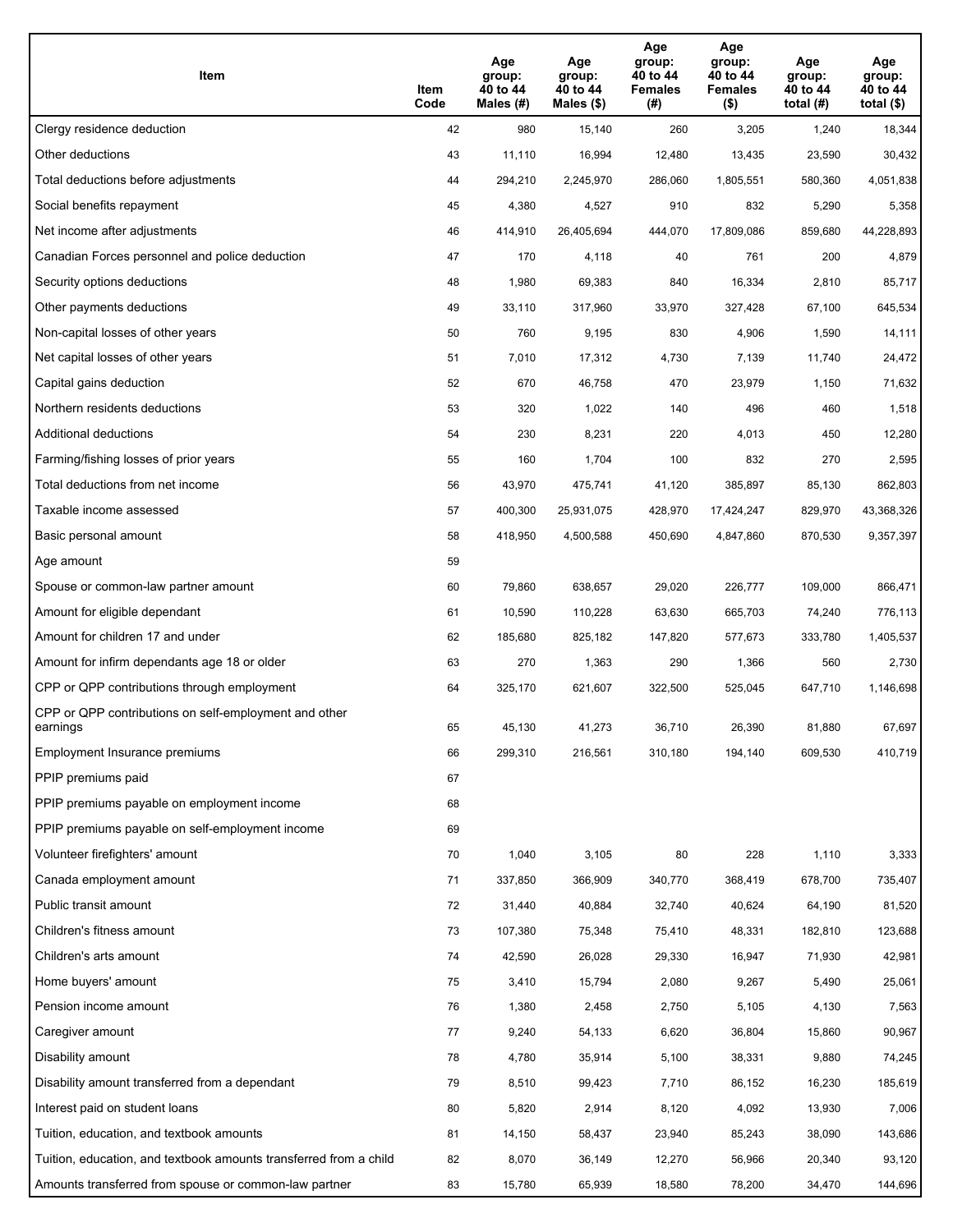| Item                                                              | Item<br>Code | Age<br>group:<br>40 to 44<br>Males (#) | Age<br>group:<br>40 to 44<br>Males (\$) | Age<br>group:<br>40 to 44<br><b>Females</b><br>(# ) | Age<br>group:<br>40 to 44<br><b>Females</b><br>$($ \$) | Age<br>group:<br>40 to 44<br>total $(H)$ | Age<br>group:<br>40 to 44<br>total $($)$ |
|-------------------------------------------------------------------|--------------|----------------------------------------|-----------------------------------------|-----------------------------------------------------|--------------------------------------------------------|------------------------------------------|------------------------------------------|
| Clergy residence deduction                                        | 42           | 980                                    | 15,140                                  | 260                                                 | 3,205                                                  | 1,240                                    | 18,344                                   |
| Other deductions                                                  | 43           | 11,110                                 | 16,994                                  | 12,480                                              | 13,435                                                 | 23,590                                   | 30,432                                   |
| Total deductions before adjustments                               | 44           | 294,210                                | 2,245,970                               | 286,060                                             | 1,805,551                                              | 580,360                                  | 4,051,838                                |
| Social benefits repayment                                         | 45           | 4,380                                  | 4,527                                   | 910                                                 | 832                                                    | 5,290                                    | 5,358                                    |
| Net income after adjustments                                      | 46           | 414,910                                | 26,405,694                              | 444,070                                             | 17,809,086                                             | 859,680                                  | 44,228,893                               |
| Canadian Forces personnel and police deduction                    | 47           | 170                                    | 4,118                                   | 40                                                  | 761                                                    | 200                                      | 4,879                                    |
| Security options deductions                                       | 48           | 1,980                                  | 69,383                                  | 840                                                 | 16,334                                                 | 2,810                                    | 85,717                                   |
| Other payments deductions                                         | 49           | 33,110                                 | 317,960                                 | 33,970                                              | 327,428                                                | 67,100                                   | 645,534                                  |
| Non-capital losses of other years                                 | 50           | 760                                    | 9,195                                   | 830                                                 | 4,906                                                  | 1,590                                    | 14,111                                   |
| Net capital losses of other years                                 | 51           | 7,010                                  | 17,312                                  | 4,730                                               | 7,139                                                  | 11,740                                   | 24,472                                   |
| Capital gains deduction                                           | 52           | 670                                    | 46,758                                  | 470                                                 | 23,979                                                 | 1,150                                    | 71,632                                   |
| Northern residents deductions                                     | 53           | 320                                    | 1,022                                   | 140                                                 | 496                                                    | 460                                      | 1,518                                    |
| Additional deductions                                             | 54           | 230                                    | 8,231                                   | 220                                                 | 4,013                                                  | 450                                      | 12,280                                   |
| Farming/fishing losses of prior years                             | 55           | 160                                    | 1,704                                   | 100                                                 | 832                                                    | 270                                      | 2,595                                    |
| Total deductions from net income                                  | 56           | 43,970                                 | 475,741                                 | 41,120                                              | 385,897                                                | 85,130                                   | 862,803                                  |
| Taxable income assessed                                           | 57           | 400,300                                | 25,931,075                              | 428,970                                             | 17,424,247                                             | 829,970                                  | 43,368,326                               |
| Basic personal amount                                             | 58           | 418,950                                | 4,500,588                               | 450,690                                             | 4,847,860                                              | 870,530                                  | 9,357,397                                |
| Age amount                                                        | 59           |                                        |                                         |                                                     |                                                        |                                          |                                          |
| Spouse or common-law partner amount                               | 60           | 79,860                                 | 638,657                                 | 29,020                                              | 226,777                                                | 109,000                                  | 866,471                                  |
| Amount for eligible dependant                                     | 61           | 10,590                                 | 110,228                                 | 63,630                                              | 665,703                                                | 74,240                                   | 776,113                                  |
| Amount for children 17 and under                                  | 62           | 185,680                                | 825,182                                 | 147,820                                             | 577,673                                                | 333,780                                  | 1,405,537                                |
| Amount for infirm dependants age 18 or older                      | 63           | 270                                    | 1,363                                   | 290                                                 | 1,366                                                  | 560                                      | 2,730                                    |
| CPP or QPP contributions through employment                       | 64           | 325,170                                | 621,607                                 | 322,500                                             | 525,045                                                | 647,710                                  | 1,146,698                                |
| CPP or QPP contributions on self-employment and other<br>earnings | 65           | 45,130                                 | 41.273                                  | 36,710                                              | 26,390                                                 | 81,880                                   | 67,697                                   |
| Employment Insurance premiums                                     | 66           | 299,310                                | 216,561                                 | 310,180                                             | 194,140                                                | 609,530                                  | 410,719                                  |
| PPIP premiums paid                                                | 67           |                                        |                                         |                                                     |                                                        |                                          |                                          |
| PPIP premiums payable on employment income                        | 68           |                                        |                                         |                                                     |                                                        |                                          |                                          |
| PPIP premiums payable on self-employment income                   | 69           |                                        |                                         |                                                     |                                                        |                                          |                                          |
| Volunteer firefighters' amount                                    | 70           | 1,040                                  | 3,105                                   | 80                                                  | 228                                                    | 1,110                                    | 3,333                                    |
| Canada employment amount                                          | 71           | 337,850                                | 366,909                                 | 340,770                                             | 368,419                                                | 678,700                                  | 735,407                                  |
| Public transit amount                                             | 72           | 31,440                                 | 40,884                                  | 32,740                                              | 40,624                                                 | 64,190                                   | 81,520                                   |
| Children's fitness amount                                         | 73           | 107,380                                | 75,348                                  | 75,410                                              | 48,331                                                 | 182,810                                  | 123,688                                  |
| Children's arts amount                                            | 74           | 42,590                                 | 26,028                                  | 29,330                                              | 16,947                                                 | 71,930                                   | 42,981                                   |
| Home buyers' amount                                               | 75           | 3,410                                  | 15,794                                  | 2,080                                               | 9,267                                                  | 5,490                                    | 25,061                                   |
| Pension income amount                                             | 76           | 1,380                                  | 2,458                                   | 2,750                                               | 5,105                                                  | 4,130                                    | 7,563                                    |
| Caregiver amount                                                  | 77           | 9,240                                  | 54,133                                  | 6,620                                               | 36,804                                                 | 15,860                                   | 90,967                                   |
| Disability amount                                                 | 78           | 4,780                                  | 35,914                                  | 5,100                                               | 38,331                                                 | 9,880                                    | 74,245                                   |
| Disability amount transferred from a dependant                    | 79           | 8,510                                  | 99,423                                  | 7,710                                               | 86,152                                                 | 16,230                                   | 185,619                                  |
| Interest paid on student loans                                    | 80           | 5,820                                  | 2,914                                   | 8,120                                               | 4,092                                                  | 13,930                                   | 7,006                                    |
| Tuition, education, and textbook amounts                          | 81           | 14,150                                 | 58,437                                  | 23,940                                              | 85,243                                                 | 38,090                                   | 143,686                                  |
| Tuition, education, and textbook amounts transferred from a child | 82           | 8,070                                  | 36,149                                  | 12,270                                              | 56,966                                                 | 20,340                                   | 93,120                                   |
| Amounts transferred from spouse or common-law partner             | 83           | 15,780                                 | 65,939                                  | 18,580                                              | 78,200                                                 | 34,470                                   | 144,696                                  |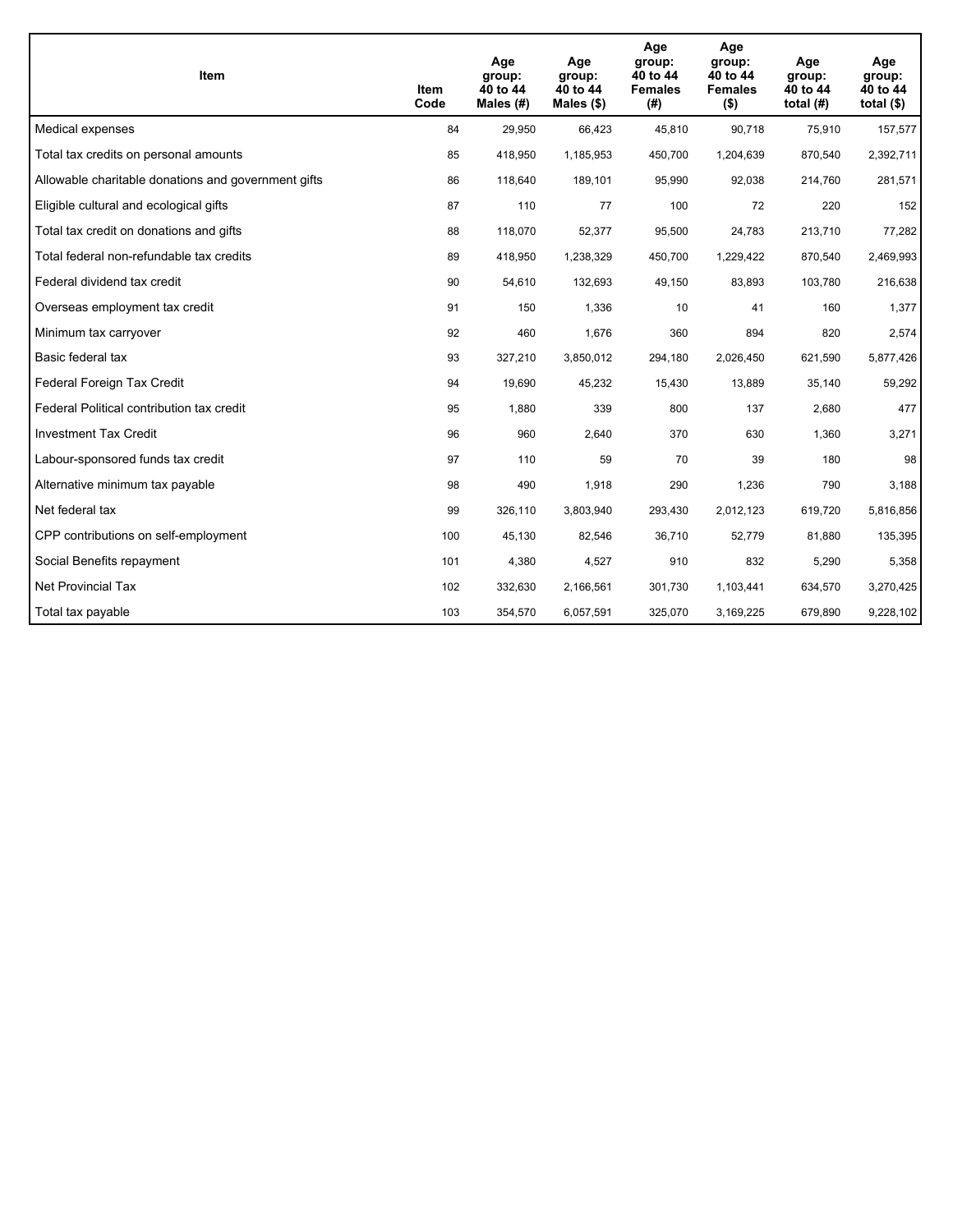| Item                                                | Item<br>Code | Age<br>group:<br>40 to 44<br>Males $(H)$ | Age<br>group:<br>40 to 44<br>Males $(\$)$ | Age<br>group:<br>40 to 44<br><b>Females</b><br>(# ) | Age<br>group:<br>40 to 44<br><b>Females</b><br>$($ \$) | Age<br>group:<br>40 to 44<br>total $(H)$ | Age<br>group:<br>40 to 44<br>total $($)$ |
|-----------------------------------------------------|--------------|------------------------------------------|-------------------------------------------|-----------------------------------------------------|--------------------------------------------------------|------------------------------------------|------------------------------------------|
| Medical expenses                                    | 84           | 29,950                                   | 66,423                                    | 45,810                                              | 90,718                                                 | 75,910                                   | 157,577                                  |
| Total tax credits on personal amounts               | 85           | 418,950                                  | 1,185,953                                 | 450,700                                             | 1,204,639                                              | 870,540                                  | 2,392,711                                |
| Allowable charitable donations and government gifts | 86           | 118,640                                  | 189,101                                   | 95,990                                              | 92,038                                                 | 214,760                                  | 281,571                                  |
| Eligible cultural and ecological gifts              | 87           | 110                                      | 77                                        | 100                                                 | 72                                                     | 220                                      | 152                                      |
| Total tax credit on donations and gifts             | 88           | 118,070                                  | 52,377                                    | 95,500                                              | 24,783                                                 | 213,710                                  | 77,282                                   |
| Total federal non-refundable tax credits            | 89           | 418,950                                  | 1,238,329                                 | 450,700                                             | 1,229,422                                              | 870,540                                  | 2,469,993                                |
| Federal dividend tax credit                         | 90           | 54,610                                   | 132,693                                   | 49,150                                              | 83,893                                                 | 103,780                                  | 216,638                                  |
| Overseas employment tax credit                      | 91           | 150                                      | 1,336                                     | 10                                                  | 41                                                     | 160                                      | 1,377                                    |
| Minimum tax carryover                               | 92           | 460                                      | 1,676                                     | 360                                                 | 894                                                    | 820                                      | 2,574                                    |
| Basic federal tax                                   | 93           | 327,210                                  | 3,850,012                                 | 294,180                                             | 2,026,450                                              | 621,590                                  | 5,877,426                                |
| Federal Foreign Tax Credit                          | 94           | 19,690                                   | 45,232                                    | 15,430                                              | 13,889                                                 | 35,140                                   | 59,292                                   |
| Federal Political contribution tax credit           | 95           | 1,880                                    | 339                                       | 800                                                 | 137                                                    | 2,680                                    | 477                                      |
| <b>Investment Tax Credit</b>                        | 96           | 960                                      | 2,640                                     | 370                                                 | 630                                                    | 1,360                                    | 3,271                                    |
| Labour-sponsored funds tax credit                   | 97           | 110                                      | 59                                        | 70                                                  | 39                                                     | 180                                      | 98                                       |
| Alternative minimum tax payable                     | 98           | 490                                      | 1,918                                     | 290                                                 | 1,236                                                  | 790                                      | 3,188                                    |
| Net federal tax                                     | 99           | 326,110                                  | 3,803,940                                 | 293,430                                             | 2,012,123                                              | 619,720                                  | 5,816,856                                |
| CPP contributions on self-employment                | 100          | 45,130                                   | 82,546                                    | 36,710                                              | 52,779                                                 | 81,880                                   | 135,395                                  |
| Social Benefits repayment                           | 101          | 4,380                                    | 4,527                                     | 910                                                 | 832                                                    | 5,290                                    | 5,358                                    |
| Net Provincial Tax                                  | 102          | 332,630                                  | 2,166,561                                 | 301,730                                             | 1,103,441                                              | 634,570                                  | 3,270,425                                |
| Total tax payable                                   | 103          | 354,570                                  | 6,057,591                                 | 325,070                                             | 3,169,225                                              | 679,890                                  | 9,228,102                                |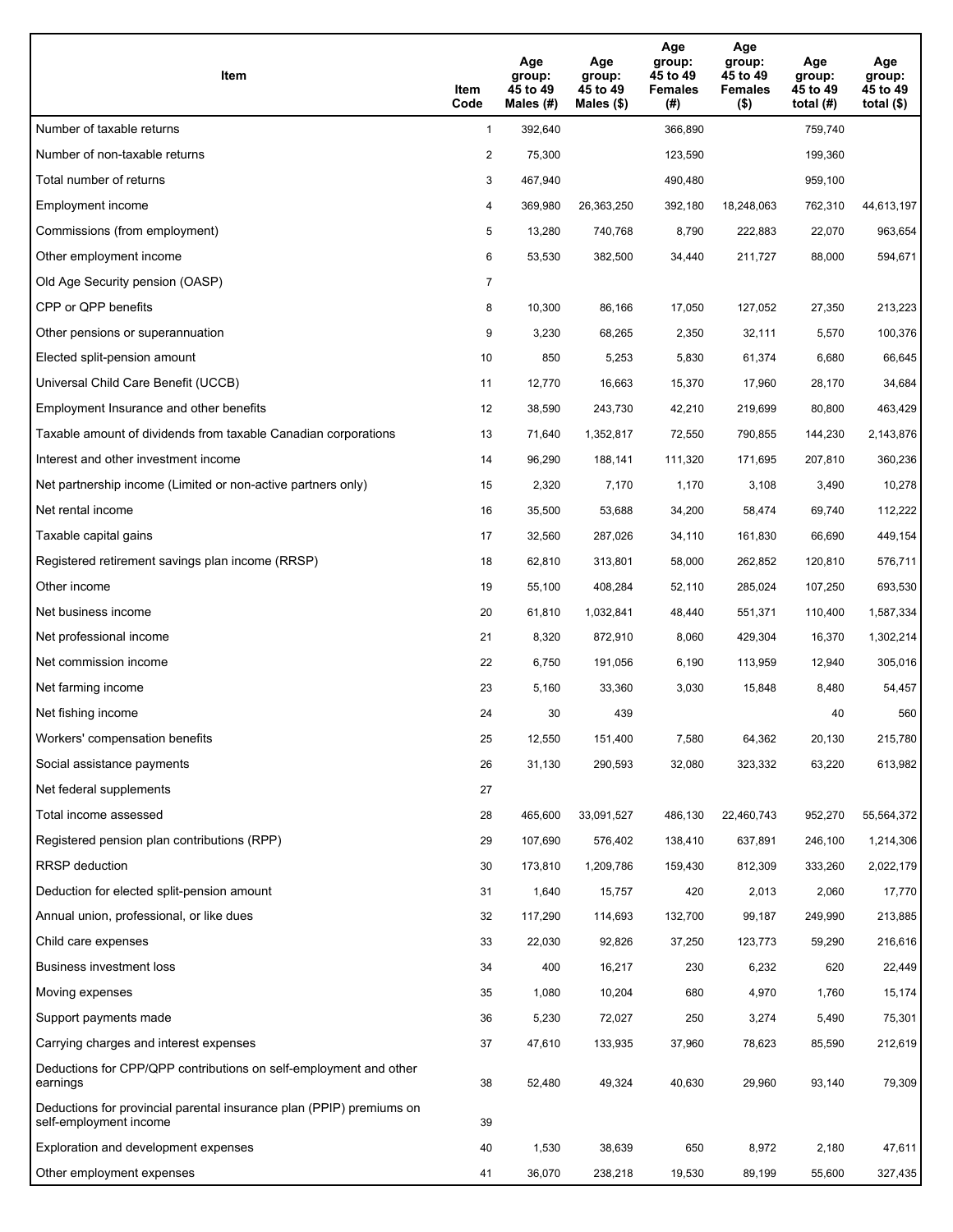| Item                                                                                           | Item<br>Code   | Age<br>group:<br>45 to 49<br>Males $(H)$ | Age<br>group:<br>45 to 49<br>Males $(\$)$ | Age<br>group:<br>45 to 49<br><b>Females</b><br>(#) | Age<br>group:<br>45 to 49<br><b>Females</b><br>$($ \$) | Age<br>group:<br>45 to 49<br>total $(H)$ | Age<br>group:<br>45 to 49<br>total $($)$ |
|------------------------------------------------------------------------------------------------|----------------|------------------------------------------|-------------------------------------------|----------------------------------------------------|--------------------------------------------------------|------------------------------------------|------------------------------------------|
| Number of taxable returns                                                                      | $\mathbf{1}$   | 392,640                                  |                                           | 366,890                                            |                                                        | 759,740                                  |                                          |
| Number of non-taxable returns                                                                  | 2              | 75,300                                   |                                           | 123,590                                            |                                                        | 199,360                                  |                                          |
| Total number of returns                                                                        | 3              | 467,940                                  |                                           | 490,480                                            |                                                        | 959,100                                  |                                          |
| Employment income                                                                              | 4              | 369,980                                  | 26,363,250                                | 392,180                                            | 18,248,063                                             | 762,310                                  | 44,613,197                               |
| Commissions (from employment)                                                                  | 5              | 13,280                                   | 740,768                                   | 8,790                                              | 222,883                                                | 22,070                                   | 963,654                                  |
| Other employment income                                                                        | 6              | 53,530                                   | 382,500                                   | 34,440                                             | 211,727                                                | 88,000                                   | 594,671                                  |
| Old Age Security pension (OASP)                                                                | $\overline{7}$ |                                          |                                           |                                                    |                                                        |                                          |                                          |
| CPP or QPP benefits                                                                            | 8              | 10,300                                   | 86,166                                    | 17,050                                             | 127,052                                                | 27,350                                   | 213,223                                  |
| Other pensions or superannuation                                                               | 9              | 3,230                                    | 68,265                                    | 2,350                                              | 32,111                                                 | 5,570                                    | 100,376                                  |
| Elected split-pension amount                                                                   | 10             | 850                                      | 5,253                                     | 5,830                                              | 61,374                                                 | 6,680                                    | 66,645                                   |
| Universal Child Care Benefit (UCCB)                                                            | 11             | 12,770                                   | 16,663                                    | 15,370                                             | 17,960                                                 | 28,170                                   | 34,684                                   |
| Employment Insurance and other benefits                                                        | 12             | 38,590                                   | 243,730                                   | 42,210                                             | 219,699                                                | 80,800                                   | 463,429                                  |
| Taxable amount of dividends from taxable Canadian corporations                                 | 13             | 71,640                                   | 1,352,817                                 | 72,550                                             | 790,855                                                | 144,230                                  | 2,143,876                                |
| Interest and other investment income                                                           | 14             | 96,290                                   | 188,141                                   | 111,320                                            | 171,695                                                | 207,810                                  | 360,236                                  |
| Net partnership income (Limited or non-active partners only)                                   | 15             | 2,320                                    | 7,170                                     | 1,170                                              | 3,108                                                  | 3,490                                    | 10,278                                   |
| Net rental income                                                                              | 16             | 35,500                                   | 53,688                                    | 34,200                                             | 58,474                                                 | 69,740                                   | 112,222                                  |
| Taxable capital gains                                                                          | 17             | 32,560                                   | 287,026                                   | 34,110                                             | 161,830                                                | 66,690                                   | 449,154                                  |
| Registered retirement savings plan income (RRSP)                                               | 18             | 62,810                                   | 313,801                                   | 58,000                                             | 262,852                                                | 120,810                                  | 576,711                                  |
| Other income                                                                                   | 19             | 55,100                                   | 408,284                                   | 52,110                                             | 285,024                                                | 107,250                                  | 693,530                                  |
| Net business income                                                                            | 20             | 61,810                                   | 1,032,841                                 | 48,440                                             | 551,371                                                | 110,400                                  | 1,587,334                                |
| Net professional income                                                                        | 21             | 8,320                                    | 872,910                                   | 8,060                                              | 429,304                                                | 16,370                                   | 1,302,214                                |
| Net commission income                                                                          | 22             | 6,750                                    | 191,056                                   | 6,190                                              | 113,959                                                | 12,940                                   | 305,016                                  |
| Net farming income                                                                             | 23             | 5,160                                    | 33,360                                    | 3,030                                              | 15,848                                                 | 8,480                                    | 54,457                                   |
| Net fishing income                                                                             | 24             | 30                                       | 439                                       |                                                    |                                                        | 40                                       | 560                                      |
| Workers' compensation benefits                                                                 | 25             | 12,550                                   | 151,400                                   | 7,580                                              | 64,362                                                 | 20,130                                   | 215,780                                  |
| Social assistance payments                                                                     | 26             | 31,130                                   | 290,593                                   | 32,080                                             | 323,332                                                | 63,220                                   | 613,982                                  |
| Net federal supplements                                                                        | 27             |                                          |                                           |                                                    |                                                        |                                          |                                          |
| Total income assessed                                                                          | 28             | 465,600                                  | 33,091,527                                | 486,130                                            | 22,460,743                                             | 952,270                                  | 55,564,372                               |
| Registered pension plan contributions (RPP)                                                    | 29             | 107,690                                  | 576,402                                   | 138,410                                            | 637,891                                                | 246,100                                  | 1,214,306                                |
| RRSP deduction                                                                                 | 30             | 173,810                                  | 1,209,786                                 | 159,430                                            | 812,309                                                | 333,260                                  | 2,022,179                                |
| Deduction for elected split-pension amount                                                     | 31             | 1,640                                    | 15,757                                    | 420                                                | 2,013                                                  | 2,060                                    | 17,770                                   |
| Annual union, professional, or like dues                                                       | 32             | 117,290                                  | 114,693                                   | 132,700                                            | 99,187                                                 | 249,990                                  | 213,885                                  |
| Child care expenses                                                                            | 33             | 22,030                                   | 92,826                                    | 37,250                                             | 123,773                                                | 59,290                                   | 216,616                                  |
| Business investment loss                                                                       | 34             | 400                                      | 16,217                                    | 230                                                | 6,232                                                  | 620                                      | 22,449                                   |
| Moving expenses                                                                                | 35             | 1,080                                    | 10,204                                    | 680                                                | 4,970                                                  | 1,760                                    | 15,174                                   |
| Support payments made                                                                          | 36             | 5,230                                    | 72,027                                    | 250                                                | 3,274                                                  | 5,490                                    | 75,301                                   |
| Carrying charges and interest expenses                                                         | 37             | 47,610                                   | 133,935                                   | 37,960                                             | 78,623                                                 | 85,590                                   | 212,619                                  |
| Deductions for CPP/QPP contributions on self-employment and other<br>earnings                  | 38             | 52,480                                   | 49,324                                    | 40,630                                             | 29,960                                                 | 93,140                                   | 79,309                                   |
| Deductions for provincial parental insurance plan (PPIP) premiums on<br>self-employment income | 39             |                                          |                                           |                                                    |                                                        |                                          |                                          |
| Exploration and development expenses                                                           | 40             | 1,530                                    | 38,639                                    | 650                                                | 8,972                                                  | 2,180                                    | 47,611                                   |
| Other employment expenses                                                                      | 41             | 36,070                                   | 238,218                                   | 19,530                                             | 89,199                                                 | 55,600                                   | 327,435                                  |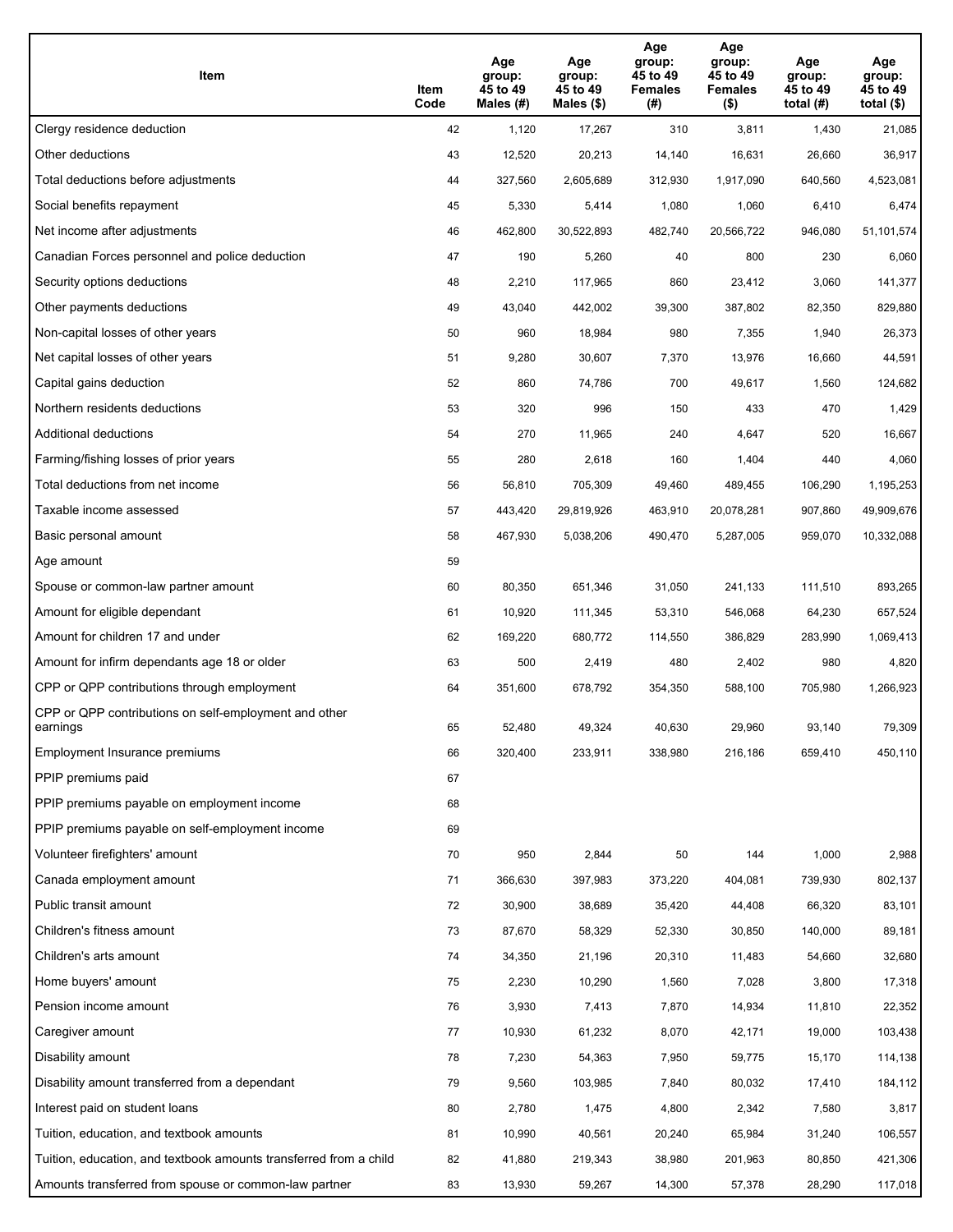| Item                                                              | Item<br>Code | Age<br>group:<br>45 to 49<br>Males (#) | Age<br>group:<br>45 to 49<br>Males (\$) | Age<br>group:<br>45 to 49<br><b>Females</b><br>(# ) | Age<br>group:<br>45 to 49<br><b>Females</b><br>$($ \$) | Age<br>group:<br>45 to 49<br>total $(#)$ | Age<br>group:<br>45 to 49<br>total $($)$ |
|-------------------------------------------------------------------|--------------|----------------------------------------|-----------------------------------------|-----------------------------------------------------|--------------------------------------------------------|------------------------------------------|------------------------------------------|
| Clergy residence deduction                                        | 42           | 1,120                                  | 17,267                                  | 310                                                 | 3,811                                                  | 1,430                                    | 21,085                                   |
| Other deductions                                                  | 43           | 12,520                                 | 20,213                                  | 14,140                                              | 16,631                                                 | 26,660                                   | 36,917                                   |
| Total deductions before adjustments                               | 44           | 327,560                                | 2,605,689                               | 312,930                                             | 1,917,090                                              | 640,560                                  | 4,523,081                                |
| Social benefits repayment                                         | 45           | 5,330                                  | 5,414                                   | 1,080                                               | 1,060                                                  | 6,410                                    | 6,474                                    |
| Net income after adjustments                                      | 46           | 462,800                                | 30,522,893                              | 482,740                                             | 20,566,722                                             | 946,080                                  | 51,101,574                               |
| Canadian Forces personnel and police deduction                    | 47           | 190                                    | 5,260                                   | 40                                                  | 800                                                    | 230                                      | 6,060                                    |
| Security options deductions                                       | 48           | 2,210                                  | 117,965                                 | 860                                                 | 23,412                                                 | 3,060                                    | 141,377                                  |
| Other payments deductions                                         | 49           | 43,040                                 | 442,002                                 | 39,300                                              | 387,802                                                | 82,350                                   | 829,880                                  |
| Non-capital losses of other years                                 | 50           | 960                                    | 18,984                                  | 980                                                 | 7,355                                                  | 1,940                                    | 26,373                                   |
| Net capital losses of other years                                 | 51           | 9,280                                  | 30,607                                  | 7,370                                               | 13,976                                                 | 16,660                                   | 44,591                                   |
| Capital gains deduction                                           | 52           | 860                                    | 74,786                                  | 700                                                 | 49,617                                                 | 1,560                                    | 124,682                                  |
| Northern residents deductions                                     | 53           | 320                                    | 996                                     | 150                                                 | 433                                                    | 470                                      | 1,429                                    |
| Additional deductions                                             | 54           | 270                                    | 11,965                                  | 240                                                 | 4,647                                                  | 520                                      | 16,667                                   |
| Farming/fishing losses of prior years                             | 55           | 280                                    | 2,618                                   | 160                                                 | 1,404                                                  | 440                                      | 4,060                                    |
| Total deductions from net income                                  | 56           | 56,810                                 | 705,309                                 | 49,460                                              | 489,455                                                | 106,290                                  | 1,195,253                                |
| Taxable income assessed                                           | 57           | 443,420                                | 29,819,926                              | 463,910                                             | 20,078,281                                             | 907,860                                  | 49,909,676                               |
| Basic personal amount                                             | 58           | 467,930                                | 5,038,206                               | 490,470                                             | 5,287,005                                              | 959,070                                  | 10,332,088                               |
| Age amount                                                        | 59           |                                        |                                         |                                                     |                                                        |                                          |                                          |
| Spouse or common-law partner amount                               | 60           | 80,350                                 | 651,346                                 | 31,050                                              | 241,133                                                | 111,510                                  | 893,265                                  |
| Amount for eligible dependant                                     | 61           | 10,920                                 | 111,345                                 | 53,310                                              | 546,068                                                | 64,230                                   | 657,524                                  |
| Amount for children 17 and under                                  | 62           | 169,220                                | 680,772                                 | 114,550                                             | 386,829                                                | 283,990                                  | 1,069,413                                |
| Amount for infirm dependants age 18 or older                      | 63           | 500                                    | 2,419                                   | 480                                                 | 2,402                                                  | 980                                      | 4,820                                    |
| CPP or QPP contributions through employment                       | 64           | 351,600                                | 678,792                                 | 354,350                                             | 588,100                                                | 705,980                                  | 1,266,923                                |
| CPP or QPP contributions on self-employment and other<br>earnings | 65           | 52,480                                 | 49,324                                  | 40,630                                              | 29,960                                                 | 93,140                                   | 79,309                                   |
| Employment Insurance premiums                                     | 66           | 320,400                                | 233,911                                 | 338,980                                             | 216,186                                                | 659,410                                  | 450,110                                  |
| PPIP premiums paid                                                | 67           |                                        |                                         |                                                     |                                                        |                                          |                                          |
| PPIP premiums payable on employment income                        | 68           |                                        |                                         |                                                     |                                                        |                                          |                                          |
| PPIP premiums payable on self-employment income                   | 69           |                                        |                                         |                                                     |                                                        |                                          |                                          |
| Volunteer firefighters' amount                                    | 70           | 950                                    | 2,844                                   | 50                                                  | 144                                                    | 1,000                                    | 2,988                                    |
| Canada employment amount                                          | 71           | 366,630                                | 397,983                                 | 373,220                                             | 404,081                                                | 739,930                                  | 802,137                                  |
| Public transit amount                                             | 72           | 30,900                                 | 38,689                                  | 35,420                                              | 44,408                                                 | 66,320                                   | 83,101                                   |
| Children's fitness amount                                         | 73           | 87,670                                 | 58,329                                  | 52,330                                              | 30,850                                                 | 140,000                                  | 89,181                                   |
| Children's arts amount                                            | 74           | 34,350                                 | 21,196                                  | 20,310                                              | 11,483                                                 | 54,660                                   | 32,680                                   |
| Home buyers' amount                                               | 75           | 2,230                                  | 10,290                                  | 1,560                                               | 7,028                                                  | 3,800                                    | 17,318                                   |
| Pension income amount                                             | 76           | 3,930                                  | 7,413                                   | 7,870                                               | 14,934                                                 | 11,810                                   | 22,352                                   |
| Caregiver amount                                                  | 77           | 10,930                                 | 61,232                                  | 8,070                                               | 42,171                                                 | 19,000                                   | 103,438                                  |
| Disability amount                                                 | 78           | 7,230                                  | 54,363                                  | 7,950                                               | 59,775                                                 | 15,170                                   | 114,138                                  |
| Disability amount transferred from a dependant                    | 79           | 9,560                                  | 103,985                                 | 7,840                                               | 80,032                                                 | 17,410                                   | 184,112                                  |
| Interest paid on student loans                                    | 80           | 2,780                                  | 1,475                                   | 4,800                                               | 2,342                                                  | 7,580                                    | 3,817                                    |
| Tuition, education, and textbook amounts                          | 81           | 10,990                                 | 40,561                                  | 20,240                                              | 65,984                                                 | 31,240                                   | 106,557                                  |
| Tuition, education, and textbook amounts transferred from a child | 82           | 41,880                                 | 219,343                                 | 38,980                                              | 201,963                                                | 80,850                                   | 421,306                                  |
| Amounts transferred from spouse or common-law partner             | 83           | 13,930                                 | 59,267                                  | 14,300                                              | 57,378                                                 | 28,290                                   | 117,018                                  |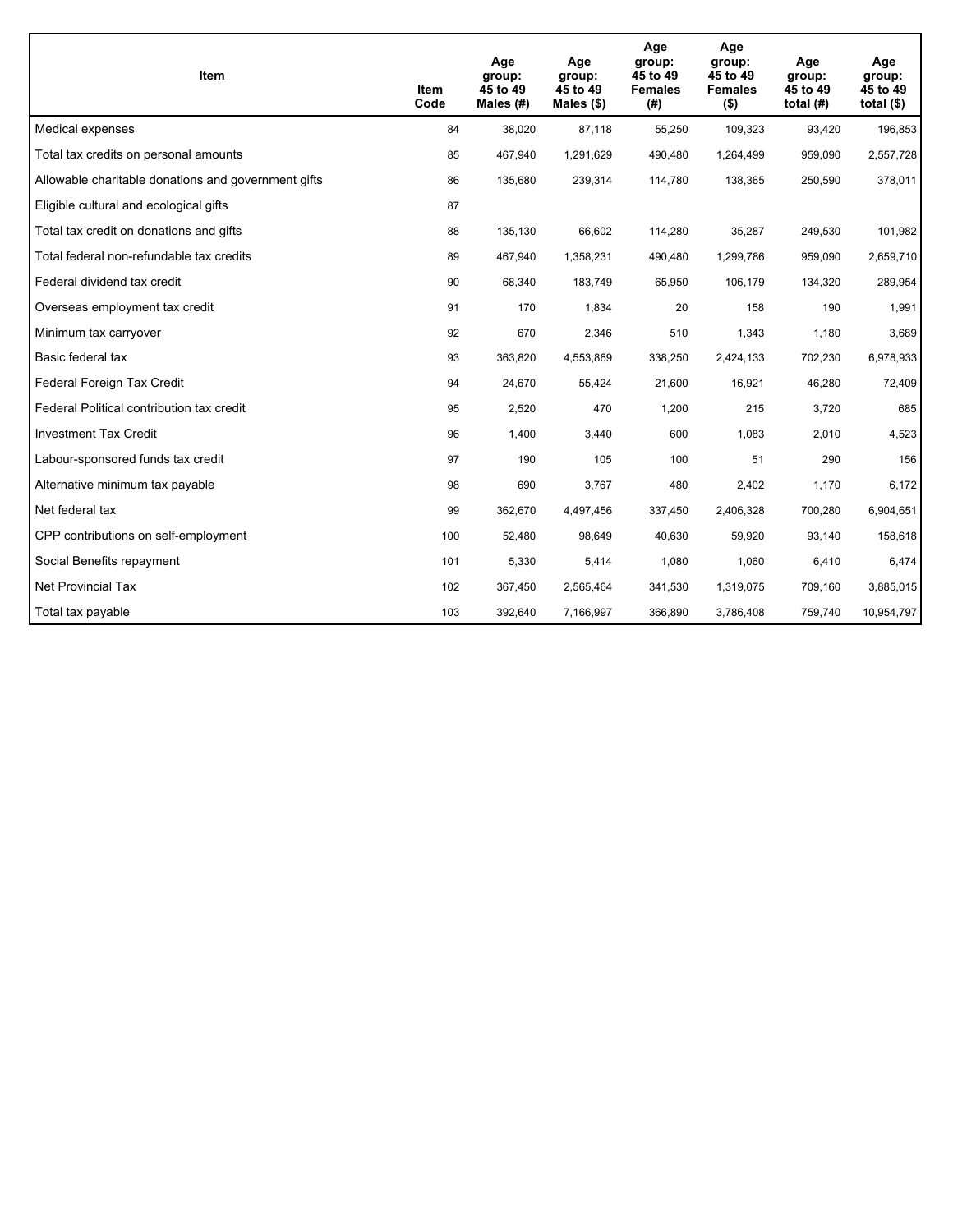| Item                                                | Item<br>Code | Age<br>group:<br>45 to 49<br>Males $(H)$ | Age<br>group:<br>45 to 49<br>Males $(\$)$ | Age<br>group:<br>45 to 49<br><b>Females</b><br>(#) | Age<br>group:<br>45 to 49<br><b>Females</b><br>$($ \$) | Age<br>group:<br>45 to 49<br>total $(H)$ | Age<br>group:<br>45 to 49<br>total $($)$ |
|-----------------------------------------------------|--------------|------------------------------------------|-------------------------------------------|----------------------------------------------------|--------------------------------------------------------|------------------------------------------|------------------------------------------|
| Medical expenses                                    | 84           | 38,020                                   | 87,118                                    | 55,250                                             | 109,323                                                | 93,420                                   | 196,853                                  |
| Total tax credits on personal amounts               | 85           | 467,940                                  | 1,291,629                                 | 490,480                                            | 1,264,499                                              | 959,090                                  | 2,557,728                                |
| Allowable charitable donations and government gifts | 86           | 135,680                                  | 239,314                                   | 114,780                                            | 138,365                                                | 250,590                                  | 378,011                                  |
| Eligible cultural and ecological gifts              | 87           |                                          |                                           |                                                    |                                                        |                                          |                                          |
| Total tax credit on donations and gifts             | 88           | 135,130                                  | 66,602                                    | 114,280                                            | 35,287                                                 | 249,530                                  | 101,982                                  |
| Total federal non-refundable tax credits            | 89           | 467,940                                  | 1,358,231                                 | 490,480                                            | 1,299,786                                              | 959,090                                  | 2,659,710                                |
| Federal dividend tax credit                         | 90           | 68,340                                   | 183,749                                   | 65,950                                             | 106,179                                                | 134,320                                  | 289,954                                  |
| Overseas employment tax credit                      | 91           | 170                                      | 1,834                                     | 20                                                 | 158                                                    | 190                                      | 1,991                                    |
| Minimum tax carryover                               | 92           | 670                                      | 2,346                                     | 510                                                | 1,343                                                  | 1,180                                    | 3,689                                    |
| Basic federal tax                                   | 93           | 363,820                                  | 4,553,869                                 | 338,250                                            | 2,424,133                                              | 702,230                                  | 6,978,933                                |
| Federal Foreign Tax Credit                          | 94           | 24,670                                   | 55,424                                    | 21,600                                             | 16,921                                                 | 46,280                                   | 72,409                                   |
| Federal Political contribution tax credit           | 95           | 2,520                                    | 470                                       | 1,200                                              | 215                                                    | 3,720                                    | 685                                      |
| <b>Investment Tax Credit</b>                        | 96           | 1,400                                    | 3,440                                     | 600                                                | 1,083                                                  | 2,010                                    | 4,523                                    |
| Labour-sponsored funds tax credit                   | 97           | 190                                      | 105                                       | 100                                                | 51                                                     | 290                                      | 156                                      |
| Alternative minimum tax payable                     | 98           | 690                                      | 3,767                                     | 480                                                | 2,402                                                  | 1,170                                    | 6,172                                    |
| Net federal tax                                     | 99           | 362,670                                  | 4,497,456                                 | 337,450                                            | 2,406,328                                              | 700,280                                  | 6,904,651                                |
| CPP contributions on self-employment                | 100          | 52,480                                   | 98,649                                    | 40,630                                             | 59,920                                                 | 93,140                                   | 158,618                                  |
| Social Benefits repayment                           | 101          | 5,330                                    | 5,414                                     | 1,080                                              | 1,060                                                  | 6,410                                    | 6,474                                    |
| <b>Net Provincial Tax</b>                           | 102          | 367,450                                  | 2,565,464                                 | 341,530                                            | 1,319,075                                              | 709.160                                  | 3,885,015                                |
| Total tax payable                                   | 103          | 392,640                                  | 7,166,997                                 | 366,890                                            | 3,786,408                                              | 759,740                                  | 10,954,797                               |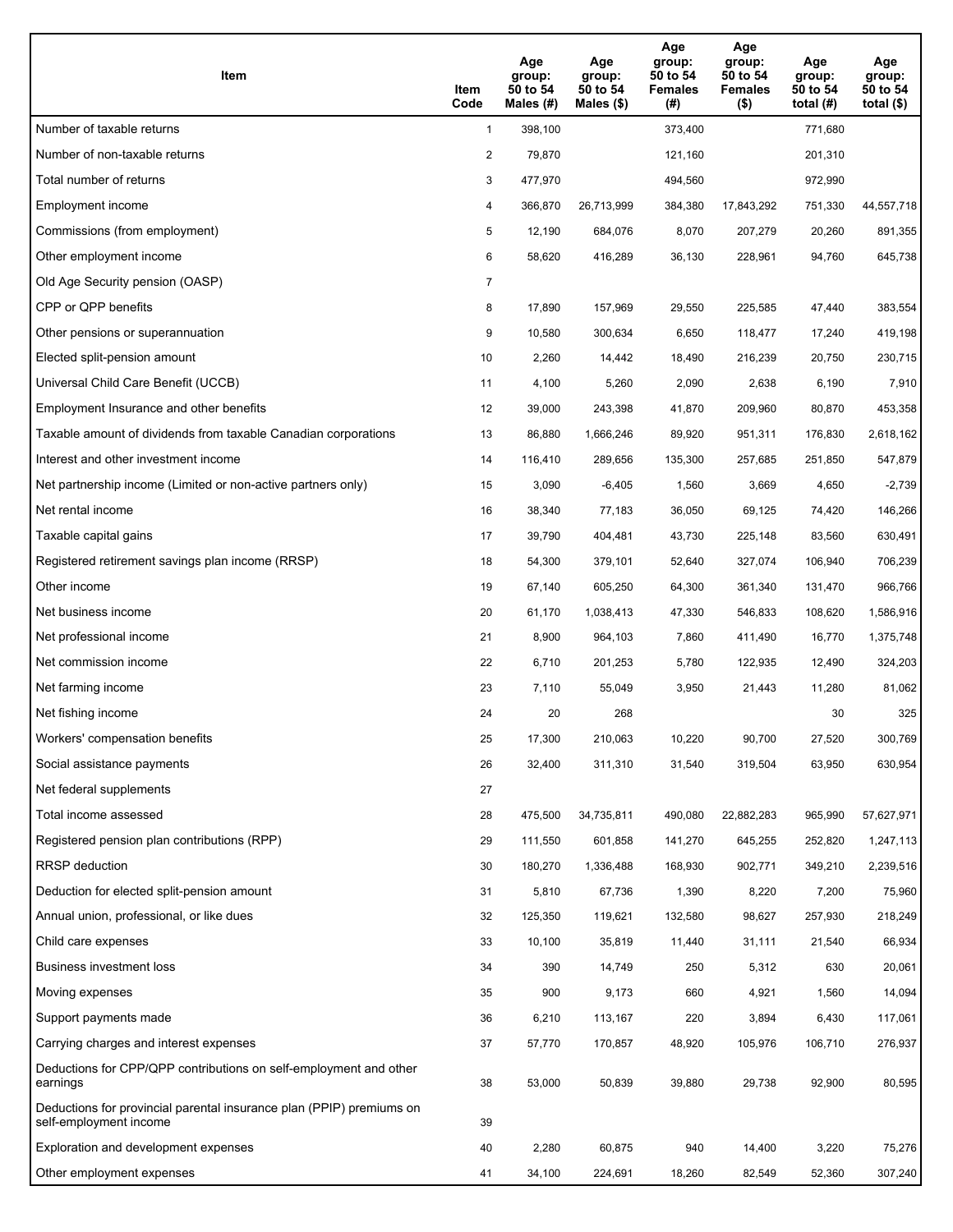| Item                                                                                           | Item<br>Code   | Age<br>group:<br>50 to 54<br>Males $(H)$ | Age<br>group:<br>50 to 54<br>Males $(\$)$ | Age<br>group:<br>50 to 54<br><b>Females</b><br>(#) | Age<br>group:<br>50 to 54<br><b>Females</b><br>$($ \$) | Age<br>group:<br>50 to 54<br>total $(H)$ | Age<br>group:<br>50 to 54<br>total $($)$ |
|------------------------------------------------------------------------------------------------|----------------|------------------------------------------|-------------------------------------------|----------------------------------------------------|--------------------------------------------------------|------------------------------------------|------------------------------------------|
| Number of taxable returns                                                                      | $\mathbf{1}$   | 398,100                                  |                                           | 373,400                                            |                                                        | 771,680                                  |                                          |
| Number of non-taxable returns                                                                  | 2              | 79,870                                   |                                           | 121,160                                            |                                                        | 201,310                                  |                                          |
| Total number of returns                                                                        | 3              | 477,970                                  |                                           | 494,560                                            |                                                        | 972,990                                  |                                          |
| Employment income                                                                              | 4              | 366,870                                  | 26,713,999                                | 384,380                                            | 17,843,292                                             | 751,330                                  | 44,557,718                               |
| Commissions (from employment)                                                                  | 5              | 12,190                                   | 684,076                                   | 8,070                                              | 207,279                                                | 20,260                                   | 891,355                                  |
| Other employment income                                                                        | 6              | 58,620                                   | 416,289                                   | 36,130                                             | 228,961                                                | 94,760                                   | 645,738                                  |
| Old Age Security pension (OASP)                                                                | $\overline{7}$ |                                          |                                           |                                                    |                                                        |                                          |                                          |
| CPP or QPP benefits                                                                            | 8              | 17,890                                   | 157,969                                   | 29,550                                             | 225,585                                                | 47,440                                   | 383,554                                  |
| Other pensions or superannuation                                                               | 9              | 10,580                                   | 300,634                                   | 6,650                                              | 118,477                                                | 17,240                                   | 419,198                                  |
| Elected split-pension amount                                                                   | 10             | 2,260                                    | 14,442                                    | 18,490                                             | 216,239                                                | 20,750                                   | 230,715                                  |
| Universal Child Care Benefit (UCCB)                                                            | 11             | 4,100                                    | 5,260                                     | 2,090                                              | 2,638                                                  | 6,190                                    | 7,910                                    |
| Employment Insurance and other benefits                                                        | 12             | 39,000                                   | 243,398                                   | 41,870                                             | 209,960                                                | 80,870                                   | 453,358                                  |
| Taxable amount of dividends from taxable Canadian corporations                                 | 13             | 86,880                                   | 1,666,246                                 | 89,920                                             | 951,311                                                | 176,830                                  | 2,618,162                                |
| Interest and other investment income                                                           | 14             | 116,410                                  | 289,656                                   | 135,300                                            | 257,685                                                | 251,850                                  | 547,879                                  |
| Net partnership income (Limited or non-active partners only)                                   | 15             | 3,090                                    | $-6,405$                                  | 1,560                                              | 3,669                                                  | 4,650                                    | $-2,739$                                 |
| Net rental income                                                                              | 16             | 38,340                                   | 77,183                                    | 36,050                                             | 69,125                                                 | 74,420                                   | 146,266                                  |
| Taxable capital gains                                                                          | 17             | 39,790                                   | 404,481                                   | 43,730                                             | 225,148                                                | 83,560                                   | 630,491                                  |
| Registered retirement savings plan income (RRSP)                                               | 18             | 54,300                                   | 379,101                                   | 52,640                                             | 327,074                                                | 106,940                                  | 706,239                                  |
| Other income                                                                                   | 19             | 67,140                                   | 605,250                                   | 64,300                                             | 361,340                                                | 131,470                                  | 966,766                                  |
| Net business income                                                                            | 20             | 61,170                                   | 1,038,413                                 | 47,330                                             | 546,833                                                | 108,620                                  | 1,586,916                                |
| Net professional income                                                                        | 21             | 8,900                                    | 964,103                                   | 7,860                                              | 411,490                                                | 16,770                                   | 1,375,748                                |
| Net commission income                                                                          | 22             | 6,710                                    | 201,253                                   | 5,780                                              | 122,935                                                | 12,490                                   | 324,203                                  |
| Net farming income                                                                             | 23             | 7,110                                    | 55,049                                    | 3,950                                              | 21,443                                                 | 11,280                                   | 81,062                                   |
| Net fishing income                                                                             | 24             | 20                                       | 268                                       |                                                    |                                                        | 30                                       | 325                                      |
| Workers' compensation benefits                                                                 | 25             | 17,300                                   | 210,063                                   | 10,220                                             | 90,700                                                 | 27,520                                   | 300,769                                  |
| Social assistance payments                                                                     | 26             | 32,400                                   | 311,310                                   | 31,540                                             | 319,504                                                | 63,950                                   | 630,954                                  |
| Net federal supplements                                                                        | 27             |                                          |                                           |                                                    |                                                        |                                          |                                          |
| Total income assessed                                                                          | 28             | 475,500                                  | 34,735,811                                | 490,080                                            | 22,882,283                                             | 965,990                                  | 57,627,971                               |
| Registered pension plan contributions (RPP)                                                    | 29             | 111,550                                  | 601,858                                   | 141,270                                            | 645,255                                                | 252,820                                  | 1,247,113                                |
| RRSP deduction                                                                                 | 30             | 180,270                                  | 1,336,488                                 | 168,930                                            | 902,771                                                | 349,210                                  | 2,239,516                                |
| Deduction for elected split-pension amount                                                     | 31             | 5,810                                    | 67,736                                    | 1,390                                              | 8,220                                                  | 7,200                                    | 75,960                                   |
| Annual union, professional, or like dues                                                       | 32             | 125,350                                  | 119,621                                   | 132,580                                            | 98,627                                                 | 257,930                                  | 218,249                                  |
| Child care expenses                                                                            | 33             | 10,100                                   | 35,819                                    | 11,440                                             | 31,111                                                 | 21,540                                   | 66,934                                   |
| Business investment loss                                                                       | 34             | 390                                      | 14,749                                    | 250                                                | 5,312                                                  | 630                                      | 20,061                                   |
| Moving expenses                                                                                | 35             | 900                                      | 9,173                                     | 660                                                | 4,921                                                  | 1,560                                    | 14,094                                   |
| Support payments made                                                                          | 36             | 6,210                                    | 113,167                                   | 220                                                | 3,894                                                  | 6,430                                    | 117,061                                  |
| Carrying charges and interest expenses                                                         | 37             | 57,770                                   | 170,857                                   | 48,920                                             | 105,976                                                | 106,710                                  | 276,937                                  |
| Deductions for CPP/QPP contributions on self-employment and other<br>earnings                  | 38             | 53,000                                   | 50,839                                    | 39,880                                             | 29,738                                                 | 92,900                                   | 80,595                                   |
| Deductions for provincial parental insurance plan (PPIP) premiums on<br>self-employment income | 39             |                                          |                                           |                                                    |                                                        |                                          |                                          |
| Exploration and development expenses                                                           | 40             | 2,280                                    | 60,875                                    | 940                                                | 14,400                                                 | 3,220                                    | 75,276                                   |
| Other employment expenses                                                                      | 41             | 34,100                                   | 224,691                                   | 18,260                                             | 82,549                                                 | 52,360                                   | 307,240                                  |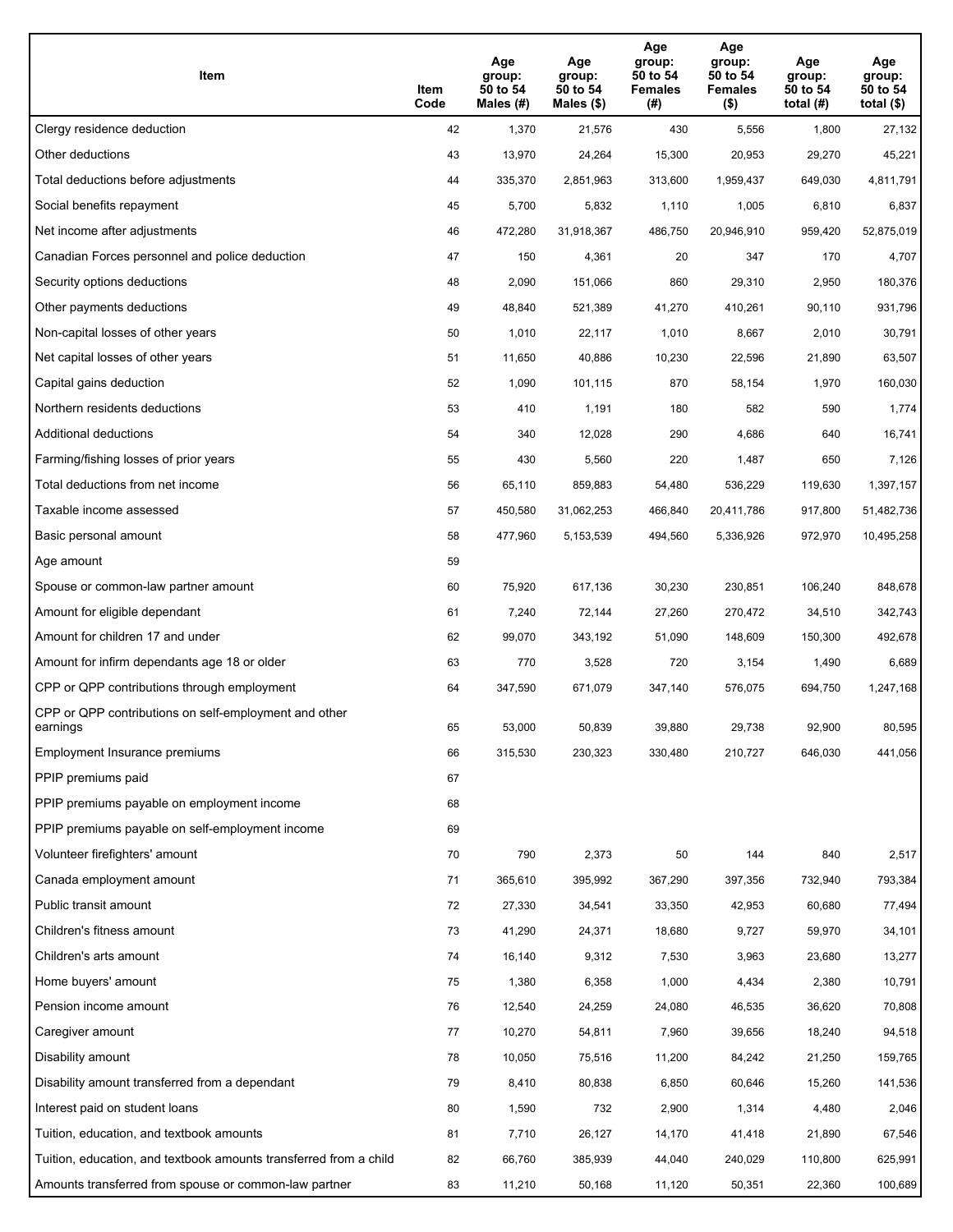| Item                                                              | Item<br>Code | Age<br>group:<br>50 to 54<br>Males (#) | Age<br>group:<br>50 to 54<br>Males (\$) | Age<br>group:<br>50 to 54<br><b>Females</b><br>(#) | Age<br>group:<br>50 to 54<br><b>Females</b><br>$($ \$) | Age<br>group:<br>50 to 54<br>total $(H)$ | Age<br>group:<br>50 to 54<br>total $($)$ |
|-------------------------------------------------------------------|--------------|----------------------------------------|-----------------------------------------|----------------------------------------------------|--------------------------------------------------------|------------------------------------------|------------------------------------------|
| Clergy residence deduction                                        | 42           | 1,370                                  | 21,576                                  | 430                                                | 5,556                                                  | 1,800                                    | 27,132                                   |
| Other deductions                                                  | 43           | 13,970                                 | 24,264                                  | 15,300                                             | 20,953                                                 | 29,270                                   | 45,221                                   |
| Total deductions before adjustments                               | 44           | 335,370                                | 2,851,963                               | 313,600                                            | 1,959,437                                              | 649,030                                  | 4,811,791                                |
| Social benefits repayment                                         | 45           | 5,700                                  | 5,832                                   | 1,110                                              | 1,005                                                  | 6,810                                    | 6,837                                    |
| Net income after adjustments                                      | 46           | 472,280                                | 31,918,367                              | 486,750                                            | 20,946,910                                             | 959,420                                  | 52,875,019                               |
| Canadian Forces personnel and police deduction                    | 47           | 150                                    | 4,361                                   | 20                                                 | 347                                                    | 170                                      | 4,707                                    |
| Security options deductions                                       | 48           | 2,090                                  | 151,066                                 | 860                                                | 29,310                                                 | 2,950                                    | 180,376                                  |
| Other payments deductions                                         | 49           | 48,840                                 | 521,389                                 | 41,270                                             | 410,261                                                | 90,110                                   | 931,796                                  |
| Non-capital losses of other years                                 | 50           | 1,010                                  | 22,117                                  | 1,010                                              | 8,667                                                  | 2,010                                    | 30,791                                   |
| Net capital losses of other years                                 | 51           | 11,650                                 | 40,886                                  | 10,230                                             | 22,596                                                 | 21,890                                   | 63,507                                   |
| Capital gains deduction                                           | 52           | 1,090                                  | 101,115                                 | 870                                                | 58,154                                                 | 1,970                                    | 160,030                                  |
| Northern residents deductions                                     | 53           | 410                                    | 1,191                                   | 180                                                | 582                                                    | 590                                      | 1,774                                    |
| Additional deductions                                             | 54           | 340                                    | 12,028                                  | 290                                                | 4,686                                                  | 640                                      | 16,741                                   |
| Farming/fishing losses of prior years                             | 55           | 430                                    | 5,560                                   | 220                                                | 1,487                                                  | 650                                      | 7,126                                    |
| Total deductions from net income                                  | 56           | 65,110                                 | 859,883                                 | 54,480                                             | 536,229                                                | 119,630                                  | 1,397,157                                |
| Taxable income assessed                                           | 57           | 450,580                                | 31,062,253                              | 466,840                                            | 20,411,786                                             | 917,800                                  | 51,482,736                               |
| Basic personal amount                                             | 58           | 477,960                                | 5,153,539                               | 494,560                                            | 5,336,926                                              | 972,970                                  | 10,495,258                               |
| Age amount                                                        | 59           |                                        |                                         |                                                    |                                                        |                                          |                                          |
| Spouse or common-law partner amount                               | 60           | 75,920                                 | 617,136                                 | 30,230                                             | 230,851                                                | 106,240                                  | 848,678                                  |
| Amount for eligible dependant                                     | 61           | 7,240                                  | 72,144                                  | 27,260                                             | 270,472                                                | 34,510                                   | 342,743                                  |
| Amount for children 17 and under                                  | 62           | 99,070                                 | 343,192                                 | 51,090                                             | 148,609                                                | 150,300                                  | 492,678                                  |
| Amount for infirm dependants age 18 or older                      | 63           | 770                                    | 3,528                                   | 720                                                | 3,154                                                  | 1,490                                    | 6,689                                    |
| CPP or QPP contributions through employment                       | 64           | 347,590                                | 671,079                                 | 347,140                                            | 576,075                                                | 694,750                                  | 1,247,168                                |
| CPP or QPP contributions on self-employment and other<br>earnings | 65           | 53,000                                 | 50,839                                  | 39,880                                             | 29,738                                                 | 92,900                                   | 80,595                                   |
| Employment Insurance premiums                                     | 66           | 315,530                                | 230,323                                 | 330,480                                            | 210,727                                                | 646,030                                  | 441,056                                  |
| PPIP premiums paid                                                | 67           |                                        |                                         |                                                    |                                                        |                                          |                                          |
| PPIP premiums payable on employment income                        | 68           |                                        |                                         |                                                    |                                                        |                                          |                                          |
| PPIP premiums payable on self-employment income                   | 69           |                                        |                                         |                                                    |                                                        |                                          |                                          |
| Volunteer firefighters' amount                                    | 70           | 790                                    | 2,373                                   | 50                                                 | 144                                                    | 840                                      | 2,517                                    |
| Canada employment amount                                          | 71           | 365,610                                | 395,992                                 | 367,290                                            | 397,356                                                | 732,940                                  | 793,384                                  |
| Public transit amount                                             | 72           | 27,330                                 | 34,541                                  | 33,350                                             | 42,953                                                 | 60,680                                   | 77,494                                   |
| Children's fitness amount                                         | 73           | 41,290                                 | 24,371                                  | 18,680                                             | 9,727                                                  | 59,970                                   | 34,101                                   |
| Children's arts amount                                            | 74           | 16,140                                 | 9,312                                   | 7,530                                              | 3,963                                                  | 23,680                                   | 13,277                                   |
| Home buyers' amount                                               | 75           | 1,380                                  | 6,358                                   | 1,000                                              | 4,434                                                  | 2,380                                    | 10,791                                   |
| Pension income amount                                             | 76           | 12,540                                 | 24,259                                  | 24,080                                             | 46,535                                                 | 36,620                                   | 70,808                                   |
| Caregiver amount                                                  | 77           | 10,270                                 | 54,811                                  | 7,960                                              | 39,656                                                 | 18,240                                   | 94,518                                   |
| Disability amount                                                 | 78           | 10,050                                 | 75,516                                  | 11,200                                             | 84,242                                                 | 21,250                                   | 159,765                                  |
| Disability amount transferred from a dependant                    | 79           | 8,410                                  | 80,838                                  | 6,850                                              | 60,646                                                 | 15,260                                   | 141,536                                  |
| Interest paid on student loans                                    | 80           | 1,590                                  | 732                                     | 2,900                                              | 1,314                                                  | 4,480                                    | 2,046                                    |
| Tuition, education, and textbook amounts                          | 81           | 7,710                                  | 26,127                                  | 14,170                                             | 41,418                                                 | 21,890                                   | 67,546                                   |
| Tuition, education, and textbook amounts transferred from a child | 82           | 66,760                                 | 385,939                                 | 44,040                                             | 240,029                                                | 110,800                                  | 625,991                                  |
| Amounts transferred from spouse or common-law partner             | 83           | 11,210                                 | 50,168                                  | 11,120                                             | 50,351                                                 | 22,360                                   | 100,689                                  |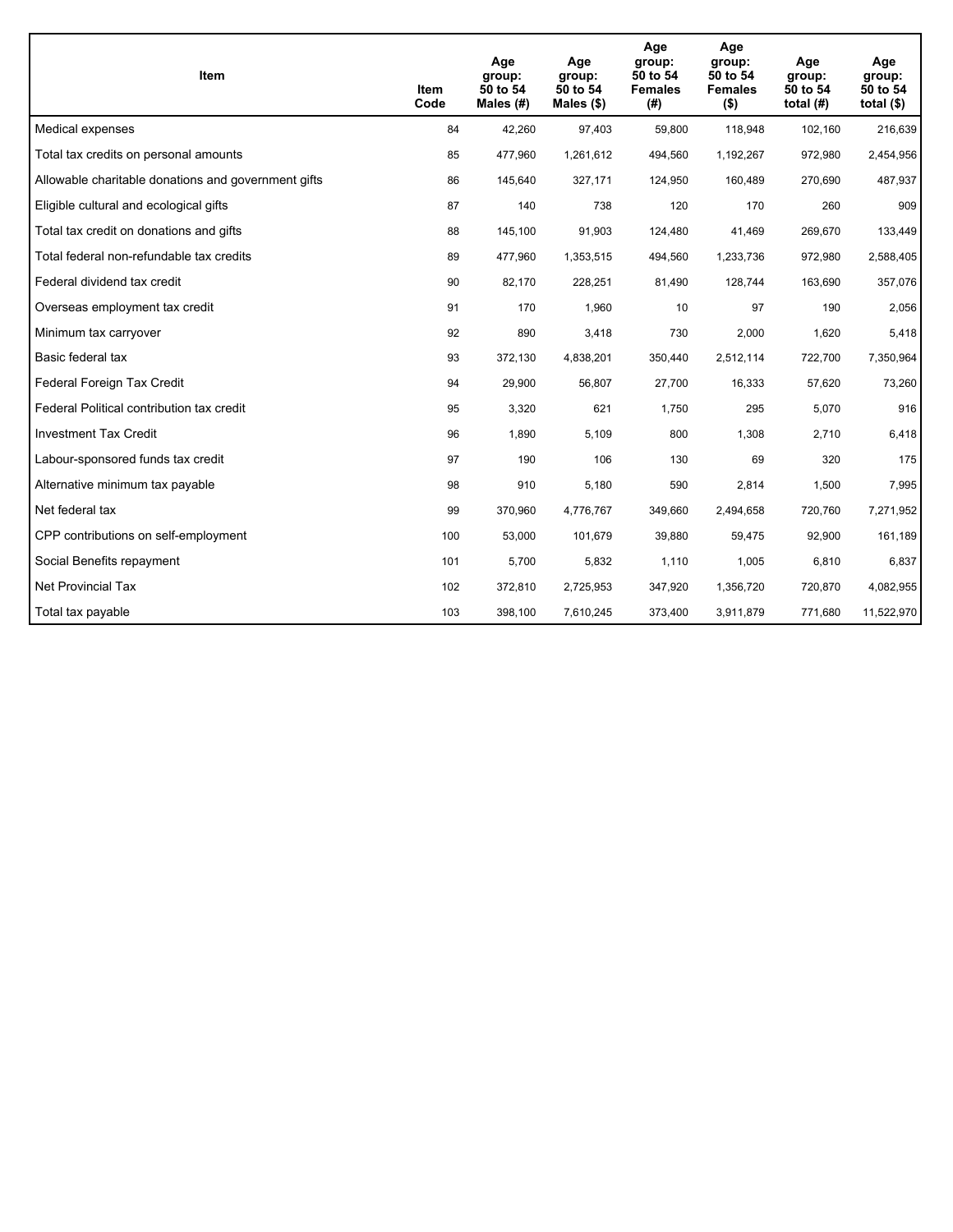| <b>Item</b>                                         | Item<br>Code | Age<br>group:<br>50 to 54<br>Males $(H)$ | Age<br>group:<br>50 to 54<br>Males $(\$)$ | Age<br>group:<br>50 to 54<br><b>Females</b><br>(#) | Age<br>group:<br>50 to 54<br><b>Females</b><br>$($ \$) | Age<br>group:<br>50 to 54<br>total $(H)$ | Age<br>group:<br>50 to 54<br>total $($)$ |
|-----------------------------------------------------|--------------|------------------------------------------|-------------------------------------------|----------------------------------------------------|--------------------------------------------------------|------------------------------------------|------------------------------------------|
| Medical expenses                                    | 84           | 42,260                                   | 97,403                                    | 59,800                                             | 118,948                                                | 102,160                                  | 216,639                                  |
| Total tax credits on personal amounts               | 85           | 477,960                                  | 1,261,612                                 | 494,560                                            | 1,192,267                                              | 972,980                                  | 2,454,956                                |
| Allowable charitable donations and government gifts | 86           | 145,640                                  | 327,171                                   | 124,950                                            | 160,489                                                | 270,690                                  | 487,937                                  |
| Eligible cultural and ecological gifts              | 87           | 140                                      | 738                                       | 120                                                | 170                                                    | 260                                      | 909                                      |
| Total tax credit on donations and gifts             | 88           | 145,100                                  | 91,903                                    | 124,480                                            | 41,469                                                 | 269,670                                  | 133,449                                  |
| Total federal non-refundable tax credits            | 89           | 477,960                                  | 1,353,515                                 | 494,560                                            | 1,233,736                                              | 972,980                                  | 2,588,405                                |
| Federal dividend tax credit                         | 90           | 82,170                                   | 228,251                                   | 81,490                                             | 128,744                                                | 163,690                                  | 357,076                                  |
| Overseas employment tax credit                      | 91           | 170                                      | 1,960                                     | 10                                                 | 97                                                     | 190                                      | 2,056                                    |
| Minimum tax carryover                               | 92           | 890                                      | 3,418                                     | 730                                                | 2,000                                                  | 1,620                                    | 5,418                                    |
| Basic federal tax                                   | 93           | 372,130                                  | 4,838,201                                 | 350,440                                            | 2,512,114                                              | 722,700                                  | 7,350,964                                |
| Federal Foreign Tax Credit                          | 94           | 29,900                                   | 56,807                                    | 27,700                                             | 16,333                                                 | 57,620                                   | 73,260                                   |
| Federal Political contribution tax credit           | 95           | 3,320                                    | 621                                       | 1,750                                              | 295                                                    | 5,070                                    | 916                                      |
| <b>Investment Tax Credit</b>                        | 96           | 1,890                                    | 5,109                                     | 800                                                | 1,308                                                  | 2,710                                    | 6,418                                    |
| Labour-sponsored funds tax credit                   | 97           | 190                                      | 106                                       | 130                                                | 69                                                     | 320                                      | 175                                      |
| Alternative minimum tax payable                     | 98           | 910                                      | 5,180                                     | 590                                                | 2,814                                                  | 1,500                                    | 7,995                                    |
| Net federal tax                                     | 99           | 370,960                                  | 4,776,767                                 | 349,660                                            | 2,494,658                                              | 720,760                                  | 7,271,952                                |
| CPP contributions on self-employment                | 100          | 53,000                                   | 101,679                                   | 39,880                                             | 59,475                                                 | 92,900                                   | 161,189                                  |
| Social Benefits repayment                           | 101          | 5,700                                    | 5,832                                     | 1,110                                              | 1,005                                                  | 6,810                                    | 6,837                                    |
| Net Provincial Tax                                  | 102          | 372,810                                  | 2,725,953                                 | 347,920                                            | 1,356,720                                              | 720,870                                  | 4,082,955                                |
| Total tax payable                                   | 103          | 398,100                                  | 7,610,245                                 | 373,400                                            | 3,911,879                                              | 771,680                                  | 11,522,970                               |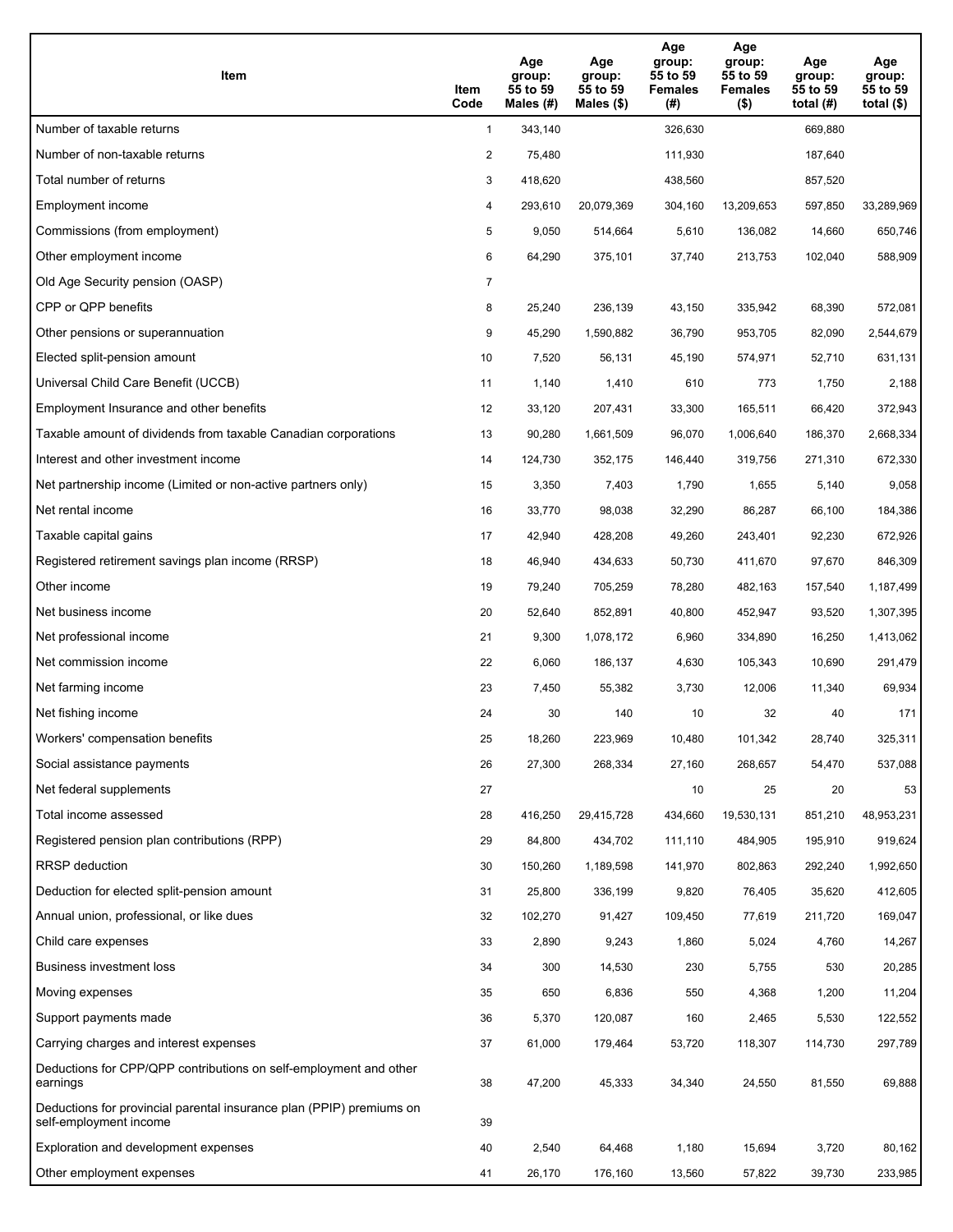| Item                                                                                           | Item<br>Code   | Age<br>group:<br>55 to 59<br>Males $(H)$ | Age<br>group:<br>55 to 59<br>Males $(\$)$ | Age<br>group:<br>55 to 59<br><b>Females</b><br>(#) | Age<br>group:<br>55 to 59<br><b>Females</b><br>$($ \$) | Age<br>group:<br>55 to 59<br>total $(H)$ | Age<br>group:<br>55 to 59<br>total $(\$)$ |
|------------------------------------------------------------------------------------------------|----------------|------------------------------------------|-------------------------------------------|----------------------------------------------------|--------------------------------------------------------|------------------------------------------|-------------------------------------------|
| Number of taxable returns                                                                      | $\mathbf{1}$   | 343,140                                  |                                           | 326,630                                            |                                                        | 669,880                                  |                                           |
| Number of non-taxable returns                                                                  | $\overline{2}$ | 75,480                                   |                                           | 111,930                                            |                                                        | 187,640                                  |                                           |
| Total number of returns                                                                        | 3              | 418,620                                  |                                           | 438,560                                            |                                                        | 857,520                                  |                                           |
| Employment income                                                                              | 4              | 293,610                                  | 20,079,369                                | 304,160                                            | 13,209,653                                             | 597,850                                  | 33,289,969                                |
| Commissions (from employment)                                                                  | 5              | 9,050                                    | 514,664                                   | 5,610                                              | 136,082                                                | 14,660                                   | 650,746                                   |
| Other employment income                                                                        | 6              | 64,290                                   | 375,101                                   | 37,740                                             | 213,753                                                | 102,040                                  | 588,909                                   |
| Old Age Security pension (OASP)                                                                | $\overline{7}$ |                                          |                                           |                                                    |                                                        |                                          |                                           |
| CPP or QPP benefits                                                                            | 8              | 25,240                                   | 236,139                                   | 43,150                                             | 335,942                                                | 68,390                                   | 572,081                                   |
| Other pensions or superannuation                                                               | 9              | 45,290                                   | 1,590,882                                 | 36,790                                             | 953,705                                                | 82,090                                   | 2,544,679                                 |
| Elected split-pension amount                                                                   | 10             | 7,520                                    | 56,131                                    | 45,190                                             | 574,971                                                | 52,710                                   | 631,131                                   |
| Universal Child Care Benefit (UCCB)                                                            | 11             | 1,140                                    | 1,410                                     | 610                                                | 773                                                    | 1,750                                    | 2,188                                     |
| Employment Insurance and other benefits                                                        | 12             | 33,120                                   | 207,431                                   | 33,300                                             | 165,511                                                | 66,420                                   | 372,943                                   |
| Taxable amount of dividends from taxable Canadian corporations                                 | 13             | 90,280                                   | 1,661,509                                 | 96,070                                             | 1,006,640                                              | 186,370                                  | 2,668,334                                 |
| Interest and other investment income                                                           | 14             | 124,730                                  | 352,175                                   | 146,440                                            | 319,756                                                | 271,310                                  | 672,330                                   |
| Net partnership income (Limited or non-active partners only)                                   | 15             | 3,350                                    | 7,403                                     | 1,790                                              | 1,655                                                  | 5,140                                    | 9,058                                     |
| Net rental income                                                                              | 16             | 33,770                                   | 98,038                                    | 32,290                                             | 86,287                                                 | 66,100                                   | 184,386                                   |
| Taxable capital gains                                                                          | 17             | 42,940                                   | 428,208                                   | 49,260                                             | 243,401                                                | 92,230                                   | 672,926                                   |
| Registered retirement savings plan income (RRSP)                                               | 18             | 46,940                                   | 434,633                                   | 50,730                                             | 411,670                                                | 97,670                                   | 846,309                                   |
| Other income                                                                                   | 19             | 79,240                                   | 705,259                                   | 78,280                                             | 482,163                                                | 157,540                                  | 1,187,499                                 |
| Net business income                                                                            | 20             | 52,640                                   | 852,891                                   | 40,800                                             | 452,947                                                | 93,520                                   | 1,307,395                                 |
| Net professional income                                                                        | 21             | 9,300                                    | 1,078,172                                 | 6,960                                              | 334,890                                                | 16,250                                   | 1,413,062                                 |
| Net commission income                                                                          | 22             | 6,060                                    | 186,137                                   | 4,630                                              | 105,343                                                | 10,690                                   | 291,479                                   |
| Net farming income                                                                             | 23             | 7,450                                    | 55,382                                    | 3,730                                              | 12,006                                                 | 11,340                                   | 69,934                                    |
| Net fishing income                                                                             | 24             | 30                                       | 140                                       | 10                                                 | 32                                                     | 40                                       | 171                                       |
| Workers' compensation benefits                                                                 | 25             | 18,260                                   | 223,969                                   | 10,480                                             | 101,342                                                | 28,740                                   | 325,311                                   |
| Social assistance payments                                                                     | 26             | 27,300                                   | 268,334                                   | 27,160                                             | 268,657                                                | 54,470                                   | 537,088                                   |
| Net federal supplements                                                                        | 27             |                                          |                                           | 10                                                 | 25                                                     | 20                                       | 53                                        |
| Total income assessed                                                                          | 28             | 416,250                                  | 29,415,728                                | 434,660                                            | 19,530,131                                             | 851,210                                  | 48,953,231                                |
| Registered pension plan contributions (RPP)                                                    | 29             | 84,800                                   | 434,702                                   | 111,110                                            | 484,905                                                | 195,910                                  | 919,624                                   |
| RRSP deduction                                                                                 | 30             | 150,260                                  | 1,189,598                                 | 141,970                                            | 802,863                                                | 292,240                                  | 1,992,650                                 |
| Deduction for elected split-pension amount                                                     | 31             | 25,800                                   | 336,199                                   | 9,820                                              | 76,405                                                 | 35,620                                   | 412,605                                   |
| Annual union, professional, or like dues                                                       | 32             | 102,270                                  | 91,427                                    | 109,450                                            | 77,619                                                 | 211,720                                  | 169,047                                   |
| Child care expenses                                                                            | 33             | 2,890                                    | 9,243                                     | 1,860                                              | 5,024                                                  | 4,760                                    | 14,267                                    |
| <b>Business investment loss</b>                                                                | 34             | 300                                      | 14,530                                    | 230                                                | 5,755                                                  | 530                                      | 20,285                                    |
| Moving expenses                                                                                | 35             | 650                                      | 6,836                                     | 550                                                | 4,368                                                  | 1,200                                    | 11,204                                    |
| Support payments made                                                                          | 36             | 5,370                                    | 120,087                                   | 160                                                | 2,465                                                  | 5,530                                    | 122,552                                   |
| Carrying charges and interest expenses                                                         | 37             | 61,000                                   | 179,464                                   | 53,720                                             | 118,307                                                | 114,730                                  | 297,789                                   |
| Deductions for CPP/QPP contributions on self-employment and other<br>earnings                  | 38             | 47,200                                   | 45,333                                    | 34,340                                             | 24,550                                                 | 81,550                                   | 69,888                                    |
| Deductions for provincial parental insurance plan (PPIP) premiums on<br>self-employment income | 39             |                                          |                                           |                                                    |                                                        |                                          |                                           |
| Exploration and development expenses                                                           | 40             | 2,540                                    | 64,468                                    | 1,180                                              | 15,694                                                 | 3,720                                    | 80,162                                    |
| Other employment expenses                                                                      | 41             | 26,170                                   | 176,160                                   | 13,560                                             | 57,822                                                 | 39,730                                   | 233,985                                   |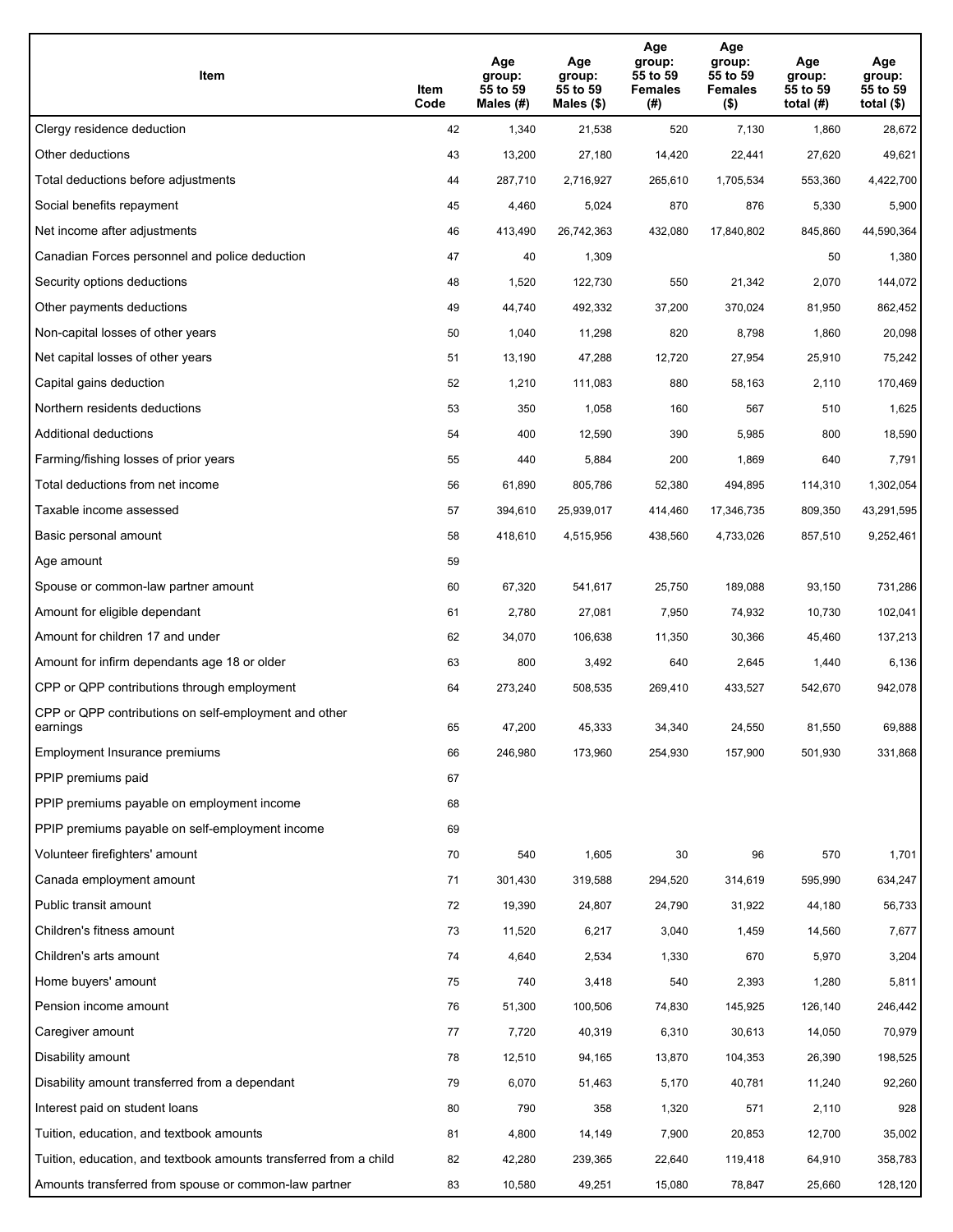| Item                                                              | Item<br>Code | Age<br>group:<br>55 to 59<br>Males (#) | Age<br>group:<br>55 to 59<br>Males (\$) | Age<br>group:<br>55 to 59<br><b>Females</b><br>(#) | Age<br>group:<br>55 to 59<br><b>Females</b><br>$($ \$) | Age<br>group:<br>55 to 59<br>total $(H)$ | Age<br>group:<br>55 to 59<br>total $($)$ |
|-------------------------------------------------------------------|--------------|----------------------------------------|-----------------------------------------|----------------------------------------------------|--------------------------------------------------------|------------------------------------------|------------------------------------------|
| Clergy residence deduction                                        | 42           | 1,340                                  | 21,538                                  | 520                                                | 7,130                                                  | 1,860                                    | 28,672                                   |
| Other deductions                                                  | 43           | 13,200                                 | 27,180                                  | 14,420                                             | 22,441                                                 | 27,620                                   | 49,621                                   |
| Total deductions before adjustments                               | 44           | 287,710                                | 2,716,927                               | 265,610                                            | 1,705,534                                              | 553,360                                  | 4,422,700                                |
| Social benefits repayment                                         | 45           | 4,460                                  | 5,024                                   | 870                                                | 876                                                    | 5,330                                    | 5,900                                    |
| Net income after adjustments                                      | 46           | 413,490                                | 26,742,363                              | 432,080                                            | 17,840,802                                             | 845,860                                  | 44,590,364                               |
| Canadian Forces personnel and police deduction                    | 47           | 40                                     | 1,309                                   |                                                    |                                                        | 50                                       | 1,380                                    |
| Security options deductions                                       | 48           | 1,520                                  | 122,730                                 | 550                                                | 21,342                                                 | 2,070                                    | 144,072                                  |
| Other payments deductions                                         | 49           | 44,740                                 | 492,332                                 | 37,200                                             | 370,024                                                | 81,950                                   | 862,452                                  |
| Non-capital losses of other years                                 | 50           | 1,040                                  | 11,298                                  | 820                                                | 8,798                                                  | 1,860                                    | 20,098                                   |
| Net capital losses of other years                                 | 51           | 13,190                                 | 47,288                                  | 12,720                                             | 27,954                                                 | 25,910                                   | 75,242                                   |
| Capital gains deduction                                           | 52           | 1,210                                  | 111,083                                 | 880                                                | 58,163                                                 | 2,110                                    | 170,469                                  |
| Northern residents deductions                                     | 53           | 350                                    | 1,058                                   | 160                                                | 567                                                    | 510                                      | 1,625                                    |
| Additional deductions                                             | 54           | 400                                    | 12,590                                  | 390                                                | 5,985                                                  | 800                                      | 18,590                                   |
| Farming/fishing losses of prior years                             | 55           | 440                                    | 5,884                                   | 200                                                | 1,869                                                  | 640                                      | 7,791                                    |
| Total deductions from net income                                  | 56           | 61,890                                 | 805,786                                 | 52,380                                             | 494,895                                                | 114,310                                  | 1,302,054                                |
| Taxable income assessed                                           | 57           | 394,610                                | 25,939,017                              | 414,460                                            | 17,346,735                                             | 809,350                                  | 43,291,595                               |
| Basic personal amount                                             | 58           | 418,610                                | 4,515,956                               | 438,560                                            | 4,733,026                                              | 857,510                                  | 9,252,461                                |
| Age amount                                                        | 59           |                                        |                                         |                                                    |                                                        |                                          |                                          |
| Spouse or common-law partner amount                               | 60           | 67,320                                 | 541,617                                 | 25,750                                             | 189,088                                                | 93,150                                   | 731,286                                  |
| Amount for eligible dependant                                     | 61           | 2,780                                  | 27,081                                  | 7,950                                              | 74,932                                                 | 10,730                                   | 102,041                                  |
| Amount for children 17 and under                                  | 62           | 34,070                                 | 106,638                                 | 11,350                                             | 30,366                                                 | 45,460                                   | 137,213                                  |
| Amount for infirm dependants age 18 or older                      | 63           | 800                                    | 3,492                                   | 640                                                | 2,645                                                  | 1,440                                    | 6,136                                    |
| CPP or QPP contributions through employment                       | 64           | 273,240                                | 508,535                                 | 269,410                                            | 433,527                                                | 542,670                                  | 942,078                                  |
| CPP or QPP contributions on self-employment and other<br>earnings | 65           | 47,200                                 | 45,333                                  | 34,340                                             | 24,550                                                 | 81,550                                   | 69,888                                   |
| Employment Insurance premiums                                     | 66           | 246,980                                | 173,960                                 | 254,930                                            | 157,900                                                | 501,930                                  | 331,868                                  |
| PPIP premiums paid                                                | 67           |                                        |                                         |                                                    |                                                        |                                          |                                          |
| PPIP premiums payable on employment income                        | 68           |                                        |                                         |                                                    |                                                        |                                          |                                          |
| PPIP premiums payable on self-employment income                   | 69           |                                        |                                         |                                                    |                                                        |                                          |                                          |
| Volunteer firefighters' amount                                    | 70           | 540                                    | 1,605                                   | 30                                                 | 96                                                     | 570                                      | 1,701                                    |
| Canada employment amount                                          | 71           | 301,430                                | 319,588                                 | 294,520                                            | 314,619                                                | 595,990                                  | 634,247                                  |
| Public transit amount                                             | 72           | 19,390                                 | 24,807                                  | 24,790                                             | 31,922                                                 | 44,180                                   | 56,733                                   |
| Children's fitness amount                                         | 73           | 11,520                                 | 6,217                                   | 3,040                                              | 1,459                                                  | 14,560                                   | 7,677                                    |
| Children's arts amount                                            | 74           | 4,640                                  | 2,534                                   | 1,330                                              | 670                                                    | 5,970                                    | 3,204                                    |
| Home buyers' amount                                               | 75           | 740                                    | 3,418                                   | 540                                                | 2,393                                                  | 1,280                                    | 5,811                                    |
| Pension income amount                                             | 76           | 51,300                                 | 100,506                                 | 74,830                                             | 145,925                                                | 126,140                                  | 246,442                                  |
| Caregiver amount                                                  | 77           | 7,720                                  | 40,319                                  | 6,310                                              | 30,613                                                 | 14,050                                   | 70,979                                   |
| Disability amount                                                 | 78           | 12,510                                 | 94,165                                  | 13,870                                             | 104,353                                                | 26,390                                   | 198,525                                  |
| Disability amount transferred from a dependant                    | 79           | 6,070                                  | 51,463                                  | 5,170                                              | 40,781                                                 | 11,240                                   | 92,260                                   |
| Interest paid on student loans                                    | 80           | 790                                    | 358                                     | 1,320                                              | 571                                                    | 2,110                                    | 928                                      |
| Tuition, education, and textbook amounts                          | 81           | 4,800                                  | 14,149                                  | 7,900                                              | 20,853                                                 | 12,700                                   | 35,002                                   |
| Tuition, education, and textbook amounts transferred from a child | 82           | 42,280                                 | 239,365                                 | 22,640                                             | 119,418                                                | 64,910                                   | 358,783                                  |
| Amounts transferred from spouse or common-law partner             | 83           | 10,580                                 | 49,251                                  | 15,080                                             | 78,847                                                 | 25,660                                   | 128,120                                  |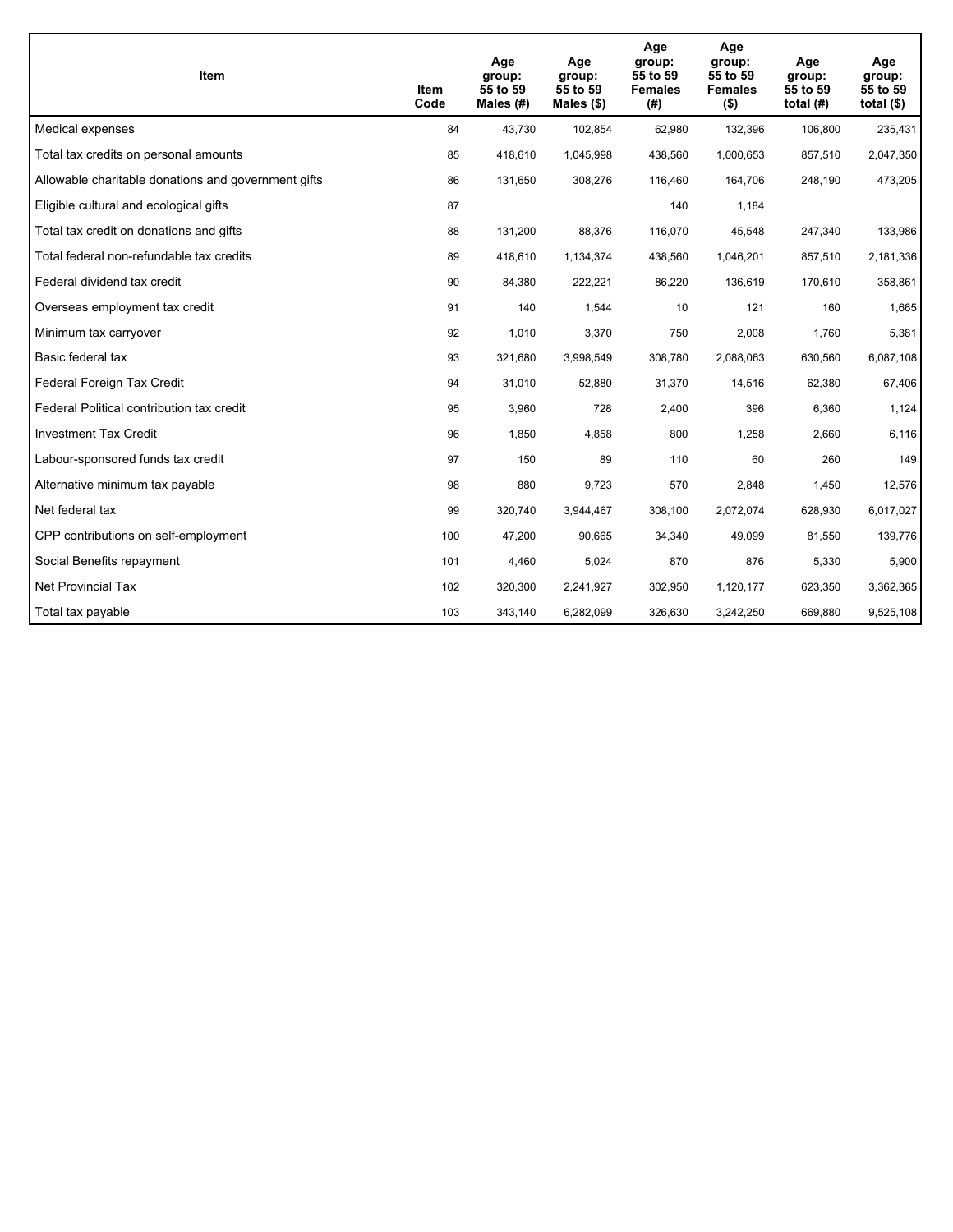| <b>Item</b>                                         | Item<br>Code | Age<br>group:<br>55 to 59<br>Males $(H)$ | Age<br>group:<br>55 to 59<br>Males $(\$)$ | Age<br>group:<br>55 to 59<br><b>Females</b><br>(#) | Age<br>group:<br>55 to 59<br><b>Females</b><br>$($ \$) | Age<br>group:<br>55 to 59<br>total $(H)$ | Age<br>group:<br>55 to 59<br>total $($)$ |
|-----------------------------------------------------|--------------|------------------------------------------|-------------------------------------------|----------------------------------------------------|--------------------------------------------------------|------------------------------------------|------------------------------------------|
| Medical expenses                                    | 84           | 43,730                                   | 102,854                                   | 62,980                                             | 132,396                                                | 106,800                                  | 235,431                                  |
| Total tax credits on personal amounts               | 85           | 418,610                                  | 1,045,998                                 | 438,560                                            | 1,000,653                                              | 857,510                                  | 2,047,350                                |
| Allowable charitable donations and government gifts | 86           | 131,650                                  | 308,276                                   | 116,460                                            | 164,706                                                | 248,190                                  | 473,205                                  |
| Eligible cultural and ecological gifts              | 87           |                                          |                                           | 140                                                | 1,184                                                  |                                          |                                          |
| Total tax credit on donations and gifts             | 88           | 131,200                                  | 88,376                                    | 116,070                                            | 45,548                                                 | 247,340                                  | 133,986                                  |
| Total federal non-refundable tax credits            | 89           | 418,610                                  | 1,134,374                                 | 438,560                                            | 1,046,201                                              | 857,510                                  | 2,181,336                                |
| Federal dividend tax credit                         | 90           | 84,380                                   | 222,221                                   | 86,220                                             | 136,619                                                | 170,610                                  | 358,861                                  |
| Overseas employment tax credit                      | 91           | 140                                      | 1,544                                     | 10                                                 | 121                                                    | 160                                      | 1,665                                    |
| Minimum tax carryover                               | 92           | 1,010                                    | 3,370                                     | 750                                                | 2,008                                                  | 1,760                                    | 5,381                                    |
| Basic federal tax                                   | 93           | 321,680                                  | 3,998,549                                 | 308,780                                            | 2,088,063                                              | 630,560                                  | 6,087,108                                |
| Federal Foreign Tax Credit                          | 94           | 31,010                                   | 52,880                                    | 31,370                                             | 14,516                                                 | 62,380                                   | 67,406                                   |
| Federal Political contribution tax credit           | 95           | 3,960                                    | 728                                       | 2,400                                              | 396                                                    | 6,360                                    | 1,124                                    |
| <b>Investment Tax Credit</b>                        | 96           | 1,850                                    | 4,858                                     | 800                                                | 1,258                                                  | 2,660                                    | 6,116                                    |
| Labour-sponsored funds tax credit                   | 97           | 150                                      | 89                                        | 110                                                | 60                                                     | 260                                      | 149                                      |
| Alternative minimum tax payable                     | 98           | 880                                      | 9,723                                     | 570                                                | 2,848                                                  | 1,450                                    | 12,576                                   |
| Net federal tax                                     | 99           | 320,740                                  | 3,944,467                                 | 308,100                                            | 2,072,074                                              | 628,930                                  | 6,017,027                                |
| CPP contributions on self-employment                | 100          | 47,200                                   | 90,665                                    | 34,340                                             | 49,099                                                 | 81,550                                   | 139,776                                  |
| Social Benefits repayment                           | 101          | 4,460                                    | 5,024                                     | 870                                                | 876                                                    | 5,330                                    | 5,900                                    |
| Net Provincial Tax                                  | 102          | 320,300                                  | 2,241,927                                 | 302,950                                            | 1,120,177                                              | 623,350                                  | 3,362,365                                |
| Total tax payable                                   | 103          | 343,140                                  | 6,282,099                                 | 326,630                                            | 3,242,250                                              | 669,880                                  | 9,525,108                                |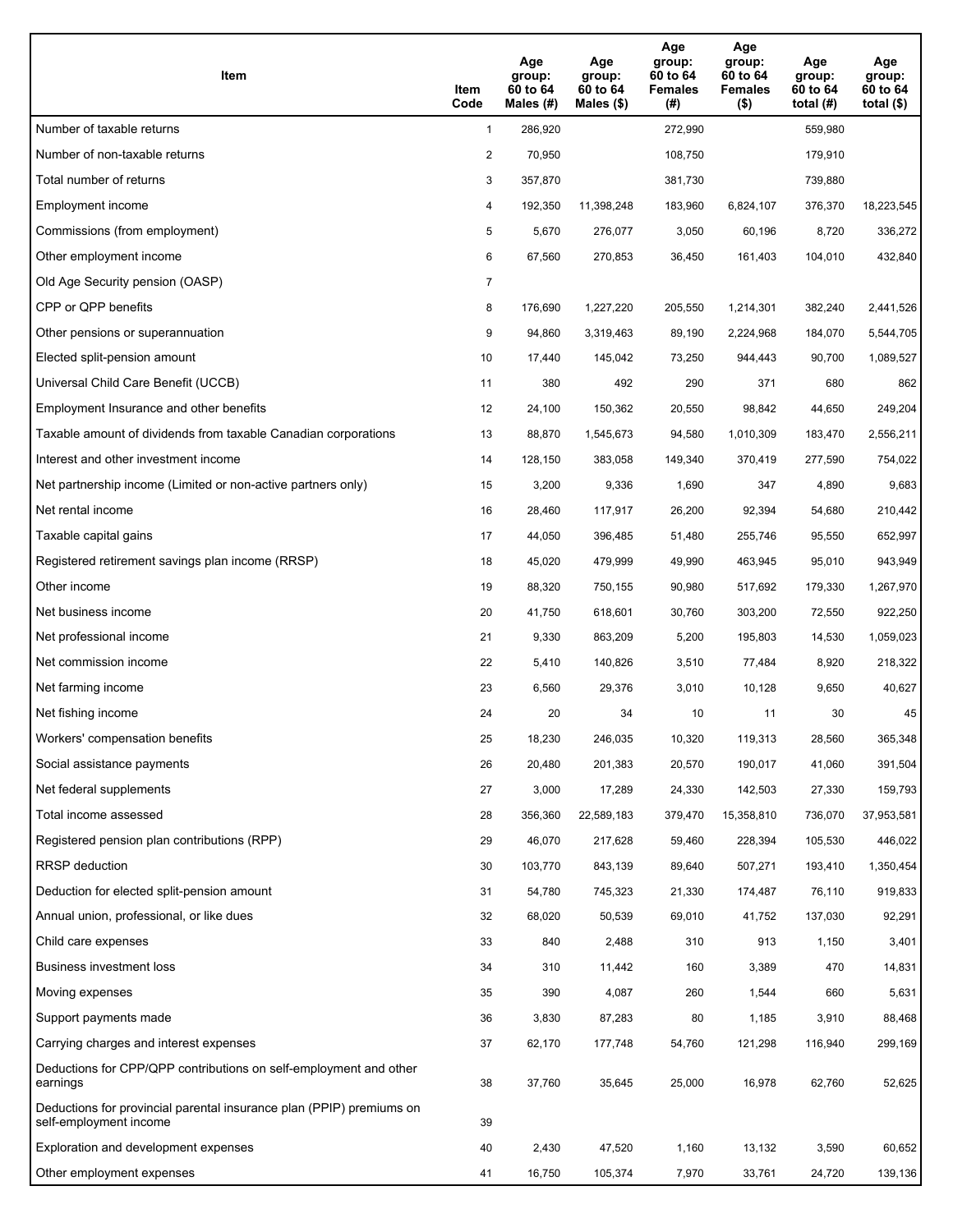| Item                                                                                           | Item<br>Code   | Age<br>group:<br>60 to 64<br>Males $(H)$ | Age<br>group:<br>60 to 64<br>Males $(\$)$ | Age<br>group:<br>60 to 64<br><b>Females</b><br>(#) | Age<br>group:<br>60 to 64<br><b>Females</b><br>$($ \$) | Age<br>group:<br>60 to 64<br>total $(H)$ | Age<br>group:<br>60 to 64<br>total $($ |
|------------------------------------------------------------------------------------------------|----------------|------------------------------------------|-------------------------------------------|----------------------------------------------------|--------------------------------------------------------|------------------------------------------|----------------------------------------|
| Number of taxable returns                                                                      | $\mathbf{1}$   | 286,920                                  |                                           | 272,990                                            |                                                        | 559,980                                  |                                        |
| Number of non-taxable returns                                                                  | $\overline{2}$ | 70,950                                   |                                           | 108,750                                            |                                                        | 179,910                                  |                                        |
| Total number of returns                                                                        | 3              | 357,870                                  |                                           | 381,730                                            |                                                        | 739,880                                  |                                        |
| Employment income                                                                              | 4              | 192,350                                  | 11,398,248                                | 183,960                                            | 6,824,107                                              | 376,370                                  | 18,223,545                             |
| Commissions (from employment)                                                                  | 5              | 5,670                                    | 276,077                                   | 3,050                                              | 60,196                                                 | 8,720                                    | 336,272                                |
| Other employment income                                                                        | 6              | 67,560                                   | 270,853                                   | 36,450                                             | 161,403                                                | 104,010                                  | 432,840                                |
| Old Age Security pension (OASP)                                                                | $\overline{7}$ |                                          |                                           |                                                    |                                                        |                                          |                                        |
| CPP or QPP benefits                                                                            | 8              | 176,690                                  | 1,227,220                                 | 205,550                                            | 1,214,301                                              | 382,240                                  | 2,441,526                              |
| Other pensions or superannuation                                                               | 9              | 94,860                                   | 3,319,463                                 | 89,190                                             | 2,224,968                                              | 184,070                                  | 5,544,705                              |
| Elected split-pension amount                                                                   | 10             | 17,440                                   | 145,042                                   | 73,250                                             | 944,443                                                | 90,700                                   | 1,089,527                              |
| Universal Child Care Benefit (UCCB)                                                            | 11             | 380                                      | 492                                       | 290                                                | 371                                                    | 680                                      | 862                                    |
| Employment Insurance and other benefits                                                        | 12             | 24,100                                   | 150,362                                   | 20,550                                             | 98,842                                                 | 44,650                                   | 249,204                                |
| Taxable amount of dividends from taxable Canadian corporations                                 | 13             | 88,870                                   | 1,545,673                                 | 94,580                                             | 1,010,309                                              | 183,470                                  | 2,556,211                              |
| Interest and other investment income                                                           | 14             | 128,150                                  | 383,058                                   | 149,340                                            | 370,419                                                | 277,590                                  | 754,022                                |
| Net partnership income (Limited or non-active partners only)                                   | 15             | 3,200                                    | 9,336                                     | 1,690                                              | 347                                                    | 4,890                                    | 9,683                                  |
| Net rental income                                                                              | 16             | 28,460                                   | 117,917                                   | 26,200                                             | 92,394                                                 | 54,680                                   | 210,442                                |
| Taxable capital gains                                                                          | 17             | 44,050                                   | 396,485                                   | 51,480                                             | 255,746                                                | 95,550                                   | 652,997                                |
| Registered retirement savings plan income (RRSP)                                               | 18             | 45,020                                   | 479,999                                   | 49,990                                             | 463,945                                                | 95,010                                   | 943,949                                |
| Other income                                                                                   | 19             | 88,320                                   | 750,155                                   | 90,980                                             | 517,692                                                | 179,330                                  | 1,267,970                              |
| Net business income                                                                            | 20             | 41,750                                   | 618,601                                   | 30,760                                             | 303,200                                                | 72,550                                   | 922,250                                |
| Net professional income                                                                        | 21             | 9,330                                    | 863,209                                   | 5,200                                              | 195,803                                                | 14,530                                   | 1,059,023                              |
| Net commission income                                                                          | 22             | 5,410                                    | 140,826                                   | 3,510                                              | 77,484                                                 | 8,920                                    | 218,322                                |
| Net farming income                                                                             | 23             | 6,560                                    | 29,376                                    | 3,010                                              | 10,128                                                 | 9,650                                    | 40,627                                 |
| Net fishing income                                                                             | 24             | 20                                       | 34                                        | 10                                                 | 11                                                     | 30                                       | 45                                     |
| Workers' compensation benefits                                                                 | 25             | 18,230                                   | 246,035                                   | 10,320                                             | 119,313                                                | 28,560                                   | 365,348                                |
| Social assistance payments                                                                     | 26             | 20,480                                   | 201,383                                   | 20,570                                             | 190,017                                                | 41,060                                   | 391,504                                |
| Net federal supplements                                                                        | 27             | 3,000                                    | 17,289                                    | 24,330                                             | 142,503                                                | 27,330                                   | 159,793                                |
| Total income assessed                                                                          | 28             | 356,360                                  | 22,589,183                                | 379,470                                            | 15,358,810                                             | 736,070                                  | 37,953,581                             |
| Registered pension plan contributions (RPP)                                                    | 29             | 46,070                                   | 217,628                                   | 59,460                                             | 228,394                                                | 105,530                                  | 446,022                                |
| RRSP deduction                                                                                 | 30             | 103,770                                  | 843,139                                   | 89,640                                             | 507,271                                                | 193,410                                  | 1,350,454                              |
| Deduction for elected split-pension amount                                                     | 31             | 54,780                                   | 745,323                                   | 21,330                                             | 174,487                                                | 76,110                                   | 919,833                                |
| Annual union, professional, or like dues                                                       | 32             | 68,020                                   | 50,539                                    | 69,010                                             | 41,752                                                 | 137,030                                  | 92,291                                 |
| Child care expenses                                                                            | 33             | 840                                      | 2,488                                     | 310                                                | 913                                                    | 1,150                                    | 3,401                                  |
| <b>Business investment loss</b>                                                                | 34             | 310                                      | 11,442                                    | 160                                                | 3,389                                                  | 470                                      | 14,831                                 |
| Moving expenses                                                                                | 35             | 390                                      | 4,087                                     | 260                                                | 1,544                                                  | 660                                      | 5,631                                  |
| Support payments made                                                                          | 36             | 3,830                                    | 87,283                                    | 80                                                 | 1,185                                                  | 3,910                                    | 88,468                                 |
| Carrying charges and interest expenses                                                         | 37             | 62,170                                   | 177,748                                   | 54,760                                             | 121,298                                                | 116,940                                  | 299,169                                |
| Deductions for CPP/QPP contributions on self-employment and other<br>earnings                  | 38             | 37,760                                   | 35,645                                    | 25,000                                             | 16,978                                                 | 62,760                                   | 52,625                                 |
| Deductions for provincial parental insurance plan (PPIP) premiums on<br>self-employment income | 39             |                                          |                                           |                                                    |                                                        |                                          |                                        |
| Exploration and development expenses                                                           | 40             | 2,430                                    | 47,520                                    | 1,160                                              | 13,132                                                 | 3,590                                    | 60,652                                 |
| Other employment expenses                                                                      | 41             | 16,750                                   | 105,374                                   | 7,970                                              | 33,761                                                 | 24,720                                   | 139,136                                |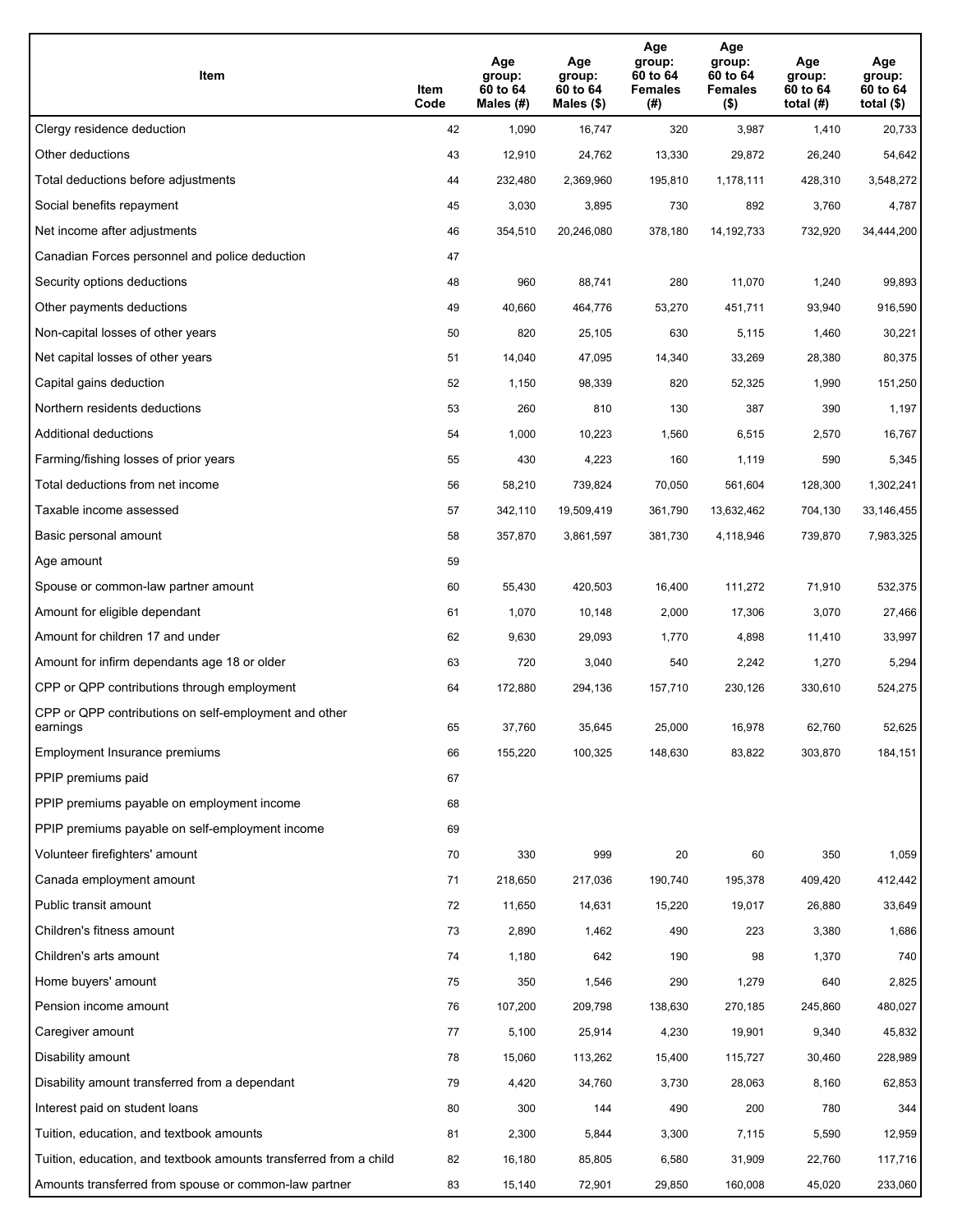| Item                                                              | Item<br>Code | Age<br>group:<br>60 to 64<br>Males (#) | Age<br>group:<br>60 to 64<br>Males (\$) | Age<br>group:<br>60 to 64<br><b>Females</b><br>(# ) | Age<br>group:<br>60 to 64<br><b>Females</b><br>$($ \$) | Age<br>group:<br>60 to 64<br>total $(H)$ | Age<br>group:<br>60 to 64<br>total $($)$ |
|-------------------------------------------------------------------|--------------|----------------------------------------|-----------------------------------------|-----------------------------------------------------|--------------------------------------------------------|------------------------------------------|------------------------------------------|
| Clergy residence deduction                                        | 42           | 1,090                                  | 16,747                                  | 320                                                 | 3,987                                                  | 1,410                                    | 20,733                                   |
| Other deductions                                                  | 43           | 12,910                                 | 24,762                                  | 13,330                                              | 29,872                                                 | 26,240                                   | 54,642                                   |
| Total deductions before adjustments                               | 44           | 232,480                                | 2,369,960                               | 195,810                                             | 1,178,111                                              | 428,310                                  | 3,548,272                                |
| Social benefits repayment                                         | 45           | 3,030                                  | 3,895                                   | 730                                                 | 892                                                    | 3,760                                    | 4,787                                    |
| Net income after adjustments                                      | 46           | 354,510                                | 20,246,080                              | 378,180                                             | 14, 192, 733                                           | 732,920                                  | 34,444,200                               |
| Canadian Forces personnel and police deduction                    | 47           |                                        |                                         |                                                     |                                                        |                                          |                                          |
| Security options deductions                                       | 48           | 960                                    | 88,741                                  | 280                                                 | 11,070                                                 | 1,240                                    | 99,893                                   |
| Other payments deductions                                         | 49           | 40,660                                 | 464,776                                 | 53,270                                              | 451,711                                                | 93,940                                   | 916,590                                  |
| Non-capital losses of other years                                 | 50           | 820                                    | 25,105                                  | 630                                                 | 5,115                                                  | 1,460                                    | 30,221                                   |
| Net capital losses of other years                                 | 51           | 14,040                                 | 47,095                                  | 14,340                                              | 33,269                                                 | 28,380                                   | 80,375                                   |
| Capital gains deduction                                           | 52           | 1,150                                  | 98,339                                  | 820                                                 | 52,325                                                 | 1,990                                    | 151,250                                  |
| Northern residents deductions                                     | 53           | 260                                    | 810                                     | 130                                                 | 387                                                    | 390                                      | 1,197                                    |
| Additional deductions                                             | 54           | 1,000                                  | 10,223                                  | 1,560                                               | 6,515                                                  | 2,570                                    | 16,767                                   |
| Farming/fishing losses of prior years                             | 55           | 430                                    | 4,223                                   | 160                                                 | 1,119                                                  | 590                                      | 5,345                                    |
| Total deductions from net income                                  | 56           | 58,210                                 | 739,824                                 | 70,050                                              | 561,604                                                | 128,300                                  | 1,302,241                                |
| Taxable income assessed                                           | 57           | 342,110                                | 19,509,419                              | 361,790                                             | 13,632,462                                             | 704,130                                  | 33,146,455                               |
| Basic personal amount                                             | 58           | 357,870                                | 3,861,597                               | 381,730                                             | 4,118,946                                              | 739,870                                  | 7,983,325                                |
| Age amount                                                        | 59           |                                        |                                         |                                                     |                                                        |                                          |                                          |
| Spouse or common-law partner amount                               | 60           | 55,430                                 | 420,503                                 | 16,400                                              | 111,272                                                | 71,910                                   | 532,375                                  |
| Amount for eligible dependant                                     | 61           | 1,070                                  | 10,148                                  | 2,000                                               | 17,306                                                 | 3,070                                    | 27,466                                   |
| Amount for children 17 and under                                  | 62           | 9,630                                  | 29,093                                  | 1,770                                               | 4,898                                                  | 11,410                                   | 33,997                                   |
| Amount for infirm dependants age 18 or older                      | 63           | 720                                    | 3,040                                   | 540                                                 | 2,242                                                  | 1,270                                    | 5,294                                    |
| CPP or QPP contributions through employment                       | 64           | 172,880                                | 294,136                                 | 157,710                                             | 230,126                                                | 330,610                                  | 524,275                                  |
| CPP or QPP contributions on self-employment and other<br>earnings | 65           | 37,760                                 | 35,645                                  | 25,000                                              | 16,978                                                 | 62,760                                   | 52,625                                   |
| Employment Insurance premiums                                     | 66           | 155,220                                | 100,325                                 | 148,630                                             | 83,822                                                 | 303,870                                  | 184,151                                  |
| PPIP premiums paid                                                | 67           |                                        |                                         |                                                     |                                                        |                                          |                                          |
| PPIP premiums payable on employment income                        | 68           |                                        |                                         |                                                     |                                                        |                                          |                                          |
| PPIP premiums payable on self-employment income                   | 69           |                                        |                                         |                                                     |                                                        |                                          |                                          |
| Volunteer firefighters' amount                                    | 70           | 330                                    | 999                                     | 20                                                  | 60                                                     | 350                                      | 1,059                                    |
| Canada employment amount                                          | 71           | 218,650                                | 217,036                                 | 190,740                                             | 195,378                                                | 409,420                                  | 412,442                                  |
| Public transit amount                                             | 72           | 11,650                                 | 14,631                                  | 15,220                                              | 19,017                                                 | 26,880                                   | 33,649                                   |
| Children's fitness amount                                         | 73           | 2,890                                  | 1,462                                   | 490                                                 | 223                                                    | 3,380                                    | 1,686                                    |
| Children's arts amount                                            | 74           | 1,180                                  | 642                                     | 190                                                 | 98                                                     | 1,370                                    | 740                                      |
| Home buyers' amount                                               | 75           | 350                                    | 1,546                                   | 290                                                 | 1,279                                                  | 640                                      | 2,825                                    |
| Pension income amount                                             | 76           | 107,200                                | 209,798                                 | 138,630                                             | 270,185                                                | 245,860                                  | 480,027                                  |
| Caregiver amount                                                  | 77           | 5,100                                  | 25,914                                  | 4,230                                               | 19,901                                                 | 9,340                                    | 45,832                                   |
| Disability amount                                                 | 78           | 15,060                                 | 113,262                                 | 15,400                                              | 115,727                                                | 30,460                                   | 228,989                                  |
| Disability amount transferred from a dependant                    | 79           | 4,420                                  | 34,760                                  | 3,730                                               | 28,063                                                 | 8,160                                    | 62,853                                   |
| Interest paid on student loans                                    | 80           | 300                                    | 144                                     | 490                                                 | 200                                                    | 780                                      | 344                                      |
| Tuition, education, and textbook amounts                          | 81           | 2,300                                  | 5,844                                   | 3,300                                               | 7,115                                                  | 5,590                                    | 12,959                                   |
| Tuition, education, and textbook amounts transferred from a child | 82           | 16,180                                 | 85,805                                  | 6,580                                               | 31,909                                                 | 22,760                                   | 117,716                                  |
| Amounts transferred from spouse or common-law partner             | 83           | 15,140                                 | 72,901                                  | 29,850                                              | 160,008                                                | 45,020                                   | 233,060                                  |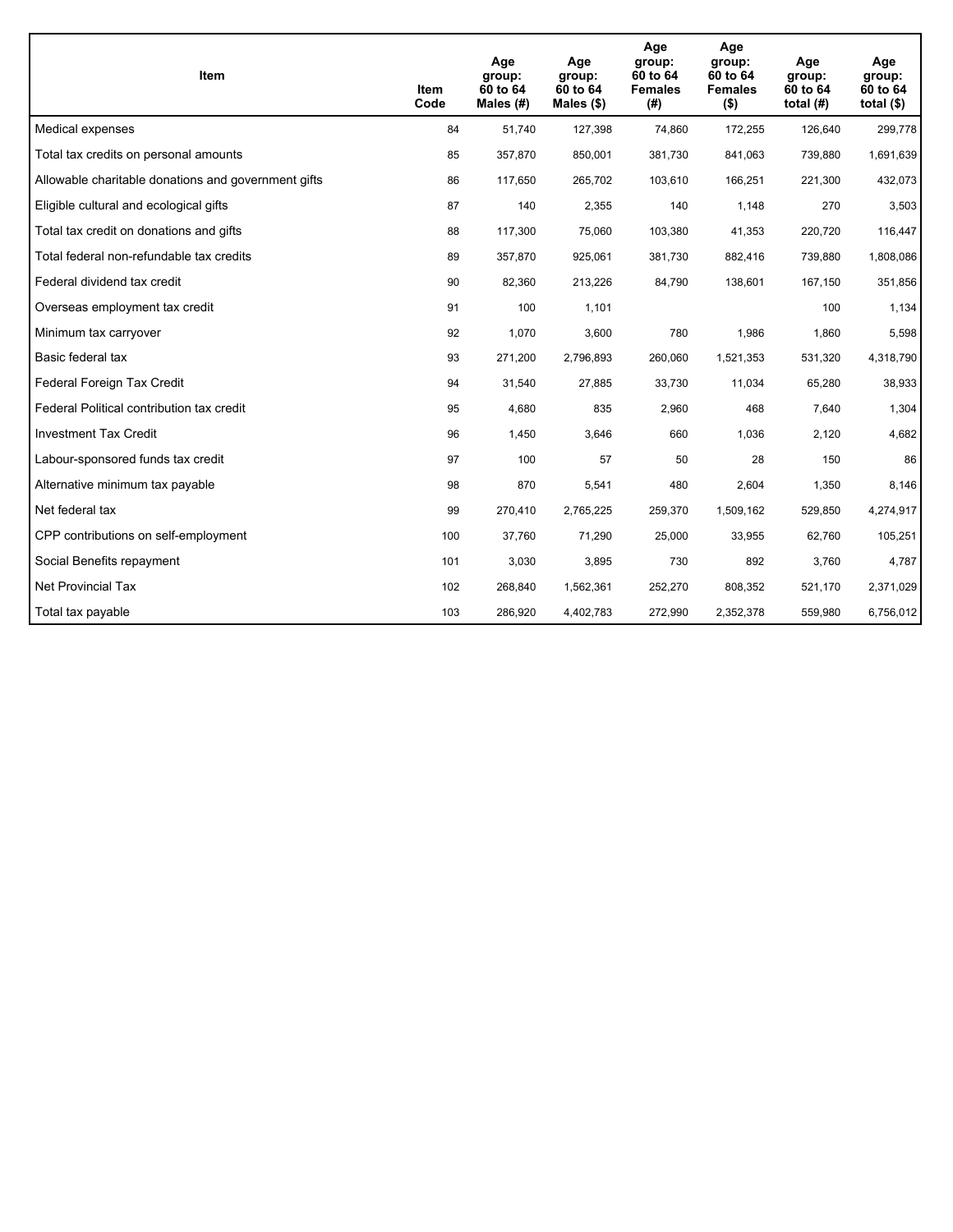| <b>Item</b>                                         | Item<br>Code | Age<br>group:<br>60 to 64<br>Males (#) | Age<br>group:<br>60 to 64<br>Males $(\$)$ | Age<br>group:<br>60 to 64<br><b>Females</b><br>(#) | Age<br>group:<br>60 to 64<br><b>Females</b><br>$($ \$) | Age<br>group:<br>60 to 64<br>total $(H)$ | Age<br>group:<br>60 to 64<br>total $($)$ |
|-----------------------------------------------------|--------------|----------------------------------------|-------------------------------------------|----------------------------------------------------|--------------------------------------------------------|------------------------------------------|------------------------------------------|
| Medical expenses                                    | 84           | 51,740                                 | 127,398                                   | 74,860                                             | 172,255                                                | 126,640                                  | 299,778                                  |
| Total tax credits on personal amounts               | 85           | 357,870                                | 850,001                                   | 381,730                                            | 841,063                                                | 739,880                                  | 1,691,639                                |
| Allowable charitable donations and government gifts | 86           | 117,650                                | 265,702                                   | 103,610                                            | 166,251                                                | 221,300                                  | 432,073                                  |
| Eligible cultural and ecological gifts              | 87           | 140                                    | 2,355                                     | 140                                                | 1,148                                                  | 270                                      | 3,503                                    |
| Total tax credit on donations and gifts             | 88           | 117,300                                | 75,060                                    | 103,380                                            | 41,353                                                 | 220,720                                  | 116,447                                  |
| Total federal non-refundable tax credits            | 89           | 357,870                                | 925,061                                   | 381,730                                            | 882,416                                                | 739,880                                  | 1,808,086                                |
| Federal dividend tax credit                         | 90           | 82,360                                 | 213,226                                   | 84,790                                             | 138,601                                                | 167,150                                  | 351,856                                  |
| Overseas employment tax credit                      | 91           | 100                                    | 1,101                                     |                                                    |                                                        | 100                                      | 1,134                                    |
| Minimum tax carryover                               | 92           | 1,070                                  | 3,600                                     | 780                                                | 1,986                                                  | 1,860                                    | 5,598                                    |
| Basic federal tax                                   | 93           | 271,200                                | 2,796,893                                 | 260,060                                            | 1,521,353                                              | 531,320                                  | 4,318,790                                |
| Federal Foreign Tax Credit                          | 94           | 31,540                                 | 27,885                                    | 33,730                                             | 11,034                                                 | 65,280                                   | 38,933                                   |
| Federal Political contribution tax credit           | 95           | 4,680                                  | 835                                       | 2,960                                              | 468                                                    | 7,640                                    | 1,304                                    |
| <b>Investment Tax Credit</b>                        | 96           | 1,450                                  | 3,646                                     | 660                                                | 1,036                                                  | 2,120                                    | 4,682                                    |
| Labour-sponsored funds tax credit                   | 97           | 100                                    | 57                                        | 50                                                 | 28                                                     | 150                                      | 86                                       |
| Alternative minimum tax payable                     | 98           | 870                                    | 5,541                                     | 480                                                | 2,604                                                  | 1,350                                    | 8,146                                    |
| Net federal tax                                     | 99           | 270,410                                | 2,765,225                                 | 259,370                                            | 1,509,162                                              | 529,850                                  | 4,274,917                                |
| CPP contributions on self-employment                | 100          | 37,760                                 | 71,290                                    | 25,000                                             | 33,955                                                 | 62,760                                   | 105,251                                  |
| Social Benefits repayment                           | 101          | 3,030                                  | 3,895                                     | 730                                                | 892                                                    | 3,760                                    | 4,787                                    |
| Net Provincial Tax                                  | 102          | 268,840                                | 1,562,361                                 | 252,270                                            | 808,352                                                | 521,170                                  | 2,371,029                                |
| Total tax payable                                   | 103          | 286,920                                | 4,402,783                                 | 272,990                                            | 2,352,378                                              | 559,980                                  | 6,756,012                                |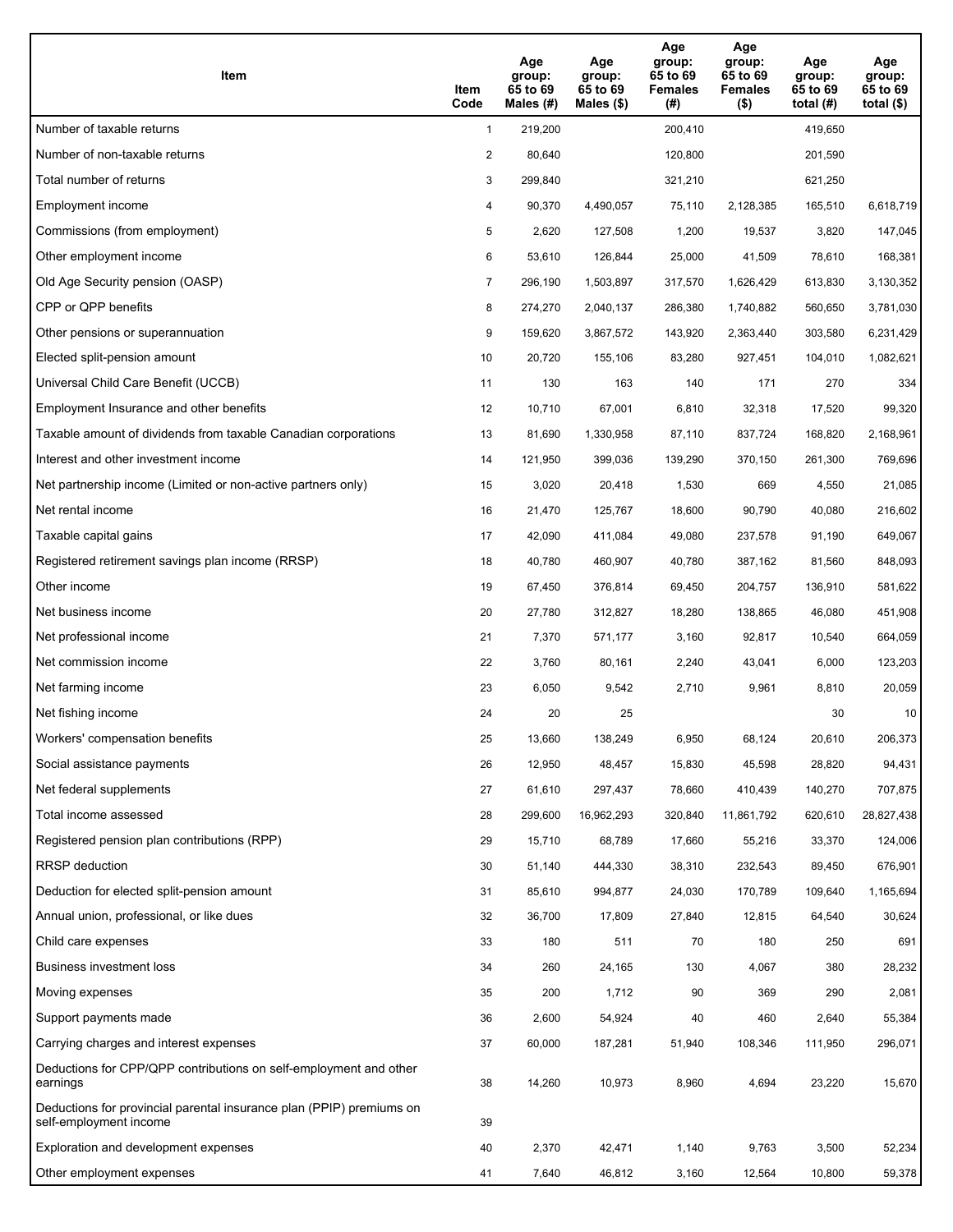| Item                                                                                           | Item<br>Code   | Age<br>group:<br>65 to 69<br>Males (#) | Age<br>group:<br>65 to 69<br>Males $(\$)$ | Age<br>group:<br>65 to 69<br><b>Females</b><br>(#) | Age<br>group:<br>65 to 69<br><b>Females</b><br>$($ \$) | Age<br>group:<br>65 to 69<br>total $(H)$ | Age<br>group:<br>65 to 69<br>total $($)$ |
|------------------------------------------------------------------------------------------------|----------------|----------------------------------------|-------------------------------------------|----------------------------------------------------|--------------------------------------------------------|------------------------------------------|------------------------------------------|
| Number of taxable returns                                                                      | $\mathbf{1}$   | 219,200                                |                                           | 200,410                                            |                                                        | 419,650                                  |                                          |
| Number of non-taxable returns                                                                  | $\overline{2}$ | 80,640                                 |                                           | 120,800                                            |                                                        | 201,590                                  |                                          |
| Total number of returns                                                                        | 3              | 299,840                                |                                           | 321,210                                            |                                                        | 621,250                                  |                                          |
| Employment income                                                                              | 4              | 90,370                                 | 4,490,057                                 | 75,110                                             | 2,128,385                                              | 165,510                                  | 6,618,719                                |
| Commissions (from employment)                                                                  | 5              | 2,620                                  | 127,508                                   | 1,200                                              | 19,537                                                 | 3,820                                    | 147,045                                  |
| Other employment income                                                                        | 6              | 53,610                                 | 126,844                                   | 25,000                                             | 41,509                                                 | 78,610                                   | 168,381                                  |
| Old Age Security pension (OASP)                                                                | $\overline{7}$ | 296,190                                | 1,503,897                                 | 317,570                                            | 1,626,429                                              | 613,830                                  | 3,130,352                                |
| CPP or QPP benefits                                                                            | 8              | 274,270                                | 2,040,137                                 | 286,380                                            | 1,740,882                                              | 560,650                                  | 3,781,030                                |
| Other pensions or superannuation                                                               | 9              | 159,620                                | 3,867,572                                 | 143,920                                            | 2,363,440                                              | 303,580                                  | 6,231,429                                |
| Elected split-pension amount                                                                   | 10             | 20,720                                 | 155,106                                   | 83,280                                             | 927,451                                                | 104,010                                  | 1,082,621                                |
| Universal Child Care Benefit (UCCB)                                                            | 11             | 130                                    | 163                                       | 140                                                | 171                                                    | 270                                      | 334                                      |
| Employment Insurance and other benefits                                                        | 12             | 10,710                                 | 67,001                                    | 6,810                                              | 32,318                                                 | 17,520                                   | 99,320                                   |
| Taxable amount of dividends from taxable Canadian corporations                                 | 13             | 81,690                                 | 1,330,958                                 | 87,110                                             | 837,724                                                | 168,820                                  | 2,168,961                                |
| Interest and other investment income                                                           | 14             | 121,950                                | 399,036                                   | 139,290                                            | 370,150                                                | 261,300                                  | 769,696                                  |
| Net partnership income (Limited or non-active partners only)                                   | 15             | 3,020                                  | 20,418                                    | 1,530                                              | 669                                                    | 4,550                                    | 21,085                                   |
| Net rental income                                                                              | 16             | 21,470                                 | 125,767                                   | 18,600                                             | 90,790                                                 | 40,080                                   | 216,602                                  |
| Taxable capital gains                                                                          | 17             | 42,090                                 | 411,084                                   | 49,080                                             | 237,578                                                | 91,190                                   | 649,067                                  |
| Registered retirement savings plan income (RRSP)                                               | 18             | 40,780                                 | 460,907                                   | 40,780                                             | 387,162                                                | 81,560                                   | 848,093                                  |
| Other income                                                                                   | 19             | 67,450                                 | 376,814                                   | 69,450                                             | 204,757                                                | 136,910                                  | 581,622                                  |
| Net business income                                                                            | 20             | 27,780                                 | 312,827                                   | 18,280                                             | 138,865                                                | 46,080                                   | 451,908                                  |
| Net professional income                                                                        | 21             | 7,370                                  | 571,177                                   | 3,160                                              | 92,817                                                 | 10,540                                   | 664,059                                  |
| Net commission income                                                                          | 22             | 3,760                                  | 80,161                                    | 2,240                                              | 43,041                                                 | 6,000                                    | 123,203                                  |
| Net farming income                                                                             | 23             | 6,050                                  | 9,542                                     | 2,710                                              | 9,961                                                  | 8,810                                    | 20,059                                   |
| Net fishing income                                                                             | 24             | 20                                     | 25                                        |                                                    |                                                        | 30                                       | 10                                       |
| Workers' compensation benefits                                                                 | 25             | 13,660                                 | 138,249                                   | 6,950                                              | 68,124                                                 | 20,610                                   | 206,373                                  |
| Social assistance payments                                                                     | 26             | 12,950                                 | 48,457                                    | 15,830                                             | 45,598                                                 | 28,820                                   | 94,431                                   |
| Net federal supplements                                                                        | 27             | 61,610                                 | 297,437                                   | 78,660                                             | 410,439                                                | 140,270                                  | 707,875                                  |
| Total income assessed                                                                          | 28             | 299,600                                | 16,962,293                                | 320,840                                            | 11,861,792                                             | 620,610                                  | 28,827,438                               |
| Registered pension plan contributions (RPP)                                                    | 29             | 15,710                                 | 68,789                                    | 17,660                                             | 55,216                                                 | 33,370                                   | 124,006                                  |
| RRSP deduction                                                                                 | 30             | 51,140                                 | 444,330                                   | 38,310                                             | 232,543                                                | 89,450                                   | 676,901                                  |
| Deduction for elected split-pension amount                                                     | 31             | 85,610                                 | 994,877                                   | 24,030                                             | 170,789                                                | 109,640                                  | 1,165,694                                |
| Annual union, professional, or like dues                                                       | 32             | 36,700                                 | 17,809                                    | 27,840                                             | 12,815                                                 | 64,540                                   | 30,624                                   |
| Child care expenses                                                                            | 33             | 180                                    | 511                                       | 70                                                 | 180                                                    | 250                                      | 691                                      |
| <b>Business investment loss</b>                                                                | 34             | 260                                    | 24,165                                    | 130                                                | 4,067                                                  | 380                                      | 28,232                                   |
| Moving expenses                                                                                | 35             | 200                                    | 1,712                                     | 90                                                 | 369                                                    | 290                                      | 2,081                                    |
| Support payments made                                                                          | 36             | 2,600                                  | 54,924                                    | 40                                                 | 460                                                    | 2,640                                    | 55,384                                   |
| Carrying charges and interest expenses                                                         | 37             | 60,000                                 | 187,281                                   | 51,940                                             | 108,346                                                | 111,950                                  | 296,071                                  |
| Deductions for CPP/QPP contributions on self-employment and other<br>earnings                  | 38             | 14,260                                 | 10,973                                    | 8,960                                              | 4,694                                                  | 23,220                                   | 15,670                                   |
| Deductions for provincial parental insurance plan (PPIP) premiums on<br>self-employment income | 39             |                                        |                                           |                                                    |                                                        |                                          |                                          |
| Exploration and development expenses                                                           | 40             | 2,370                                  | 42,471                                    | 1,140                                              | 9,763                                                  | 3,500                                    | 52,234                                   |
| Other employment expenses                                                                      | 41             | 7,640                                  | 46,812                                    | 3,160                                              | 12,564                                                 | 10,800                                   | 59,378                                   |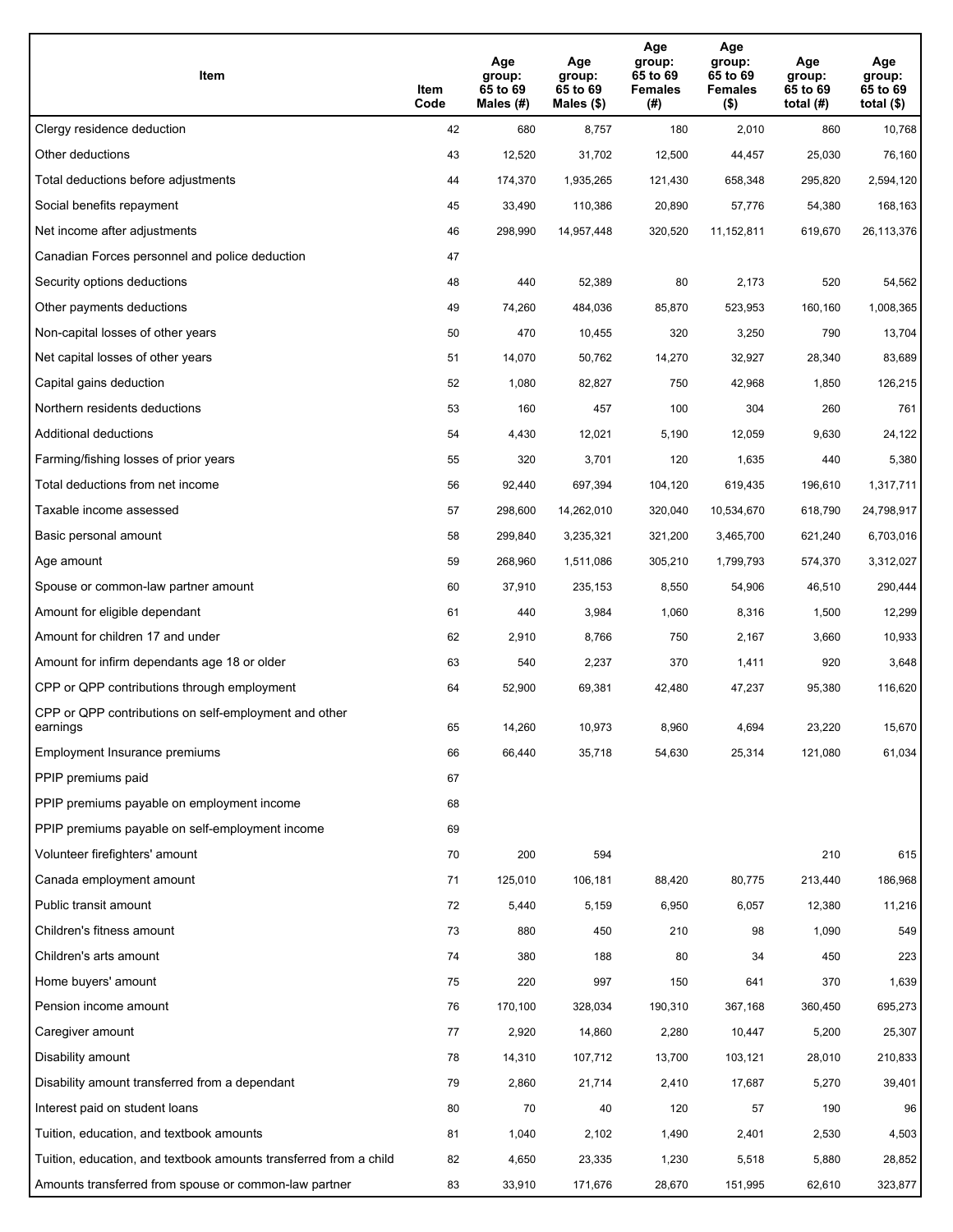| Item                                                              | Item<br>Code | Age<br>group:<br>65 to 69<br>Males (#) | Age<br>group:<br>65 to 69<br>Males (\$) | Age<br>group:<br>65 to 69<br><b>Females</b><br>(# ) | Age<br>group:<br>65 to 69<br>Females<br>$($ \$) | Age<br>group:<br>65 to 69<br>total $(H)$ | Age<br>group:<br>65 to 69<br>total $($)$ |
|-------------------------------------------------------------------|--------------|----------------------------------------|-----------------------------------------|-----------------------------------------------------|-------------------------------------------------|------------------------------------------|------------------------------------------|
| Clergy residence deduction                                        | 42           | 680                                    | 8,757                                   | 180                                                 | 2,010                                           | 860                                      | 10,768                                   |
| Other deductions                                                  | 43           | 12,520                                 | 31,702                                  | 12,500                                              | 44,457                                          | 25,030                                   | 76,160                                   |
| Total deductions before adjustments                               | 44           | 174,370                                | 1,935,265                               | 121,430                                             | 658,348                                         | 295,820                                  | 2,594,120                                |
| Social benefits repayment                                         | 45           | 33,490                                 | 110,386                                 | 20,890                                              | 57,776                                          | 54,380                                   | 168,163                                  |
| Net income after adjustments                                      | 46           | 298,990                                | 14,957,448                              | 320,520                                             | 11,152,811                                      | 619,670                                  | 26,113,376                               |
| Canadian Forces personnel and police deduction                    | 47           |                                        |                                         |                                                     |                                                 |                                          |                                          |
| Security options deductions                                       | 48           | 440                                    | 52,389                                  | 80                                                  | 2,173                                           | 520                                      | 54,562                                   |
| Other payments deductions                                         | 49           | 74,260                                 | 484,036                                 | 85,870                                              | 523,953                                         | 160,160                                  | 1,008,365                                |
| Non-capital losses of other years                                 | 50           | 470                                    | 10,455                                  | 320                                                 | 3,250                                           | 790                                      | 13,704                                   |
| Net capital losses of other years                                 | 51           | 14,070                                 | 50,762                                  | 14,270                                              | 32,927                                          | 28,340                                   | 83,689                                   |
| Capital gains deduction                                           | 52           | 1,080                                  | 82,827                                  | 750                                                 | 42,968                                          | 1,850                                    | 126,215                                  |
| Northern residents deductions                                     | 53           | 160                                    | 457                                     | 100                                                 | 304                                             | 260                                      | 761                                      |
| Additional deductions                                             | 54           | 4,430                                  | 12,021                                  | 5,190                                               | 12,059                                          | 9,630                                    | 24,122                                   |
| Farming/fishing losses of prior years                             | 55           | 320                                    | 3,701                                   | 120                                                 | 1,635                                           | 440                                      | 5,380                                    |
| Total deductions from net income                                  | 56           | 92,440                                 | 697,394                                 | 104,120                                             | 619,435                                         | 196,610                                  | 1,317,711                                |
| Taxable income assessed                                           | 57           | 298,600                                | 14,262,010                              | 320,040                                             | 10,534,670                                      | 618,790                                  | 24,798,917                               |
| Basic personal amount                                             | 58           | 299,840                                | 3,235,321                               | 321,200                                             | 3,465,700                                       | 621,240                                  | 6,703,016                                |
| Age amount                                                        | 59           | 268,960                                | 1,511,086                               | 305,210                                             | 1,799,793                                       | 574,370                                  | 3,312,027                                |
| Spouse or common-law partner amount                               | 60           | 37,910                                 | 235,153                                 | 8,550                                               | 54,906                                          | 46,510                                   | 290,444                                  |
| Amount for eligible dependant                                     | 61           | 440                                    | 3,984                                   | 1,060                                               | 8,316                                           | 1,500                                    | 12,299                                   |
| Amount for children 17 and under                                  | 62           | 2,910                                  | 8,766                                   | 750                                                 | 2,167                                           | 3,660                                    | 10,933                                   |
| Amount for infirm dependants age 18 or older                      | 63           | 540                                    | 2,237                                   | 370                                                 | 1,411                                           | 920                                      | 3,648                                    |
| CPP or QPP contributions through employment                       | 64           | 52,900                                 | 69,381                                  | 42,480                                              | 47,237                                          | 95,380                                   | 116,620                                  |
| CPP or QPP contributions on self-employment and other<br>earnings | 65           | 14,260                                 | 10,973                                  | 8,960                                               | 4,694                                           | 23,220                                   | 15,670                                   |
| Employment Insurance premiums                                     | 66           | 66,440                                 | 35,718                                  | 54,630                                              | 25,314                                          | 121,080                                  | 61,034                                   |
| PPIP premiums paid                                                | 67           |                                        |                                         |                                                     |                                                 |                                          |                                          |
| PPIP premiums payable on employment income                        | 68           |                                        |                                         |                                                     |                                                 |                                          |                                          |
| PPIP premiums payable on self-employment income                   | 69           |                                        |                                         |                                                     |                                                 |                                          |                                          |
| Volunteer firefighters' amount                                    | 70           | 200                                    | 594                                     |                                                     |                                                 | 210                                      | 615                                      |
| Canada employment amount                                          | 71           | 125,010                                | 106,181                                 | 88,420                                              | 80,775                                          | 213,440                                  | 186,968                                  |
| Public transit amount                                             | 72           | 5,440                                  | 5,159                                   | 6,950                                               | 6,057                                           | 12,380                                   | 11,216                                   |
| Children's fitness amount                                         | 73           | 880                                    | 450                                     | 210                                                 | 98                                              | 1,090                                    | 549                                      |
| Children's arts amount                                            | 74           | 380                                    | 188                                     | 80                                                  | 34                                              | 450                                      | 223                                      |
| Home buyers' amount                                               | 75           | 220                                    | 997                                     | 150                                                 | 641                                             | 370                                      | 1,639                                    |
| Pension income amount                                             | 76           | 170,100                                | 328,034                                 | 190,310                                             | 367,168                                         | 360,450                                  | 695,273                                  |
| Caregiver amount                                                  | 77           | 2,920                                  | 14,860                                  | 2,280                                               | 10,447                                          | 5,200                                    | 25,307                                   |
| Disability amount                                                 | 78           | 14,310                                 | 107,712                                 | 13,700                                              | 103,121                                         | 28,010                                   | 210,833                                  |
| Disability amount transferred from a dependant                    | 79           | 2,860                                  | 21,714                                  | 2,410                                               | 17,687                                          | 5,270                                    | 39,401                                   |
| Interest paid on student loans                                    | 80           | 70                                     | 40                                      | 120                                                 | 57                                              | 190                                      | 96                                       |
| Tuition, education, and textbook amounts                          | 81           | 1,040                                  | 2,102                                   | 1,490                                               | 2,401                                           | 2,530                                    | 4,503                                    |
| Tuition, education, and textbook amounts transferred from a child | 82           | 4,650                                  | 23,335                                  | 1,230                                               | 5,518                                           | 5,880                                    | 28,852                                   |
| Amounts transferred from spouse or common-law partner             | 83           | 33,910                                 | 171,676                                 | 28,670                                              | 151,995                                         | 62,610                                   | 323,877                                  |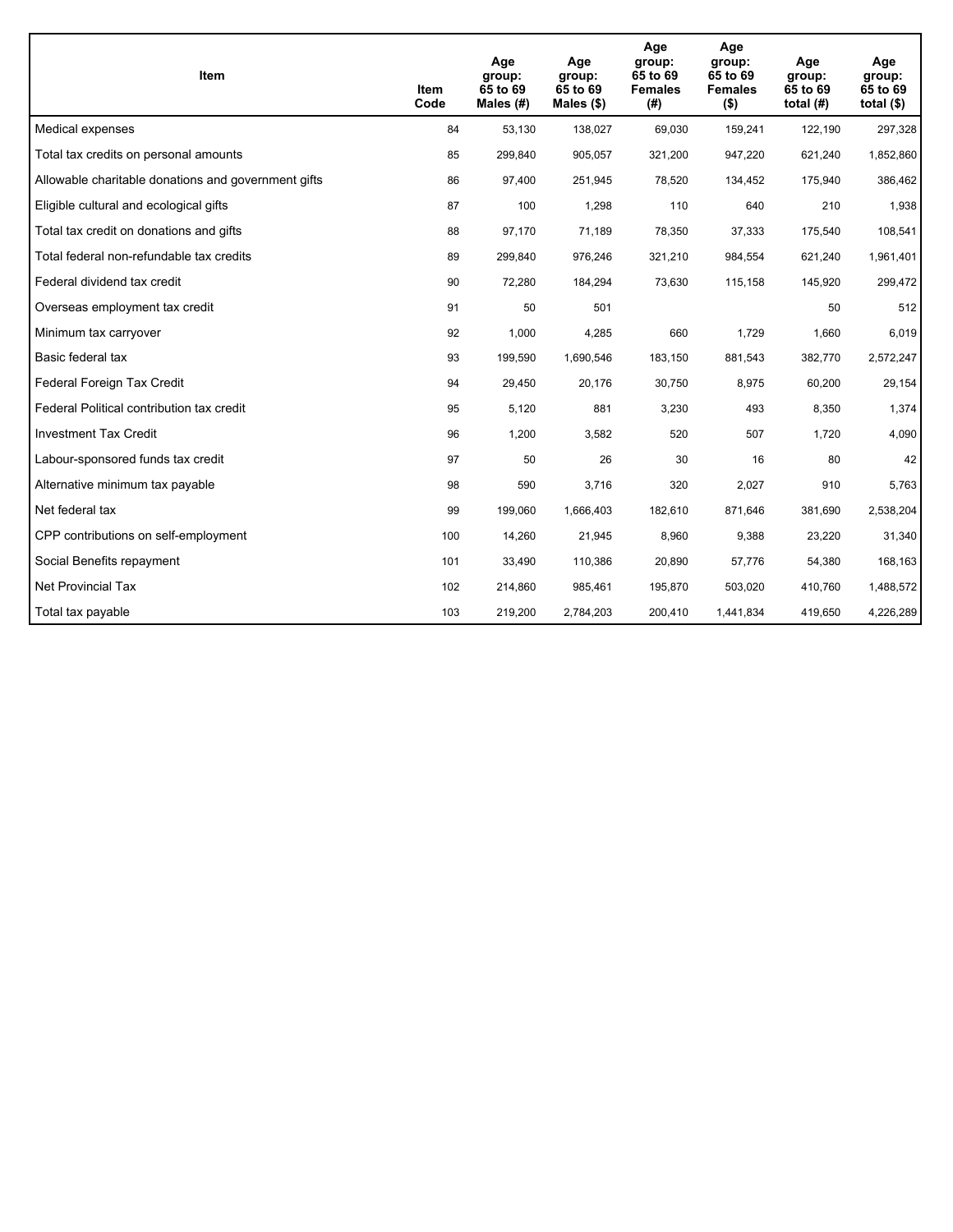| <b>Item</b>                                         | Item<br>Code | Age<br>group:<br>65 to 69<br>Males (#) | Age<br>group:<br>65 to 69<br>Males (\$) | Age<br>group:<br>65 to 69<br><b>Females</b><br>(#) | Age<br>group:<br>65 to 69<br><b>Females</b><br>$($ \$) | Age<br>group:<br>65 to 69<br>total $(H)$ | Age<br>group:<br>65 to 69<br>total $($)$ |
|-----------------------------------------------------|--------------|----------------------------------------|-----------------------------------------|----------------------------------------------------|--------------------------------------------------------|------------------------------------------|------------------------------------------|
| Medical expenses                                    | 84           | 53,130                                 | 138,027                                 | 69,030                                             | 159,241                                                | 122,190                                  | 297,328                                  |
| Total tax credits on personal amounts               | 85           | 299,840                                | 905,057                                 | 321,200                                            | 947,220                                                | 621,240                                  | 1,852,860                                |
| Allowable charitable donations and government gifts | 86           | 97,400                                 | 251,945                                 | 78,520                                             | 134,452                                                | 175,940                                  | 386,462                                  |
| Eligible cultural and ecological gifts              | 87           | 100                                    | 1,298                                   | 110                                                | 640                                                    | 210                                      | 1,938                                    |
| Total tax credit on donations and gifts             | 88           | 97,170                                 | 71,189                                  | 78,350                                             | 37,333                                                 | 175,540                                  | 108,541                                  |
| Total federal non-refundable tax credits            | 89           | 299,840                                | 976,246                                 | 321,210                                            | 984,554                                                | 621,240                                  | 1,961,401                                |
| Federal dividend tax credit                         | 90           | 72,280                                 | 184,294                                 | 73,630                                             | 115,158                                                | 145,920                                  | 299,472                                  |
| Overseas employment tax credit                      | 91           | 50                                     | 501                                     |                                                    |                                                        | 50                                       | 512                                      |
| Minimum tax carryover                               | 92           | 1,000                                  | 4,285                                   | 660                                                | 1.729                                                  | 1,660                                    | 6,019                                    |
| Basic federal tax                                   | 93           | 199,590                                | 1,690,546                               | 183,150                                            | 881,543                                                | 382,770                                  | 2,572,247                                |
| Federal Foreign Tax Credit                          | 94           | 29,450                                 | 20,176                                  | 30,750                                             | 8,975                                                  | 60,200                                   | 29,154                                   |
| Federal Political contribution tax credit           | 95           | 5,120                                  | 881                                     | 3,230                                              | 493                                                    | 8,350                                    | 1,374                                    |
| <b>Investment Tax Credit</b>                        | 96           | 1,200                                  | 3,582                                   | 520                                                | 507                                                    | 1,720                                    | 4,090                                    |
| Labour-sponsored funds tax credit                   | 97           | 50                                     | 26                                      | 30                                                 | 16                                                     | 80                                       | 42                                       |
| Alternative minimum tax payable                     | 98           | 590                                    | 3,716                                   | 320                                                | 2,027                                                  | 910                                      | 5,763                                    |
| Net federal tax                                     | 99           | 199,060                                | 1,666,403                               | 182,610                                            | 871,646                                                | 381,690                                  | 2,538,204                                |
| CPP contributions on self-employment                | 100          | 14,260                                 | 21,945                                  | 8,960                                              | 9,388                                                  | 23,220                                   | 31,340                                   |
| Social Benefits repayment                           | 101          | 33,490                                 | 110,386                                 | 20,890                                             | 57,776                                                 | 54,380                                   | 168,163                                  |
| Net Provincial Tax                                  | 102          | 214,860                                | 985,461                                 | 195,870                                            | 503,020                                                | 410,760                                  | 1,488,572                                |
| Total tax payable                                   | 103          | 219,200                                | 2,784,203                               | 200,410                                            | 1,441,834                                              | 419,650                                  | 4,226,289                                |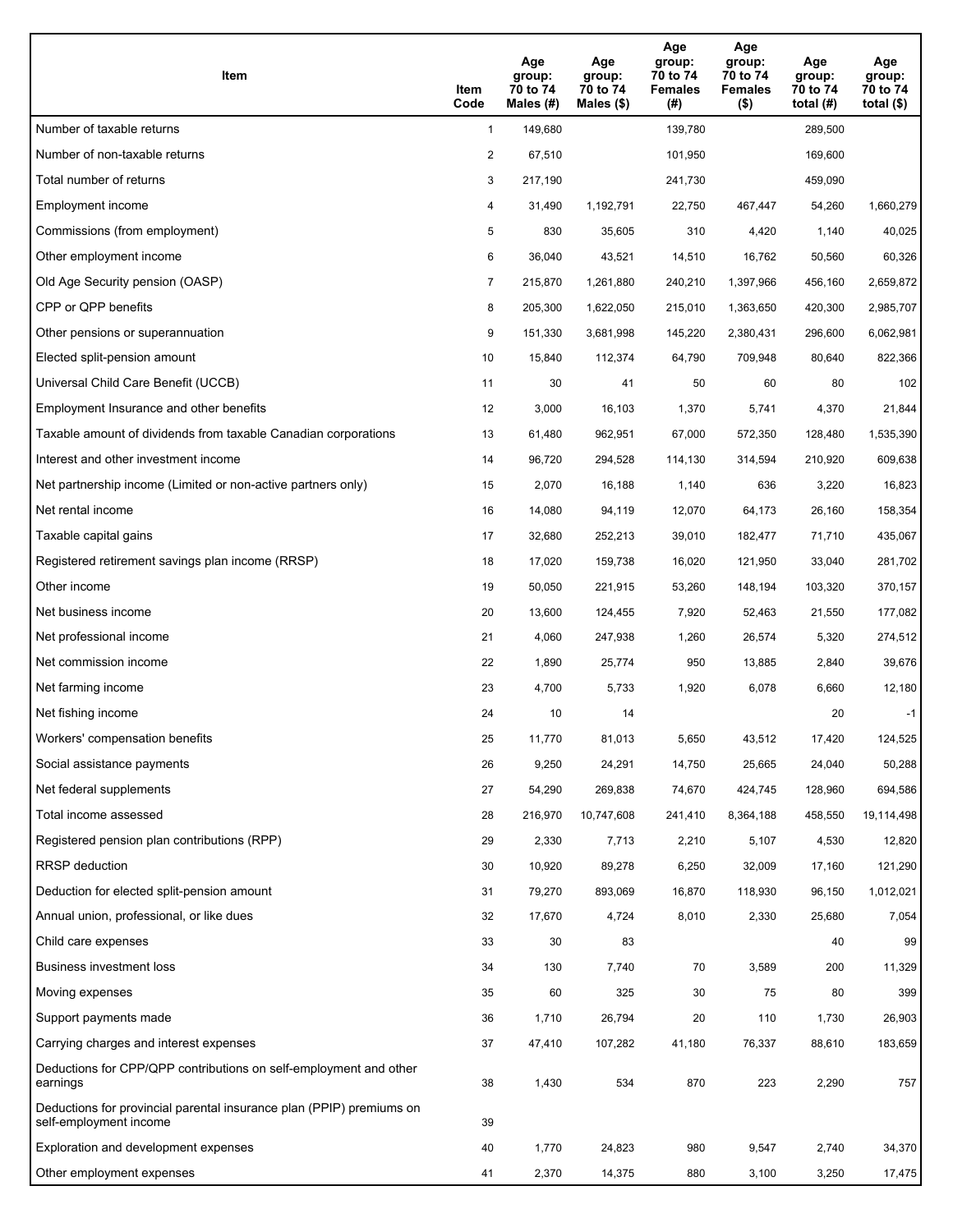| Item                                                                                           | Item<br>Code | Age<br>group:<br>70 to 74<br>Males (#) | Age<br>group:<br>70 to 74<br>Males (\$) | Age<br>group:<br>70 to 74<br><b>Females</b><br>(#) | Age<br>group:<br>70 to 74<br><b>Females</b><br>$($ \$) | Age<br>group:<br>70 to 74<br>total $(H)$ | Age<br>group:<br>70 to 74<br>total $($ |
|------------------------------------------------------------------------------------------------|--------------|----------------------------------------|-----------------------------------------|----------------------------------------------------|--------------------------------------------------------|------------------------------------------|----------------------------------------|
| Number of taxable returns                                                                      | $\mathbf{1}$ | 149,680                                |                                         | 139,780                                            |                                                        | 289,500                                  |                                        |
| Number of non-taxable returns                                                                  | 2            | 67,510                                 |                                         | 101,950                                            |                                                        | 169,600                                  |                                        |
| Total number of returns                                                                        | 3            | 217,190                                |                                         | 241,730                                            |                                                        | 459,090                                  |                                        |
| Employment income                                                                              | 4            | 31,490                                 | 1,192,791                               | 22,750                                             | 467,447                                                | 54,260                                   | 1,660,279                              |
| Commissions (from employment)                                                                  | 5            | 830                                    | 35,605                                  | 310                                                | 4,420                                                  | 1,140                                    | 40,025                                 |
| Other employment income                                                                        | 6            | 36,040                                 | 43,521                                  | 14,510                                             | 16,762                                                 | 50,560                                   | 60,326                                 |
| Old Age Security pension (OASP)                                                                | 7            | 215,870                                | 1,261,880                               | 240,210                                            | 1,397,966                                              | 456,160                                  | 2,659,872                              |
| CPP or QPP benefits                                                                            | 8            | 205,300                                | 1,622,050                               | 215,010                                            | 1,363,650                                              | 420,300                                  | 2,985,707                              |
| Other pensions or superannuation                                                               | 9            | 151,330                                | 3,681,998                               | 145,220                                            | 2,380,431                                              | 296,600                                  | 6,062,981                              |
| Elected split-pension amount                                                                   | 10           | 15,840                                 | 112,374                                 | 64,790                                             | 709,948                                                | 80,640                                   | 822,366                                |
| Universal Child Care Benefit (UCCB)                                                            | 11           | 30                                     | 41                                      | 50                                                 | 60                                                     | 80                                       | 102                                    |
| Employment Insurance and other benefits                                                        | 12           | 3,000                                  | 16,103                                  | 1,370                                              | 5,741                                                  | 4,370                                    | 21,844                                 |
| Taxable amount of dividends from taxable Canadian corporations                                 | 13           | 61,480                                 | 962,951                                 | 67,000                                             | 572,350                                                | 128,480                                  | 1,535,390                              |
| Interest and other investment income                                                           | 14           | 96,720                                 | 294,528                                 | 114,130                                            | 314,594                                                | 210,920                                  | 609,638                                |
| Net partnership income (Limited or non-active partners only)                                   | 15           | 2,070                                  | 16,188                                  | 1,140                                              | 636                                                    | 3,220                                    | 16,823                                 |
| Net rental income                                                                              | 16           | 14,080                                 | 94,119                                  | 12,070                                             | 64,173                                                 | 26,160                                   | 158,354                                |
| Taxable capital gains                                                                          | 17           | 32,680                                 | 252,213                                 | 39,010                                             | 182,477                                                | 71,710                                   | 435,067                                |
| Registered retirement savings plan income (RRSP)                                               | 18           | 17,020                                 | 159,738                                 | 16,020                                             | 121,950                                                | 33,040                                   | 281,702                                |
| Other income                                                                                   | 19           | 50,050                                 | 221,915                                 | 53,260                                             | 148,194                                                | 103,320                                  | 370,157                                |
| Net business income                                                                            | 20           | 13,600                                 | 124,455                                 | 7,920                                              | 52,463                                                 | 21,550                                   | 177,082                                |
| Net professional income                                                                        | 21           | 4,060                                  | 247,938                                 | 1,260                                              | 26,574                                                 | 5,320                                    | 274,512                                |
| Net commission income                                                                          | 22           | 1,890                                  | 25,774                                  | 950                                                | 13,885                                                 | 2,840                                    | 39,676                                 |
| Net farming income                                                                             | 23           | 4,700                                  | 5,733                                   | 1,920                                              | 6,078                                                  | 6,660                                    | 12,180                                 |
| Net fishing income                                                                             | 24           | 10                                     | 14                                      |                                                    |                                                        | 20                                       | $-1$                                   |
| Workers' compensation benefits                                                                 | 25           | 11,770                                 | 81,013                                  | 5,650                                              | 43,512                                                 | 17,420                                   | 124,525                                |
| Social assistance payments                                                                     | 26           | 9,250                                  | 24,291                                  | 14,750                                             | 25,665                                                 | 24,040                                   | 50,288                                 |
| Net federal supplements                                                                        | 27           | 54,290                                 | 269,838                                 | 74,670                                             | 424,745                                                | 128,960                                  | 694,586                                |
| Total income assessed                                                                          | 28           | 216,970                                | 10,747,608                              | 241,410                                            | 8,364,188                                              | 458,550                                  | 19,114,498                             |
| Registered pension plan contributions (RPP)                                                    | 29           | 2,330                                  | 7,713                                   | 2,210                                              | 5,107                                                  | 4,530                                    | 12,820                                 |
| RRSP deduction                                                                                 | 30           | 10,920                                 | 89,278                                  | 6,250                                              | 32,009                                                 | 17,160                                   | 121,290                                |
| Deduction for elected split-pension amount                                                     | 31           | 79,270                                 | 893,069                                 | 16,870                                             | 118,930                                                | 96,150                                   | 1,012,021                              |
| Annual union, professional, or like dues                                                       | 32           | 17,670                                 | 4,724                                   | 8,010                                              | 2,330                                                  | 25,680                                   | 7,054                                  |
| Child care expenses                                                                            | 33           | 30                                     | 83                                      |                                                    |                                                        | 40                                       | 99                                     |
| <b>Business investment loss</b>                                                                | 34           | 130                                    | 7,740                                   | 70                                                 | 3,589                                                  | 200                                      | 11,329                                 |
| Moving expenses                                                                                | 35           | 60                                     | 325                                     | 30                                                 | 75                                                     | 80                                       | 399                                    |
| Support payments made                                                                          | 36           | 1,710                                  | 26,794                                  | 20                                                 | 110                                                    | 1,730                                    | 26,903                                 |
| Carrying charges and interest expenses                                                         | 37           | 47,410                                 | 107,282                                 | 41,180                                             | 76,337                                                 | 88,610                                   | 183,659                                |
| Deductions for CPP/QPP contributions on self-employment and other<br>earnings                  | 38           | 1,430                                  | 534                                     | 870                                                | 223                                                    | 2,290                                    | 757                                    |
| Deductions for provincial parental insurance plan (PPIP) premiums on<br>self-employment income | 39           |                                        |                                         |                                                    |                                                        |                                          |                                        |
| Exploration and development expenses                                                           | 40           | 1,770                                  | 24,823                                  | 980                                                | 9,547                                                  | 2,740                                    | 34,370                                 |
| Other employment expenses                                                                      | 41           | 2,370                                  | 14,375                                  | 880                                                | 3,100                                                  | 3,250                                    | 17,475                                 |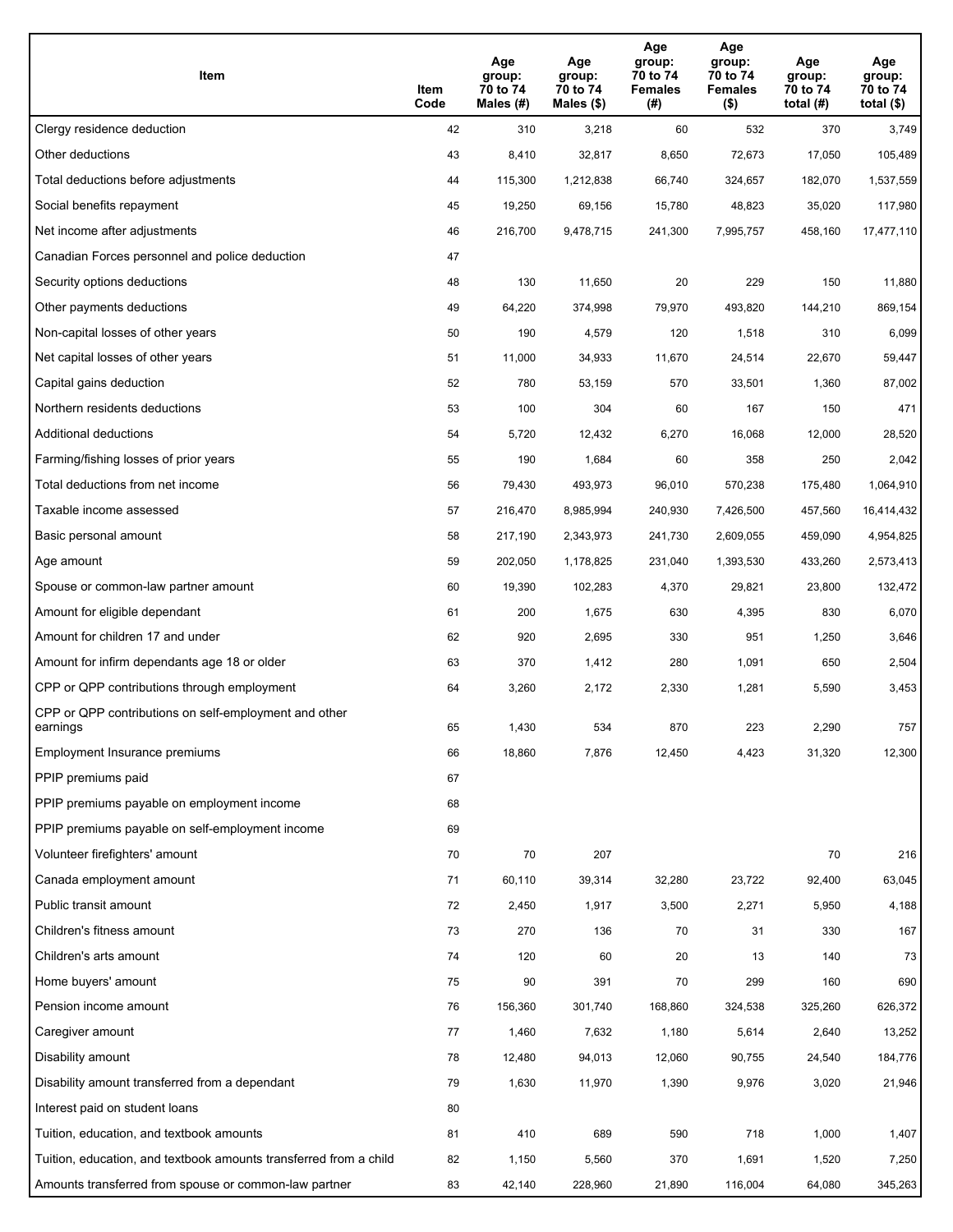| Item                                                              | Item<br>Code | Age<br>group:<br>70 to 74<br>Males (#) | Age<br>group:<br>70 to 74<br>Males (\$) | Age<br>group:<br>70 to 74<br><b>Females</b><br>(# ) | Age<br>group:<br>70 to 74<br><b>Females</b><br>$($ \$) | Age<br>group:<br>70 to 74<br>total $(H)$ | Age<br>group:<br>70 to 74<br>total $($)$ |
|-------------------------------------------------------------------|--------------|----------------------------------------|-----------------------------------------|-----------------------------------------------------|--------------------------------------------------------|------------------------------------------|------------------------------------------|
| Clergy residence deduction                                        | 42           | 310                                    | 3,218                                   | 60                                                  | 532                                                    | 370                                      | 3,749                                    |
| Other deductions                                                  | 43           | 8,410                                  | 32,817                                  | 8,650                                               | 72,673                                                 | 17,050                                   | 105,489                                  |
| Total deductions before adjustments                               | 44           | 115,300                                | 1,212,838                               | 66,740                                              | 324,657                                                | 182,070                                  | 1,537,559                                |
| Social benefits repayment                                         | 45           | 19,250                                 | 69,156                                  | 15,780                                              | 48,823                                                 | 35,020                                   | 117,980                                  |
| Net income after adjustments                                      | 46           | 216,700                                | 9,478,715                               | 241,300                                             | 7,995,757                                              | 458,160                                  | 17,477,110                               |
| Canadian Forces personnel and police deduction                    | 47           |                                        |                                         |                                                     |                                                        |                                          |                                          |
| Security options deductions                                       | 48           | 130                                    | 11,650                                  | 20                                                  | 229                                                    | 150                                      | 11,880                                   |
| Other payments deductions                                         | 49           | 64,220                                 | 374,998                                 | 79,970                                              | 493,820                                                | 144,210                                  | 869,154                                  |
| Non-capital losses of other years                                 | 50           | 190                                    | 4,579                                   | 120                                                 | 1,518                                                  | 310                                      | 6,099                                    |
| Net capital losses of other years                                 | 51           | 11,000                                 | 34,933                                  | 11,670                                              | 24,514                                                 | 22,670                                   | 59,447                                   |
| Capital gains deduction                                           | 52           | 780                                    | 53,159                                  | 570                                                 | 33,501                                                 | 1,360                                    | 87,002                                   |
| Northern residents deductions                                     | 53           | 100                                    | 304                                     | 60                                                  | 167                                                    | 150                                      | 471                                      |
| Additional deductions                                             | 54           | 5,720                                  | 12,432                                  | 6,270                                               | 16,068                                                 | 12,000                                   | 28,520                                   |
| Farming/fishing losses of prior years                             | 55           | 190                                    | 1,684                                   | 60                                                  | 358                                                    | 250                                      | 2,042                                    |
| Total deductions from net income                                  | 56           | 79,430                                 | 493,973                                 | 96,010                                              | 570,238                                                | 175,480                                  | 1,064,910                                |
| Taxable income assessed                                           | 57           | 216,470                                | 8,985,994                               | 240,930                                             | 7,426,500                                              | 457,560                                  | 16,414,432                               |
| Basic personal amount                                             | 58           | 217,190                                | 2,343,973                               | 241,730                                             | 2,609,055                                              | 459,090                                  | 4,954,825                                |
| Age amount                                                        | 59           | 202,050                                | 1,178,825                               | 231,040                                             | 1,393,530                                              | 433,260                                  | 2,573,413                                |
| Spouse or common-law partner amount                               | 60           | 19,390                                 | 102,283                                 | 4,370                                               | 29,821                                                 | 23,800                                   | 132,472                                  |
| Amount for eligible dependant                                     | 61           | 200                                    | 1,675                                   | 630                                                 | 4,395                                                  | 830                                      | 6,070                                    |
| Amount for children 17 and under                                  | 62           | 920                                    | 2,695                                   | 330                                                 | 951                                                    | 1,250                                    | 3,646                                    |
| Amount for infirm dependants age 18 or older                      | 63           | 370                                    | 1,412                                   | 280                                                 | 1,091                                                  | 650                                      | 2,504                                    |
| CPP or QPP contributions through employment                       | 64           | 3,260                                  | 2,172                                   | 2,330                                               | 1,281                                                  | 5,590                                    | 3,453                                    |
| CPP or QPP contributions on self-employment and other<br>earnings | 65           | 1,430                                  | 534                                     | 870                                                 | 223                                                    | 2,290                                    | 757                                      |
| Employment Insurance premiums                                     | 66           | 18,860                                 | 7,876                                   | 12,450                                              | 4,423                                                  | 31,320                                   | 12,300                                   |
| PPIP premiums paid                                                | 67           |                                        |                                         |                                                     |                                                        |                                          |                                          |
| PPIP premiums payable on employment income                        | 68           |                                        |                                         |                                                     |                                                        |                                          |                                          |
| PPIP premiums payable on self-employment income                   | 69           |                                        |                                         |                                                     |                                                        |                                          |                                          |
| Volunteer firefighters' amount                                    | 70           | 70                                     | 207                                     |                                                     |                                                        | 70                                       | 216                                      |
| Canada employment amount                                          | 71           | 60,110                                 | 39,314                                  | 32,280                                              | 23,722                                                 | 92,400                                   | 63,045                                   |
| Public transit amount                                             | 72           | 2,450                                  | 1,917                                   | 3,500                                               | 2,271                                                  | 5,950                                    | 4,188                                    |
| Children's fitness amount                                         | 73           | 270                                    | 136                                     | 70                                                  | 31                                                     | 330                                      | 167                                      |
| Children's arts amount                                            | 74           | 120                                    | 60                                      | 20                                                  | 13                                                     | 140                                      | 73                                       |
| Home buyers' amount                                               | 75           | 90                                     | 391                                     | 70                                                  | 299                                                    | 160                                      | 690                                      |
| Pension income amount                                             | 76           | 156,360                                | 301,740                                 | 168,860                                             | 324,538                                                | 325,260                                  | 626,372                                  |
| Caregiver amount                                                  | 77           | 1,460                                  | 7,632                                   | 1,180                                               | 5,614                                                  | 2,640                                    | 13,252                                   |
| Disability amount                                                 | 78           | 12,480                                 | 94,013                                  | 12,060                                              | 90,755                                                 | 24,540                                   | 184,776                                  |
| Disability amount transferred from a dependant                    | 79           | 1,630                                  | 11,970                                  | 1,390                                               | 9,976                                                  | 3,020                                    | 21,946                                   |
| Interest paid on student loans                                    | 80           |                                        |                                         |                                                     |                                                        |                                          |                                          |
| Tuition, education, and textbook amounts                          | 81           | 410                                    | 689                                     | 590                                                 | 718                                                    | 1,000                                    | 1,407                                    |
| Tuition, education, and textbook amounts transferred from a child | 82           | 1,150                                  | 5,560                                   | 370                                                 | 1,691                                                  | 1,520                                    | 7,250                                    |
| Amounts transferred from spouse or common-law partner             | 83           | 42,140                                 | 228,960                                 | 21,890                                              | 116,004                                                | 64,080                                   | 345,263                                  |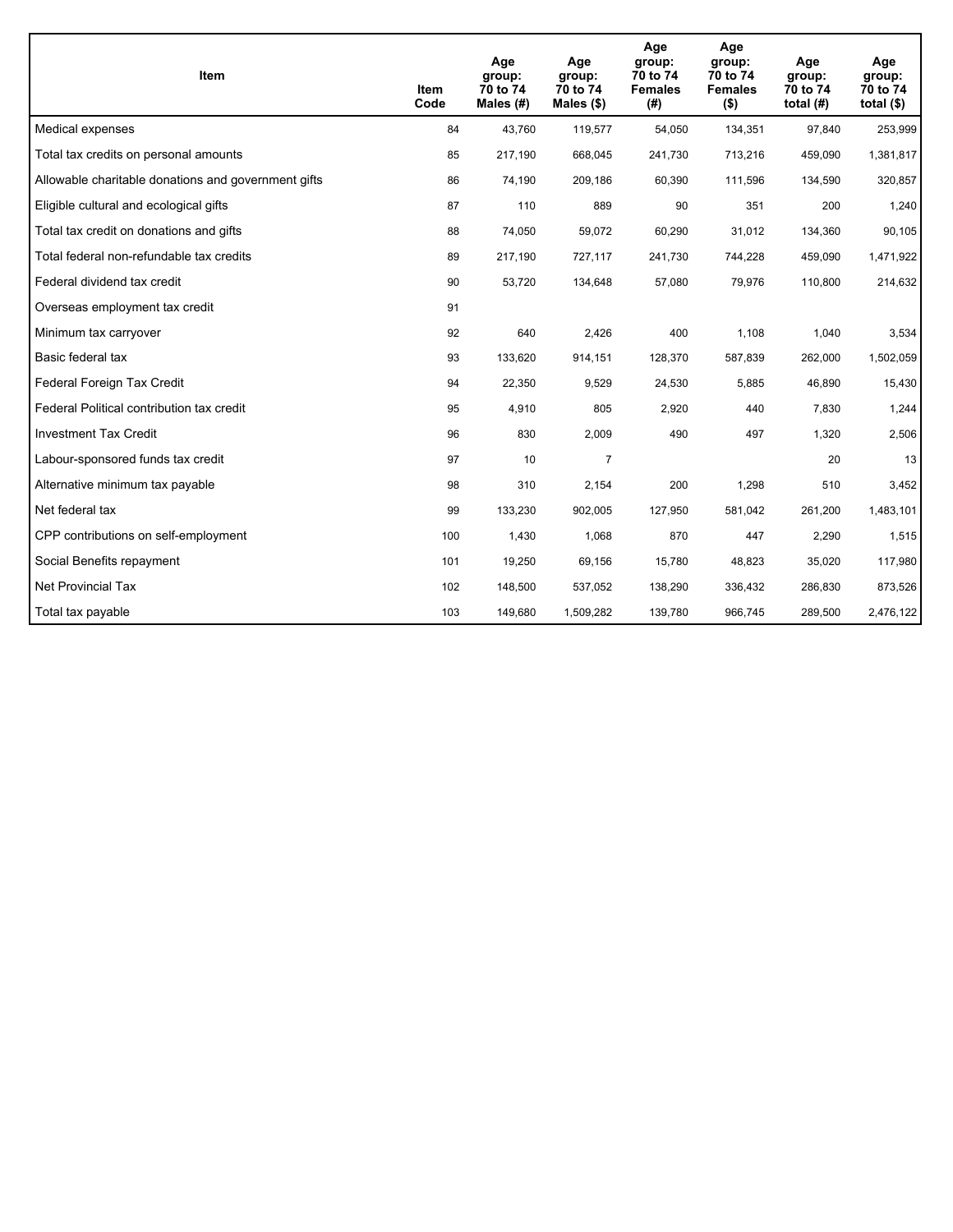| <b>Item</b>                                         | Item<br>Code | Age<br>group:<br>70 to 74<br>Males (#) | Age<br>group:<br>70 to 74<br>Males $(\$)$ | Age<br>group:<br>70 to 74<br><b>Females</b><br>(#) | Age<br>group:<br>70 to 74<br><b>Females</b><br>$($ \$) | Age<br>group:<br>70 to 74<br>total $(H)$ | Age<br>group:<br>70 to 74<br>total $($)$ |
|-----------------------------------------------------|--------------|----------------------------------------|-------------------------------------------|----------------------------------------------------|--------------------------------------------------------|------------------------------------------|------------------------------------------|
| Medical expenses                                    | 84           | 43,760                                 | 119,577                                   | 54,050                                             | 134,351                                                | 97,840                                   | 253,999                                  |
| Total tax credits on personal amounts               | 85           | 217,190                                | 668,045                                   | 241,730                                            | 713,216                                                | 459,090                                  | 1,381,817                                |
| Allowable charitable donations and government gifts | 86           | 74,190                                 | 209,186                                   | 60,390                                             | 111,596                                                | 134,590                                  | 320,857                                  |
| Eligible cultural and ecological gifts              | 87           | 110                                    | 889                                       | 90                                                 | 351                                                    | 200                                      | 1,240                                    |
| Total tax credit on donations and gifts             | 88           | 74,050                                 | 59,072                                    | 60,290                                             | 31,012                                                 | 134,360                                  | 90,105                                   |
| Total federal non-refundable tax credits            | 89           | 217,190                                | 727,117                                   | 241,730                                            | 744,228                                                | 459,090                                  | 1,471,922                                |
| Federal dividend tax credit                         | 90           | 53,720                                 | 134,648                                   | 57,080                                             | 79,976                                                 | 110,800                                  | 214,632                                  |
| Overseas employment tax credit                      | 91           |                                        |                                           |                                                    |                                                        |                                          |                                          |
| Minimum tax carryover                               | 92           | 640                                    | 2,426                                     | 400                                                | 1,108                                                  | 1,040                                    | 3,534                                    |
| Basic federal tax                                   | 93           | 133,620                                | 914,151                                   | 128,370                                            | 587,839                                                | 262,000                                  | 1,502,059                                |
| Federal Foreign Tax Credit                          | 94           | 22,350                                 | 9,529                                     | 24,530                                             | 5,885                                                  | 46,890                                   | 15,430                                   |
| Federal Political contribution tax credit           | 95           | 4,910                                  | 805                                       | 2,920                                              | 440                                                    | 7,830                                    | 1,244                                    |
| <b>Investment Tax Credit</b>                        | 96           | 830                                    | 2,009                                     | 490                                                | 497                                                    | 1,320                                    | 2,506                                    |
| Labour-sponsored funds tax credit                   | 97           | 10                                     | 7                                         |                                                    |                                                        | 20                                       | 13                                       |
| Alternative minimum tax payable                     | 98           | 310                                    | 2,154                                     | 200                                                | 1,298                                                  | 510                                      | 3,452                                    |
| Net federal tax                                     | 99           | 133,230                                | 902,005                                   | 127,950                                            | 581,042                                                | 261,200                                  | 1,483,101                                |
| CPP contributions on self-employment                | 100          | 1,430                                  | 1,068                                     | 870                                                | 447                                                    | 2,290                                    | 1,515                                    |
| Social Benefits repayment                           | 101          | 19,250                                 | 69,156                                    | 15,780                                             | 48,823                                                 | 35,020                                   | 117,980                                  |
| Net Provincial Tax                                  | 102          | 148,500                                | 537,052                                   | 138,290                                            | 336,432                                                | 286,830                                  | 873,526                                  |
| Total tax payable                                   | 103          | 149,680                                | 1,509,282                                 | 139,780                                            | 966,745                                                | 289,500                                  | 2,476,122                                |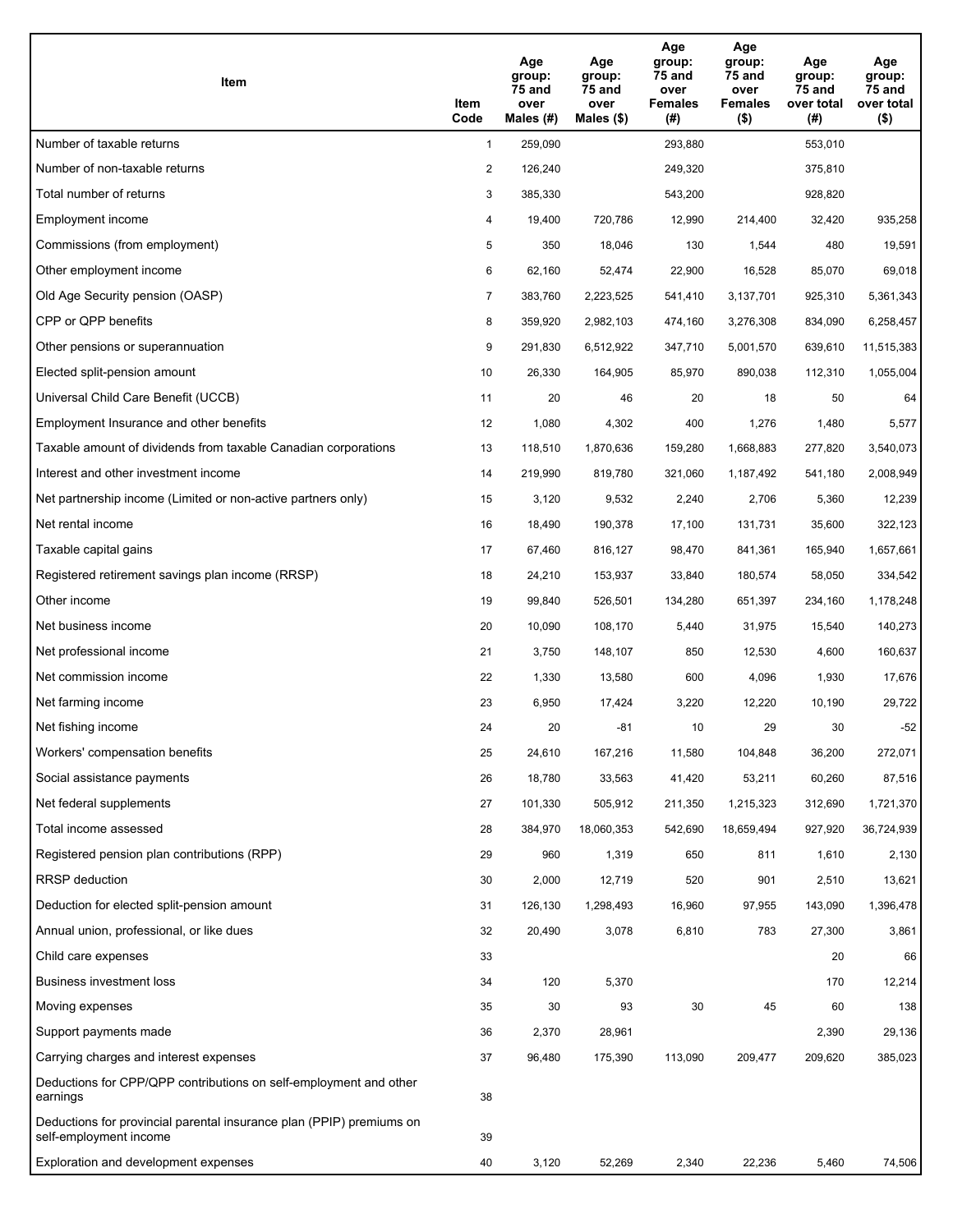| Item                                                                                           | Item<br>Code   | Age<br>group:<br>75 and<br>over<br>Males $(H)$ | Age<br>group:<br>75 and<br>over<br>Males $(\$)$ | Age<br>group:<br>75 and<br>over<br><b>Females</b><br>(# ) | Age<br>group:<br>75 and<br>over<br><b>Females</b><br>$($ \$) | Age<br>group:<br>75 and<br>over total<br>(#) | Age<br>group:<br>75 and<br>over total<br>$($ \$) |
|------------------------------------------------------------------------------------------------|----------------|------------------------------------------------|-------------------------------------------------|-----------------------------------------------------------|--------------------------------------------------------------|----------------------------------------------|--------------------------------------------------|
| Number of taxable returns                                                                      | $\mathbf{1}$   | 259,090                                        |                                                 | 293,880                                                   |                                                              | 553,010                                      |                                                  |
| Number of non-taxable returns                                                                  | $\overline{2}$ | 126,240                                        |                                                 | 249,320                                                   |                                                              | 375,810                                      |                                                  |
| Total number of returns                                                                        | 3              | 385,330                                        |                                                 | 543,200                                                   |                                                              | 928,820                                      |                                                  |
| Employment income                                                                              | 4              | 19,400                                         | 720,786                                         | 12,990                                                    | 214,400                                                      | 32,420                                       | 935,258                                          |
| Commissions (from employment)                                                                  | 5              | 350                                            | 18,046                                          | 130                                                       | 1,544                                                        | 480                                          | 19,591                                           |
| Other employment income                                                                        | 6              | 62,160                                         | 52,474                                          | 22,900                                                    | 16,528                                                       | 85,070                                       | 69,018                                           |
| Old Age Security pension (OASP)                                                                | $\overline{7}$ | 383,760                                        | 2,223,525                                       | 541,410                                                   | 3,137,701                                                    | 925,310                                      | 5,361,343                                        |
| CPP or QPP benefits                                                                            | 8              | 359,920                                        | 2,982,103                                       | 474,160                                                   | 3,276,308                                                    | 834,090                                      | 6,258,457                                        |
| Other pensions or superannuation                                                               | 9              | 291,830                                        | 6,512,922                                       | 347,710                                                   | 5,001,570                                                    | 639,610                                      | 11,515,383                                       |
| Elected split-pension amount                                                                   | 10             | 26,330                                         | 164,905                                         | 85,970                                                    | 890,038                                                      | 112,310                                      | 1,055,004                                        |
| Universal Child Care Benefit (UCCB)                                                            | 11             | 20                                             | 46                                              | 20                                                        | 18                                                           | 50                                           | 64                                               |
| Employment Insurance and other benefits                                                        | 12             | 1,080                                          | 4,302                                           | 400                                                       | 1,276                                                        | 1,480                                        | 5,577                                            |
| Taxable amount of dividends from taxable Canadian corporations                                 | 13             | 118,510                                        | 1,870,636                                       | 159,280                                                   | 1,668,883                                                    | 277,820                                      | 3,540,073                                        |
| Interest and other investment income                                                           | 14             | 219,990                                        | 819,780                                         | 321,060                                                   | 1,187,492                                                    | 541,180                                      | 2,008,949                                        |
| Net partnership income (Limited or non-active partners only)                                   | 15             | 3,120                                          | 9,532                                           | 2,240                                                     | 2,706                                                        | 5,360                                        | 12,239                                           |
| Net rental income                                                                              | 16             | 18,490                                         | 190,378                                         | 17,100                                                    | 131,731                                                      | 35,600                                       | 322,123                                          |
| Taxable capital gains                                                                          | 17             | 67,460                                         | 816,127                                         | 98,470                                                    | 841,361                                                      | 165,940                                      | 1,657,661                                        |
| Registered retirement savings plan income (RRSP)                                               | 18             | 24,210                                         | 153,937                                         | 33,840                                                    | 180,574                                                      | 58,050                                       | 334,542                                          |
| Other income                                                                                   | 19             | 99,840                                         | 526,501                                         | 134,280                                                   | 651,397                                                      | 234,160                                      | 1,178,248                                        |
| Net business income                                                                            | 20             | 10,090                                         | 108,170                                         | 5,440                                                     | 31,975                                                       | 15,540                                       | 140,273                                          |
| Net professional income                                                                        | 21             | 3,750                                          | 148,107                                         | 850                                                       | 12,530                                                       | 4,600                                        | 160,637                                          |
| Net commission income                                                                          | 22             | 1,330                                          | 13,580                                          | 600                                                       | 4,096                                                        | 1,930                                        | 17,676                                           |
| Net farming income                                                                             | 23             | 6,950                                          | 17,424                                          | 3,220                                                     | 12,220                                                       | 10,190                                       | 29,722                                           |
| Net fishing income                                                                             | 24             | 20                                             | -81                                             | 10                                                        | 29                                                           | 30                                           | $-52$                                            |
| Workers' compensation benefits                                                                 | 25             | 24,610                                         | 167,216                                         | 11,580                                                    | 104,848                                                      | 36,200                                       | 272,071                                          |
| Social assistance payments                                                                     | 26             | 18,780                                         | 33,563                                          | 41,420                                                    | 53,211                                                       | 60,260                                       | 87,516                                           |
| Net federal supplements                                                                        | 27             | 101,330                                        | 505,912                                         | 211,350                                                   | 1,215,323                                                    | 312,690                                      | 1,721,370                                        |
| Total income assessed                                                                          | 28             | 384,970                                        | 18,060,353                                      | 542,690                                                   | 18,659,494                                                   | 927,920                                      | 36,724,939                                       |
| Registered pension plan contributions (RPP)                                                    | 29             | 960                                            | 1,319                                           | 650                                                       | 811                                                          | 1,610                                        | 2,130                                            |
| <b>RRSP</b> deduction                                                                          | 30             | 2,000                                          | 12,719                                          | 520                                                       | 901                                                          | 2,510                                        | 13,621                                           |
| Deduction for elected split-pension amount                                                     | 31             | 126,130                                        | 1,298,493                                       | 16,960                                                    | 97,955                                                       | 143,090                                      | 1,396,478                                        |
| Annual union, professional, or like dues                                                       | 32             | 20,490                                         | 3,078                                           | 6,810                                                     | 783                                                          | 27,300                                       | 3,861                                            |
| Child care expenses                                                                            | 33             |                                                |                                                 |                                                           |                                                              | 20                                           | 66                                               |
| <b>Business investment loss</b>                                                                | 34             | 120                                            | 5,370                                           |                                                           |                                                              | 170                                          | 12,214                                           |
| Moving expenses                                                                                | 35             | 30                                             | 93                                              | 30                                                        | 45                                                           | 60                                           | 138                                              |
| Support payments made                                                                          | 36             | 2,370                                          | 28,961                                          |                                                           |                                                              | 2,390                                        | 29,136                                           |
| Carrying charges and interest expenses                                                         | 37             | 96,480                                         | 175,390                                         | 113,090                                                   | 209,477                                                      | 209,620                                      | 385,023                                          |
| Deductions for CPP/QPP contributions on self-employment and other<br>earnings                  | 38             |                                                |                                                 |                                                           |                                                              |                                              |                                                  |
| Deductions for provincial parental insurance plan (PPIP) premiums on<br>self-employment income | 39             |                                                |                                                 |                                                           |                                                              |                                              |                                                  |
| Exploration and development expenses                                                           | 40             | 3,120                                          | 52,269                                          | 2,340                                                     | 22,236                                                       | 5,460                                        | 74,506                                           |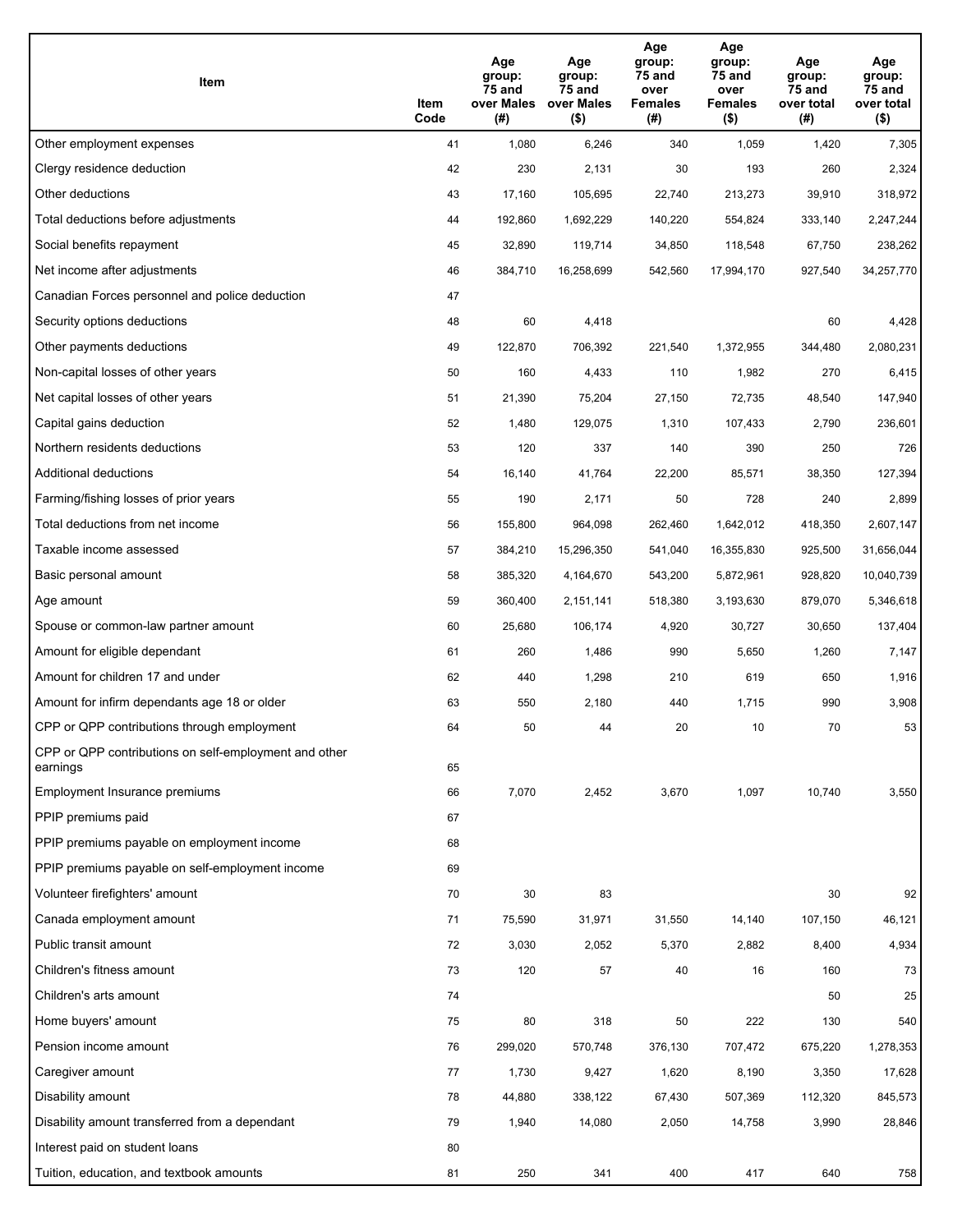| Item                                                              | Item<br>Code | Age<br>group:<br>75 and<br>over Males<br>(#) | Age<br>group:<br>75 and<br>over Males<br>$($ \$) | Age<br>group:<br>75 and<br>over<br><b>Females</b><br>(#) | Age<br>group:<br>75 and<br>over<br><b>Females</b><br>$($ \$) | Age<br>group:<br>75 and<br>over total<br>(#) | Age<br>group:<br>75 and<br>over total<br>$($ \$) |
|-------------------------------------------------------------------|--------------|----------------------------------------------|--------------------------------------------------|----------------------------------------------------------|--------------------------------------------------------------|----------------------------------------------|--------------------------------------------------|
| Other employment expenses                                         | 41           | 1,080                                        | 6,246                                            | 340                                                      | 1,059                                                        | 1,420                                        | 7,305                                            |
| Clergy residence deduction                                        | 42           | 230                                          | 2,131                                            | 30                                                       | 193                                                          | 260                                          | 2,324                                            |
| Other deductions                                                  | 43           | 17,160                                       | 105,695                                          | 22,740                                                   | 213,273                                                      | 39,910                                       | 318,972                                          |
| Total deductions before adjustments                               | 44           | 192,860                                      | 1,692,229                                        | 140,220                                                  | 554,824                                                      | 333,140                                      | 2,247,244                                        |
| Social benefits repayment                                         | 45           | 32,890                                       | 119,714                                          | 34,850                                                   | 118,548                                                      | 67,750                                       | 238,262                                          |
| Net income after adjustments                                      | 46           | 384,710                                      | 16,258,699                                       | 542,560                                                  | 17,994,170                                                   | 927,540                                      | 34,257,770                                       |
| Canadian Forces personnel and police deduction                    | 47           |                                              |                                                  |                                                          |                                                              |                                              |                                                  |
| Security options deductions                                       | 48           | 60                                           | 4,418                                            |                                                          |                                                              | 60                                           | 4,428                                            |
| Other payments deductions                                         | 49           | 122,870                                      | 706,392                                          | 221,540                                                  | 1,372,955                                                    | 344,480                                      | 2,080,231                                        |
| Non-capital losses of other years                                 | 50           | 160                                          | 4,433                                            | 110                                                      | 1,982                                                        | 270                                          | 6,415                                            |
| Net capital losses of other years                                 | 51           | 21,390                                       | 75,204                                           | 27,150                                                   | 72,735                                                       | 48,540                                       | 147,940                                          |
| Capital gains deduction                                           | 52           | 1,480                                        | 129,075                                          | 1,310                                                    | 107,433                                                      | 2,790                                        | 236,601                                          |
| Northern residents deductions                                     | 53           | 120                                          | 337                                              | 140                                                      | 390                                                          | 250                                          | 726                                              |
| Additional deductions                                             | 54           | 16,140                                       | 41,764                                           | 22,200                                                   | 85,571                                                       | 38,350                                       | 127,394                                          |
| Farming/fishing losses of prior years                             | 55           | 190                                          | 2,171                                            | 50                                                       | 728                                                          | 240                                          | 2,899                                            |
| Total deductions from net income                                  | 56           | 155,800                                      | 964,098                                          | 262,460                                                  | 1,642,012                                                    | 418,350                                      | 2,607,147                                        |
| Taxable income assessed                                           | 57           | 384,210                                      | 15,296,350                                       | 541,040                                                  | 16,355,830                                                   | 925,500                                      | 31,656,044                                       |
| Basic personal amount                                             | 58           | 385,320                                      | 4,164,670                                        | 543,200                                                  | 5,872,961                                                    | 928,820                                      | 10,040,739                                       |
| Age amount                                                        | 59           | 360,400                                      | 2,151,141                                        | 518,380                                                  | 3,193,630                                                    | 879,070                                      | 5,346,618                                        |
| Spouse or common-law partner amount                               | 60           | 25,680                                       | 106,174                                          | 4,920                                                    | 30,727                                                       | 30,650                                       | 137,404                                          |
| Amount for eligible dependant                                     | 61           | 260                                          | 1,486                                            | 990                                                      | 5,650                                                        | 1,260                                        | 7,147                                            |
| Amount for children 17 and under                                  | 62           | 440                                          | 1,298                                            | 210                                                      | 619                                                          | 650                                          | 1,916                                            |
| Amount for infirm dependants age 18 or older                      | 63           | 550                                          | 2,180                                            | 440                                                      | 1,715                                                        | 990                                          | 3,908                                            |
| CPP or QPP contributions through employment                       | 64           | 50                                           | 44                                               | 20                                                       | 10                                                           | 70                                           | 53                                               |
| CPP or QPP contributions on self-employment and other<br>earnings | 65           |                                              |                                                  |                                                          |                                                              |                                              |                                                  |
| Employment Insurance premiums                                     | 66           | 7,070                                        | 2,452                                            | 3,670                                                    | 1,097                                                        | 10,740                                       | 3,550                                            |
| PPIP premiums paid                                                | 67           |                                              |                                                  |                                                          |                                                              |                                              |                                                  |
| PPIP premiums payable on employment income                        | 68           |                                              |                                                  |                                                          |                                                              |                                              |                                                  |
| PPIP premiums payable on self-employment income                   | 69           |                                              |                                                  |                                                          |                                                              |                                              |                                                  |
| Volunteer firefighters' amount                                    | 70           | 30                                           | 83                                               |                                                          |                                                              | 30                                           | 92                                               |
| Canada employment amount                                          | 71           | 75,590                                       | 31,971                                           | 31,550                                                   | 14,140                                                       | 107,150                                      | 46,121                                           |
| Public transit amount                                             | 72           | 3,030                                        | 2,052                                            | 5,370                                                    | 2,882                                                        | 8,400                                        | 4,934                                            |
| Children's fitness amount                                         | 73           | 120                                          | 57                                               | 40                                                       | 16                                                           | 160                                          | 73                                               |
| Children's arts amount                                            | 74           |                                              |                                                  |                                                          |                                                              | 50                                           | 25                                               |
| Home buyers' amount                                               | 75           | 80                                           | 318                                              | 50                                                       | 222                                                          | 130                                          | 540                                              |
| Pension income amount                                             | 76           | 299,020                                      | 570,748                                          | 376,130                                                  | 707,472                                                      | 675,220                                      | 1,278,353                                        |
| Caregiver amount                                                  | 77           | 1,730                                        | 9,427                                            | 1,620                                                    | 8,190                                                        | 3,350                                        | 17,628                                           |
| Disability amount                                                 | 78           | 44,880                                       | 338,122                                          | 67,430                                                   | 507,369                                                      | 112,320                                      | 845,573                                          |
| Disability amount transferred from a dependant                    | 79           | 1,940                                        | 14,080                                           | 2,050                                                    | 14,758                                                       | 3,990                                        | 28,846                                           |
| Interest paid on student loans                                    | 80           |                                              |                                                  |                                                          |                                                              |                                              |                                                  |
| Tuition, education, and textbook amounts                          | 81           | 250                                          | 341                                              | 400                                                      | 417                                                          | 640                                          | 758                                              |